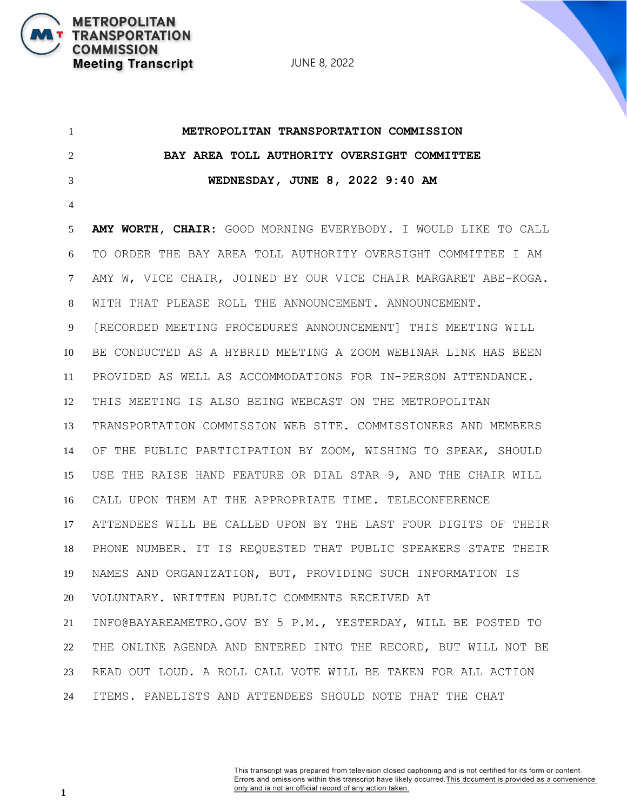JUNE 8, 2022

 **METROPOLITAN TRANSPORTATION COMMISSION BAY AREA TOLL AUTHORITY OVERSIGHT COMMITTEE WEDNESDAY, JUNE 8, 2022 9:40 AM AMY WORTH, CHAIR:** GOOD MORNING EVERYBODY. I WOULD LIKE TO CALL TO ORDER THE BAY AREA TOLL AUTHORITY OVERSIGHT COMMITTEE I AM AMY W, VICE CHAIR, JOINED BY OUR VICE CHAIR MARGARET ABE-KOGA. WITH THAT PLEASE ROLL THE ANNOUNCEMENT. ANNOUNCEMENT. [RECORDED MEETING PROCEDURES ANNOUNCEMENT] THIS MEETING WILL BE CONDUCTED AS A HYBRID MEETING A ZOOM WEBINAR LINK HAS BEEN PROVIDED AS WELL AS ACCOMMODATIONS FOR IN-PERSON ATTENDANCE. THIS MEETING IS ALSO BEING WEBCAST ON THE METROPOLITAN TRANSPORTATION COMMISSION WEB SITE. COMMISSIONERS AND MEMBERS OF THE PUBLIC PARTICIPATION BY ZOOM, WISHING TO SPEAK, SHOULD USE THE RAISE HAND FEATURE OR DIAL STAR 9, AND THE CHAIR WILL CALL UPON THEM AT THE APPROPRIATE TIME. TELECONFERENCE ATTENDEES WILL BE CALLED UPON BY THE LAST FOUR DIGITS OF THEIR PHONE NUMBER. IT IS REQUESTED THAT PUBLIC SPEAKERS STATE THEIR NAMES AND ORGANIZATION, BUT, PROVIDING SUCH INFORMATION IS VOLUNTARY. WRITTEN PUBLIC COMMENTS RECEIVED AT INFO@BAYAREAMETRO.GOV BY 5 P.M., YESTERDAY, WILL BE POSTED TO THE ONLINE AGENDA AND ENTERED INTO THE RECORD, BUT WILL NOT BE READ OUT LOUD. A ROLL CALL VOTE WILL BE TAKEN FOR ALL ACTION ITEMS. PANELISTS AND ATTENDEES SHOULD NOTE THAT THE CHAT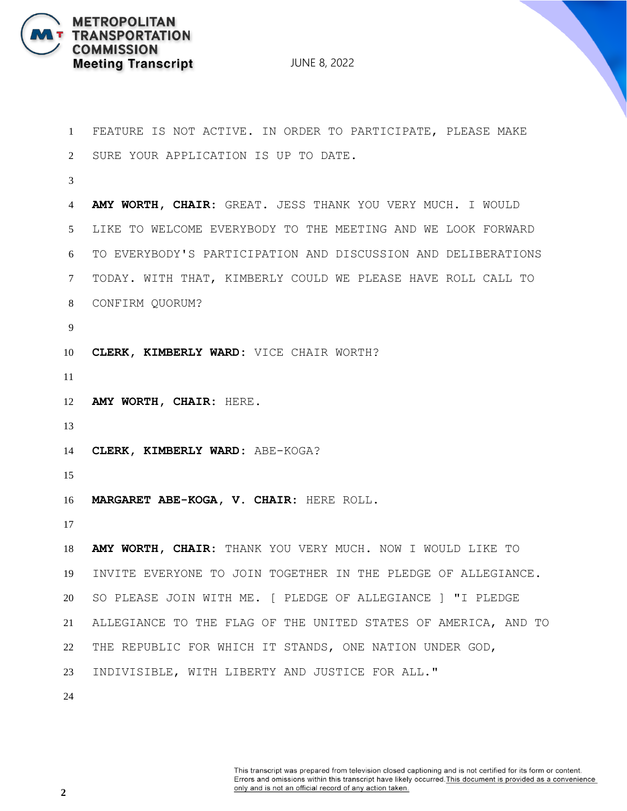

 FEATURE IS NOT ACTIVE. IN ORDER TO PARTICIPATE, PLEASE MAKE SURE YOUR APPLICATION IS UP TO DATE. **AMY WORTH, CHAIR:** GREAT. JESS THANK YOU VERY MUCH. I WOULD LIKE TO WELCOME EVERYBODY TO THE MEETING AND WE LOOK FORWARD TO EVERYBODY'S PARTICIPATION AND DISCUSSION AND DELIBERATIONS TODAY. WITH THAT, KIMBERLY COULD WE PLEASE HAVE ROLL CALL TO CONFIRM QUORUM? **CLERK, KIMBERLY WARD:** VICE CHAIR WORTH? **AMY WORTH, CHAIR:** HERE. **CLERK, KIMBERLY WARD:** ABE-KOGA? **MARGARET ABE-KOGA, V. CHAIR:** HERE ROLL. **AMY WORTH, CHAIR:** THANK YOU VERY MUCH. NOW I WOULD LIKE TO INVITE EVERYONE TO JOIN TOGETHER IN THE PLEDGE OF ALLEGIANCE. SO PLEASE JOIN WITH ME. [ PLEDGE OF ALLEGIANCE ] "I PLEDGE ALLEGIANCE TO THE FLAG OF THE UNITED STATES OF AMERICA, AND TO THE REPUBLIC FOR WHICH IT STANDS, ONE NATION UNDER GOD, INDIVISIBLE, WITH LIBERTY AND JUSTICE FOR ALL."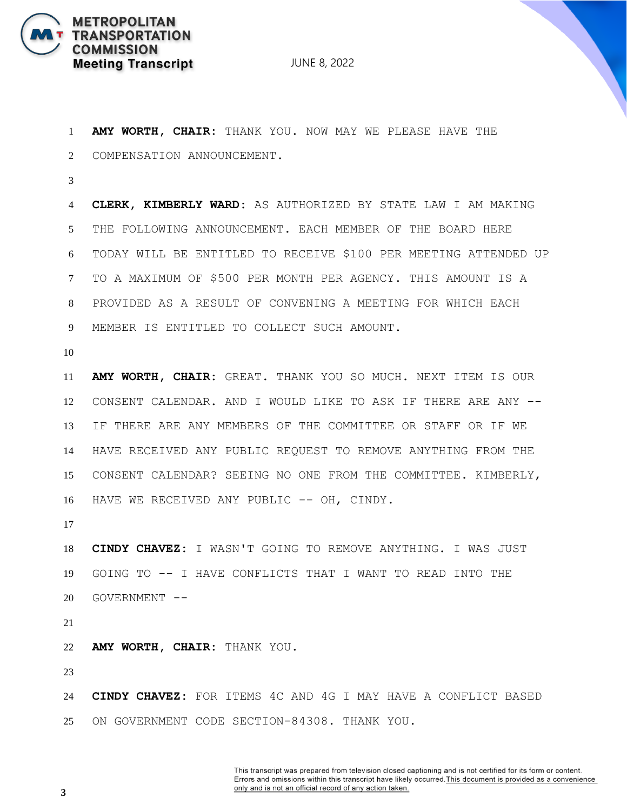

 **AMY WORTH, CHAIR:** THANK YOU. NOW MAY WE PLEASE HAVE THE COMPENSATION ANNOUNCEMENT. **CLERK, KIMBERLY WARD:** AS AUTHORIZED BY STATE LAW I AM MAKING THE FOLLOWING ANNOUNCEMENT. EACH MEMBER OF THE BOARD HERE TODAY WILL BE ENTITLED TO RECEIVE \$100 PER MEETING ATTENDED UP TO A MAXIMUM OF \$500 PER MONTH PER AGENCY. THIS AMOUNT IS A PROVIDED AS A RESULT OF CONVENING A MEETING FOR WHICH EACH MEMBER IS ENTITLED TO COLLECT SUCH AMOUNT. **AMY WORTH, CHAIR:** GREAT. THANK YOU SO MUCH. NEXT ITEM IS OUR CONSENT CALENDAR. AND I WOULD LIKE TO ASK IF THERE ARE ANY -- IF THERE ARE ANY MEMBERS OF THE COMMITTEE OR STAFF OR IF WE

 HAVE RECEIVED ANY PUBLIC REQUEST TO REMOVE ANYTHING FROM THE CONSENT CALENDAR? SEEING NO ONE FROM THE COMMITTEE. KIMBERLY, 16 HAVE WE RECEIVED ANY PUBLIC -- OH, CINDY.

 **CINDY CHAVEZ:** I WASN'T GOING TO REMOVE ANYTHING. I WAS JUST GOING TO -- I HAVE CONFLICTS THAT I WANT TO READ INTO THE GOVERNMENT --

**AMY WORTH, CHAIR:** THANK YOU.

 **CINDY CHAVEZ:** FOR ITEMS 4C AND 4G I MAY HAVE A CONFLICT BASED ON GOVERNMENT CODE SECTION-84308. THANK YOU.

> This transcript was prepared from television closed captioning and is not certified for its form or content. Errors and omissions within this transcript have likely occurred. This document is provided as a convenience only and is not an official record of any action taken.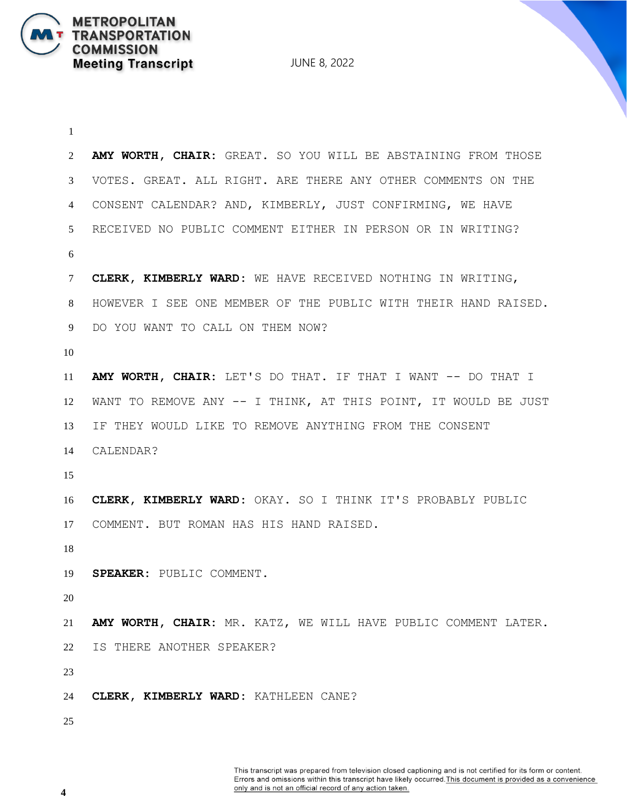JUNE 8, 2022

 **AMY WORTH, CHAIR:** GREAT. SO YOU WILL BE ABSTAINING FROM THOSE VOTES. GREAT. ALL RIGHT. ARE THERE ANY OTHER COMMENTS ON THE CONSENT CALENDAR? AND, KIMBERLY, JUST CONFIRMING, WE HAVE RECEIVED NO PUBLIC COMMENT EITHER IN PERSON OR IN WRITING? **CLERK, KIMBERLY WARD:** WE HAVE RECEIVED NOTHING IN WRITING, HOWEVER I SEE ONE MEMBER OF THE PUBLIC WITH THEIR HAND RAISED. DO YOU WANT TO CALL ON THEM NOW? **AMY WORTH, CHAIR:** LET'S DO THAT. IF THAT I WANT -- DO THAT I WANT TO REMOVE ANY -- I THINK, AT THIS POINT, IT WOULD BE JUST IF THEY WOULD LIKE TO REMOVE ANYTHING FROM THE CONSENT CALENDAR? **CLERK, KIMBERLY WARD:** OKAY. SO I THINK IT'S PROBABLY PUBLIC COMMENT. BUT ROMAN HAS HIS HAND RAISED. **SPEAKER:** PUBLIC COMMENT. **AMY WORTH, CHAIR:** MR. KATZ, WE WILL HAVE PUBLIC COMMENT LATER. IS THERE ANOTHER SPEAKER? **CLERK, KIMBERLY WARD:** KATHLEEN CANE?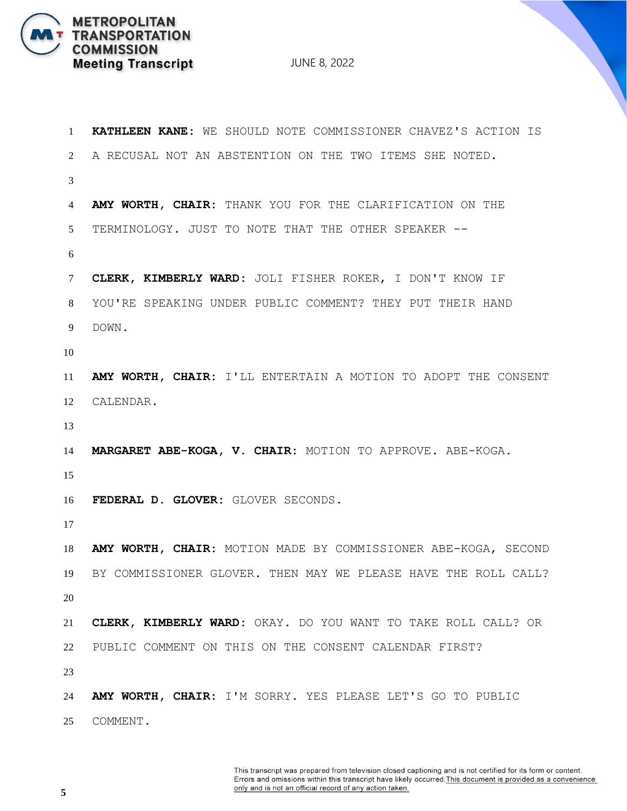

| $\mathbf{1}$ | KATHLEEN KANE: WE SHOULD NOTE COMMISSIONER CHAVEZ'S ACTION IS  |
|--------------|----------------------------------------------------------------|
| 2            | A RECUSAL NOT AN ABSTENTION ON THE TWO ITEMS SHE NOTED.        |
| 3            |                                                                |
| 4            | AMY WORTH, CHAIR: THANK YOU FOR THE CLARIFICATION ON THE       |
| 5            | TERMINOLOGY. JUST TO NOTE THAT THE OTHER SPEAKER --            |
| 6            |                                                                |
| 7            | CLERK, KIMBERLY WARD: JOLI FISHER ROKER, I DON'T KNOW IF       |
| 8            | YOU'RE SPEAKING UNDER PUBLIC COMMENT? THEY PUT THEIR HAND      |
| 9            | DOWN.                                                          |
| 10           |                                                                |
| 11           | AMY WORTH, CHAIR: I'LL ENTERTAIN A MOTION TO ADOPT THE CONSENT |
| 12           | CALENDAR.                                                      |
| 13           |                                                                |
| 14           | MARGARET ABE-KOGA, V. CHAIR: MOTION TO APPROVE. ABE-KOGA.      |
| 15           |                                                                |
| 16           | FEDERAL D. GLOVER: GLOVER SECONDS.                             |
| 17           |                                                                |
| 18           | AMY WORTH, CHAIR: MOTION MADE BY COMMISSIONER ABE-KOGA, SECOND |
| 19           | BY COMMISSIONER GLOVER. THEN MAY WE PLEASE HAVE THE ROLL CALL? |
| 20           |                                                                |
| 21           | CLERK, KIMBERLY WARD: OKAY. DO YOU WANT TO TAKE ROLL CALL? OR  |
| 22           | PUBLIC COMMENT ON THIS ON THE CONSENT CALENDAR FIRST?          |
| 23           |                                                                |
| 24           | AMY WORTH, CHAIR: I'M SORRY. YES PLEASE LET'S GO TO PUBLIC     |
| 25           | COMMENT.                                                       |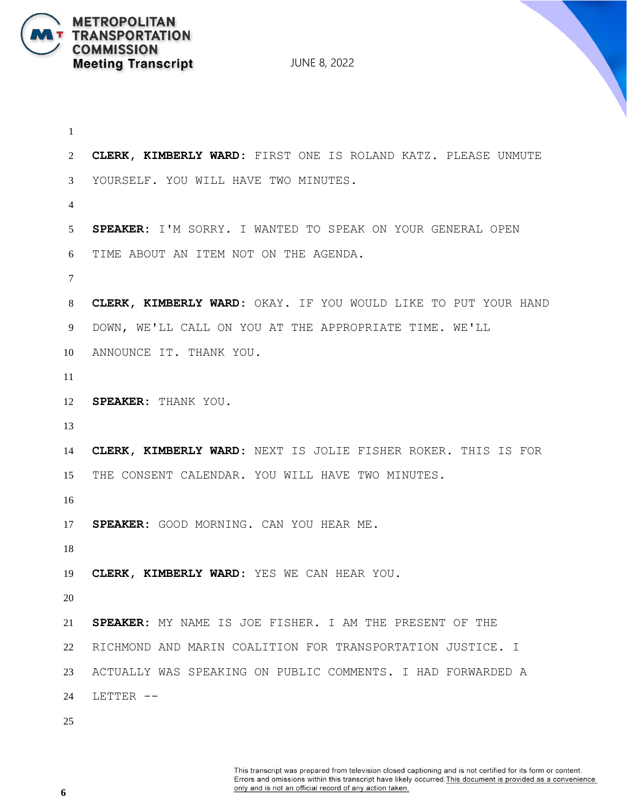JUNE 8, 2022

```
1
2 CLERK, KIMBERLY WARD: FIRST ONE IS ROLAND KATZ. PLEASE UNMUTE 
3 YOURSELF. YOU WILL HAVE TWO MINUTES.
4
5 SPEAKER: I'M SORRY. I WANTED TO SPEAK ON YOUR GENERAL OPEN
6 TIME ABOUT AN ITEM NOT ON THE AGENDA.
7
8 CLERK, KIMBERLY WARD: OKAY. IF YOU WOULD LIKE TO PUT YOUR HAND 
9 DOWN, WE'LL CALL ON YOU AT THE APPROPRIATE TIME. WE'LL
10 ANNOUNCE IT. THANK YOU.
11
12 SPEAKER: THANK YOU.
13
14 CLERK, KIMBERLY WARD: NEXT IS JOLIE FISHER ROKER. THIS IS FOR
15 THE CONSENT CALENDAR. YOU WILL HAVE TWO MINUTES.
16
17 SPEAKER: GOOD MORNING. CAN YOU HEAR ME.
18
19 CLERK, KIMBERLY WARD: YES WE CAN HEAR YOU.
20
21 SPEAKER: MY NAME IS JOE FISHER. I AM THE PRESENT OF THE
22 RICHMOND AND MARIN COALITION FOR TRANSPORTATION JUSTICE. I 
23 ACTUALLY WAS SPEAKING ON PUBLIC COMMENTS. I HAD FORWARDED A 
24 LETTER --
25
```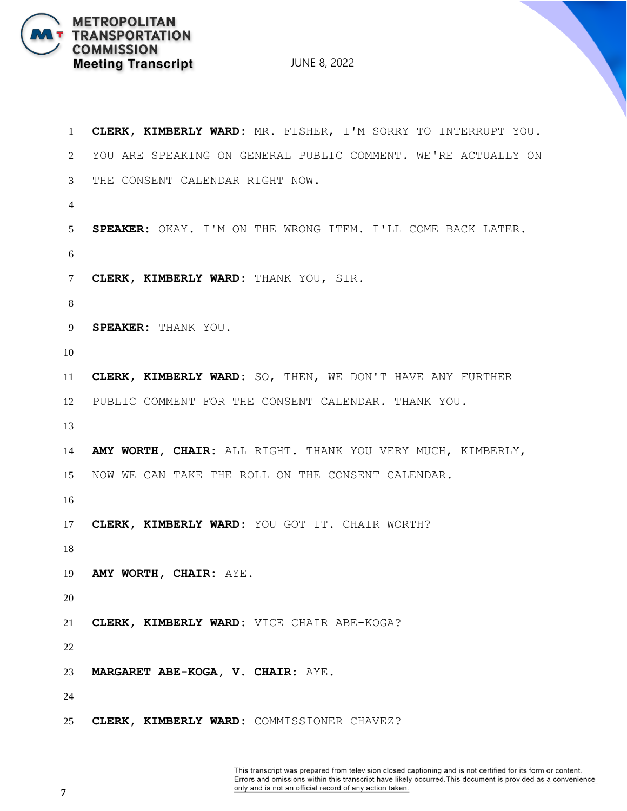JUNE 8, 2022

 **CLERK, KIMBERLY WARD:** MR. FISHER, I'M SORRY TO INTERRUPT YOU. YOU ARE SPEAKING ON GENERAL PUBLIC COMMENT. WE'RE ACTUALLY ON THE CONSENT CALENDAR RIGHT NOW. **SPEAKER:** OKAY. I'M ON THE WRONG ITEM. I'LL COME BACK LATER. **CLERK, KIMBERLY WARD:** THANK YOU, SIR. **SPEAKER:** THANK YOU. **CLERK, KIMBERLY WARD:** SO, THEN, WE DON'T HAVE ANY FURTHER PUBLIC COMMENT FOR THE CONSENT CALENDAR. THANK YOU. **AMY WORTH, CHAIR:** ALL RIGHT. THANK YOU VERY MUCH, KIMBERLY, NOW WE CAN TAKE THE ROLL ON THE CONSENT CALENDAR. **CLERK, KIMBERLY WARD:** YOU GOT IT. CHAIR WORTH? **AMY WORTH, CHAIR:** AYE. **CLERK, KIMBERLY WARD:** VICE CHAIR ABE-KOGA? **MARGARET ABE-KOGA, V. CHAIR:** AYE. **CLERK, KIMBERLY WARD:** COMMISSIONER CHAVEZ?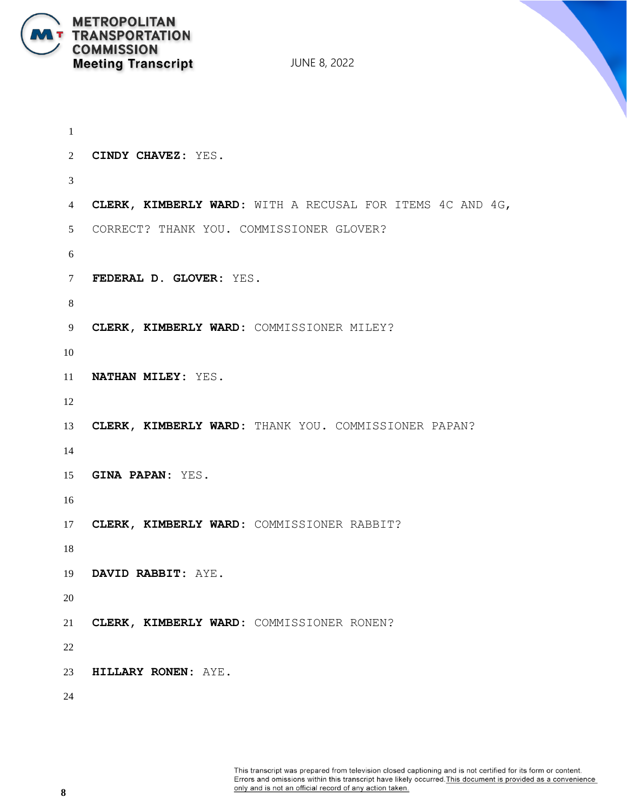

```
1
2 CINDY CHAVEZ: YES.
3
4 CLERK, KIMBERLY WARD: WITH A RECUSAL FOR ITEMS 4C AND 4G,
5 CORRECT? THANK YOU. COMMISSIONER GLOVER?
6
7 FEDERAL D. GLOVER: YES.
8
9 CLERK, KIMBERLY WARD: COMMISSIONER MILEY?
10
11 NATHAN MILEY: YES.
12
13 CLERK, KIMBERLY WARD: THANK YOU. COMMISSIONER PAPAN?
14
15 GINA PAPAN: YES.
16
17 CLERK, KIMBERLY WARD: COMMISSIONER RABBIT?
18
19 DAVID RABBIT: AYE.
20
21 CLERK, KIMBERLY WARD: COMMISSIONER RONEN?
22
23 HILLARY RONEN: AYE.
24
```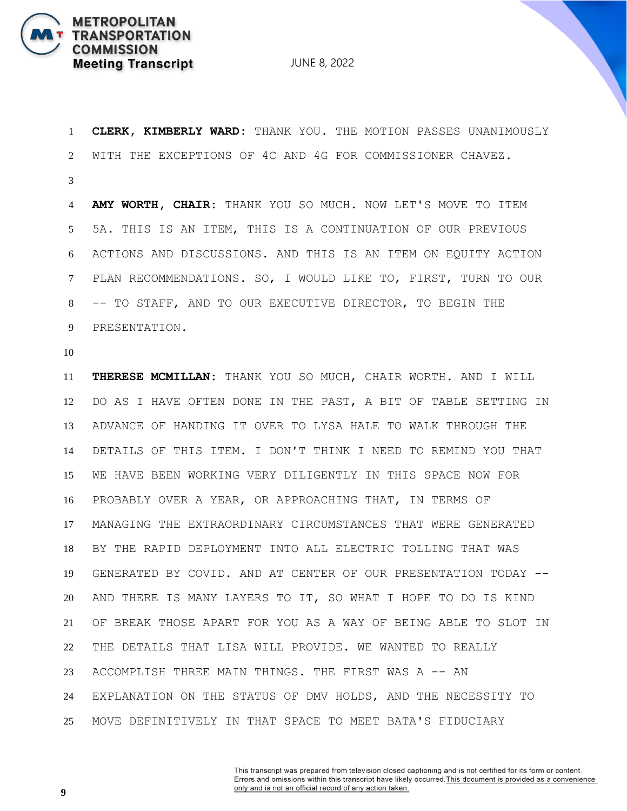

 **CLERK, KIMBERLY WARD:** THANK YOU. THE MOTION PASSES UNANIMOUSLY WITH THE EXCEPTIONS OF 4C AND 4G FOR COMMISSIONER CHAVEZ.

 **AMY WORTH, CHAIR:** THANK YOU SO MUCH. NOW LET'S MOVE TO ITEM 5A. THIS IS AN ITEM, THIS IS A CONTINUATION OF OUR PREVIOUS ACTIONS AND DISCUSSIONS. AND THIS IS AN ITEM ON EQUITY ACTION PLAN RECOMMENDATIONS. SO, I WOULD LIKE TO, FIRST, TURN TO OUR -- TO STAFF, AND TO OUR EXECUTIVE DIRECTOR, TO BEGIN THE PRESENTATION.

 **THERESE MCMILLAN:** THANK YOU SO MUCH, CHAIR WORTH. AND I WILL DO AS I HAVE OFTEN DONE IN THE PAST, A BIT OF TABLE SETTING IN ADVANCE OF HANDING IT OVER TO LYSA HALE TO WALK THROUGH THE DETAILS OF THIS ITEM. I DON'T THINK I NEED TO REMIND YOU THAT WE HAVE BEEN WORKING VERY DILIGENTLY IN THIS SPACE NOW FOR PROBABLY OVER A YEAR, OR APPROACHING THAT, IN TERMS OF MANAGING THE EXTRAORDINARY CIRCUMSTANCES THAT WERE GENERATED BY THE RAPID DEPLOYMENT INTO ALL ELECTRIC TOLLING THAT WAS GENERATED BY COVID. AND AT CENTER OF OUR PRESENTATION TODAY -- AND THERE IS MANY LAYERS TO IT, SO WHAT I HOPE TO DO IS KIND OF BREAK THOSE APART FOR YOU AS A WAY OF BEING ABLE TO SLOT IN THE DETAILS THAT LISA WILL PROVIDE. WE WANTED TO REALLY ACCOMPLISH THREE MAIN THINGS. THE FIRST WAS A -- AN EXPLANATION ON THE STATUS OF DMV HOLDS, AND THE NECESSITY TO MOVE DEFINITIVELY IN THAT SPACE TO MEET BATA'S FIDUCIARY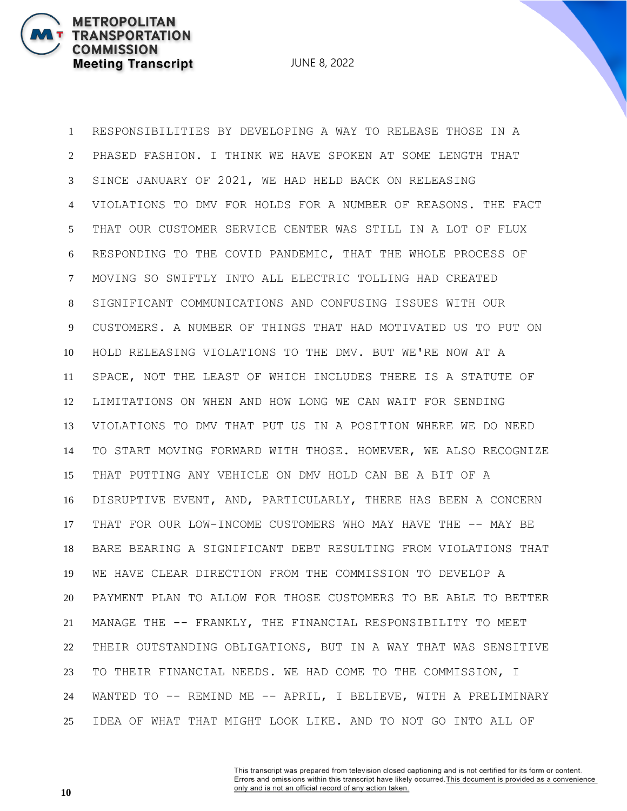**METROPOLITAN** 

**COMMISSION** 

**TRANSPORTATION** 

**Meeting Transcript** 

 RESPONSIBILITIES BY DEVELOPING A WAY TO RELEASE THOSE IN A PHASED FASHION. I THINK WE HAVE SPOKEN AT SOME LENGTH THAT SINCE JANUARY OF 2021, WE HAD HELD BACK ON RELEASING VIOLATIONS TO DMV FOR HOLDS FOR A NUMBER OF REASONS. THE FACT THAT OUR CUSTOMER SERVICE CENTER WAS STILL IN A LOT OF FLUX RESPONDING TO THE COVID PANDEMIC, THAT THE WHOLE PROCESS OF MOVING SO SWIFTLY INTO ALL ELECTRIC TOLLING HAD CREATED SIGNIFICANT COMMUNICATIONS AND CONFUSING ISSUES WITH OUR CUSTOMERS. A NUMBER OF THINGS THAT HAD MOTIVATED US TO PUT ON HOLD RELEASING VIOLATIONS TO THE DMV. BUT WE'RE NOW AT A SPACE, NOT THE LEAST OF WHICH INCLUDES THERE IS A STATUTE OF LIMITATIONS ON WHEN AND HOW LONG WE CAN WAIT FOR SENDING VIOLATIONS TO DMV THAT PUT US IN A POSITION WHERE WE DO NEED TO START MOVING FORWARD WITH THOSE. HOWEVER, WE ALSO RECOGNIZE THAT PUTTING ANY VEHICLE ON DMV HOLD CAN BE A BIT OF A DISRUPTIVE EVENT, AND, PARTICULARLY, THERE HAS BEEN A CONCERN 17 THAT FOR OUR LOW-INCOME CUSTOMERS WHO MAY HAVE THE -- MAY BE BARE BEARING A SIGNIFICANT DEBT RESULTING FROM VIOLATIONS THAT WE HAVE CLEAR DIRECTION FROM THE COMMISSION TO DEVELOP A PAYMENT PLAN TO ALLOW FOR THOSE CUSTOMERS TO BE ABLE TO BETTER MANAGE THE -- FRANKLY, THE FINANCIAL RESPONSIBILITY TO MEET THEIR OUTSTANDING OBLIGATIONS, BUT IN A WAY THAT WAS SENSITIVE TO THEIR FINANCIAL NEEDS. WE HAD COME TO THE COMMISSION, I WANTED TO -- REMIND ME -- APRIL, I BELIEVE, WITH A PRELIMINARY IDEA OF WHAT THAT MIGHT LOOK LIKE. AND TO NOT GO INTO ALL OF

> This transcript was prepared from television closed captioning and is not certified for its form or content. Errors and omissions within this transcript have likely occurred. This document is provided as a convenience only and is not an official record of any action taken.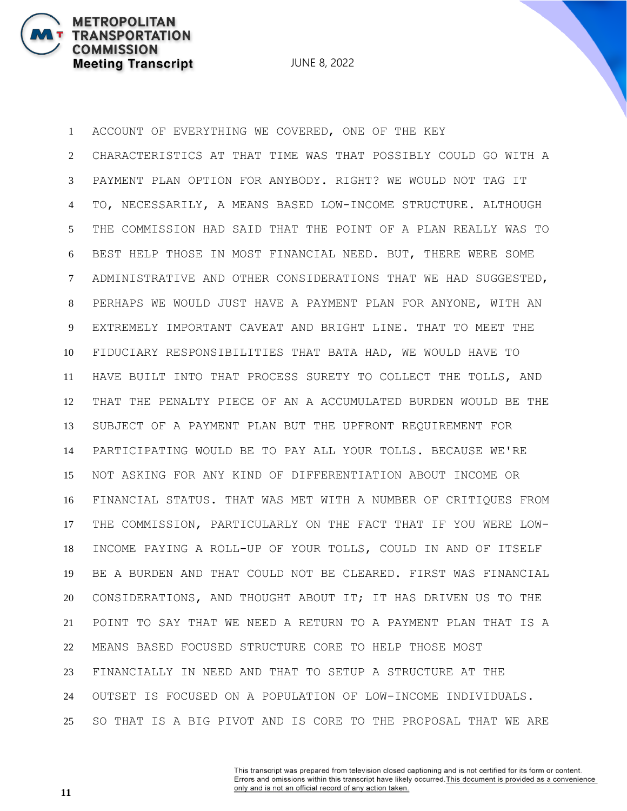**METROPOLITAN** 

**COMMISSION** 

**TRANSPORTATION** 

**Meeting Transcript** 

 ACCOUNT OF EVERYTHING WE COVERED, ONE OF THE KEY CHARACTERISTICS AT THAT TIME WAS THAT POSSIBLY COULD GO WITH A PAYMENT PLAN OPTION FOR ANYBODY. RIGHT? WE WOULD NOT TAG IT TO, NECESSARILY, A MEANS BASED LOW-INCOME STRUCTURE. ALTHOUGH THE COMMISSION HAD SAID THAT THE POINT OF A PLAN REALLY WAS TO BEST HELP THOSE IN MOST FINANCIAL NEED. BUT, THERE WERE SOME ADMINISTRATIVE AND OTHER CONSIDERATIONS THAT WE HAD SUGGESTED, PERHAPS WE WOULD JUST HAVE A PAYMENT PLAN FOR ANYONE, WITH AN EXTREMELY IMPORTANT CAVEAT AND BRIGHT LINE. THAT TO MEET THE FIDUCIARY RESPONSIBILITIES THAT BATA HAD, WE WOULD HAVE TO HAVE BUILT INTO THAT PROCESS SURETY TO COLLECT THE TOLLS, AND THAT THE PENALTY PIECE OF AN A ACCUMULATED BURDEN WOULD BE THE SUBJECT OF A PAYMENT PLAN BUT THE UPFRONT REQUIREMENT FOR PARTICIPATING WOULD BE TO PAY ALL YOUR TOLLS. BECAUSE WE'RE NOT ASKING FOR ANY KIND OF DIFFERENTIATION ABOUT INCOME OR FINANCIAL STATUS. THAT WAS MET WITH A NUMBER OF CRITIQUES FROM THE COMMISSION, PARTICULARLY ON THE FACT THAT IF YOU WERE LOW- INCOME PAYING A ROLL-UP OF YOUR TOLLS, COULD IN AND OF ITSELF BE A BURDEN AND THAT COULD NOT BE CLEARED. FIRST WAS FINANCIAL CONSIDERATIONS, AND THOUGHT ABOUT IT; IT HAS DRIVEN US TO THE POINT TO SAY THAT WE NEED A RETURN TO A PAYMENT PLAN THAT IS A MEANS BASED FOCUSED STRUCTURE CORE TO HELP THOSE MOST FINANCIALLY IN NEED AND THAT TO SETUP A STRUCTURE AT THE OUTSET IS FOCUSED ON A POPULATION OF LOW-INCOME INDIVIDUALS. SO THAT IS A BIG PIVOT AND IS CORE TO THE PROPOSAL THAT WE ARE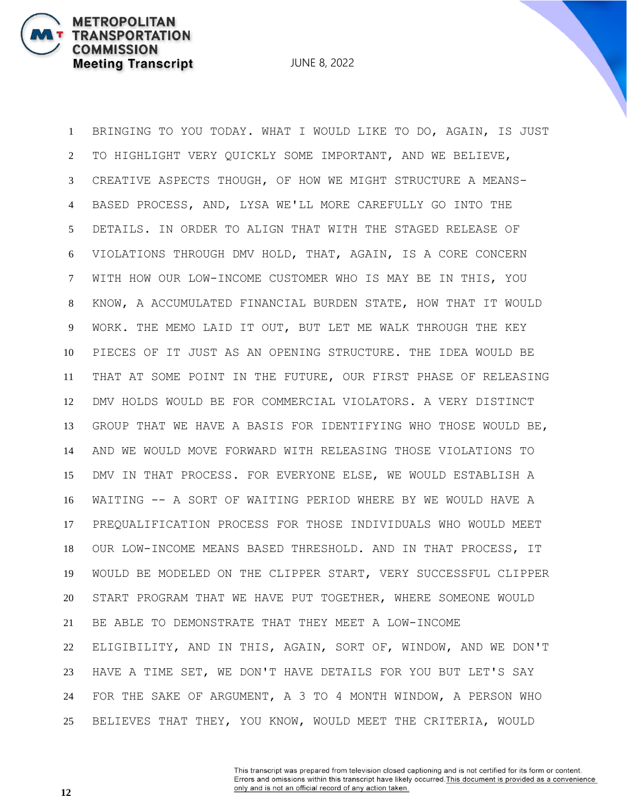**METROPOLITAN** 

**COMMISSION** 

**TRANSPORTATION** 

**Meeting Transcript** 

 BRINGING TO YOU TODAY. WHAT I WOULD LIKE TO DO, AGAIN, IS JUST TO HIGHLIGHT VERY QUICKLY SOME IMPORTANT, AND WE BELIEVE, CREATIVE ASPECTS THOUGH, OF HOW WE MIGHT STRUCTURE A MEANS- BASED PROCESS, AND, LYSA WE'LL MORE CAREFULLY GO INTO THE DETAILS. IN ORDER TO ALIGN THAT WITH THE STAGED RELEASE OF VIOLATIONS THROUGH DMV HOLD, THAT, AGAIN, IS A CORE CONCERN WITH HOW OUR LOW-INCOME CUSTOMER WHO IS MAY BE IN THIS, YOU KNOW, A ACCUMULATED FINANCIAL BURDEN STATE, HOW THAT IT WOULD WORK. THE MEMO LAID IT OUT, BUT LET ME WALK THROUGH THE KEY PIECES OF IT JUST AS AN OPENING STRUCTURE. THE IDEA WOULD BE THAT AT SOME POINT IN THE FUTURE, OUR FIRST PHASE OF RELEASING DMV HOLDS WOULD BE FOR COMMERCIAL VIOLATORS. A VERY DISTINCT GROUP THAT WE HAVE A BASIS FOR IDENTIFYING WHO THOSE WOULD BE, AND WE WOULD MOVE FORWARD WITH RELEASING THOSE VIOLATIONS TO DMV IN THAT PROCESS. FOR EVERYONE ELSE, WE WOULD ESTABLISH A WAITING -- A SORT OF WAITING PERIOD WHERE BY WE WOULD HAVE A PREQUALIFICATION PROCESS FOR THOSE INDIVIDUALS WHO WOULD MEET OUR LOW-INCOME MEANS BASED THRESHOLD. AND IN THAT PROCESS, IT WOULD BE MODELED ON THE CLIPPER START, VERY SUCCESSFUL CLIPPER START PROGRAM THAT WE HAVE PUT TOGETHER, WHERE SOMEONE WOULD BE ABLE TO DEMONSTRATE THAT THEY MEET A LOW-INCOME ELIGIBILITY, AND IN THIS, AGAIN, SORT OF, WINDOW, AND WE DON'T HAVE A TIME SET, WE DON'T HAVE DETAILS FOR YOU BUT LET'S SAY FOR THE SAKE OF ARGUMENT, A 3 TO 4 MONTH WINDOW, A PERSON WHO BELIEVES THAT THEY, YOU KNOW, WOULD MEET THE CRITERIA, WOULD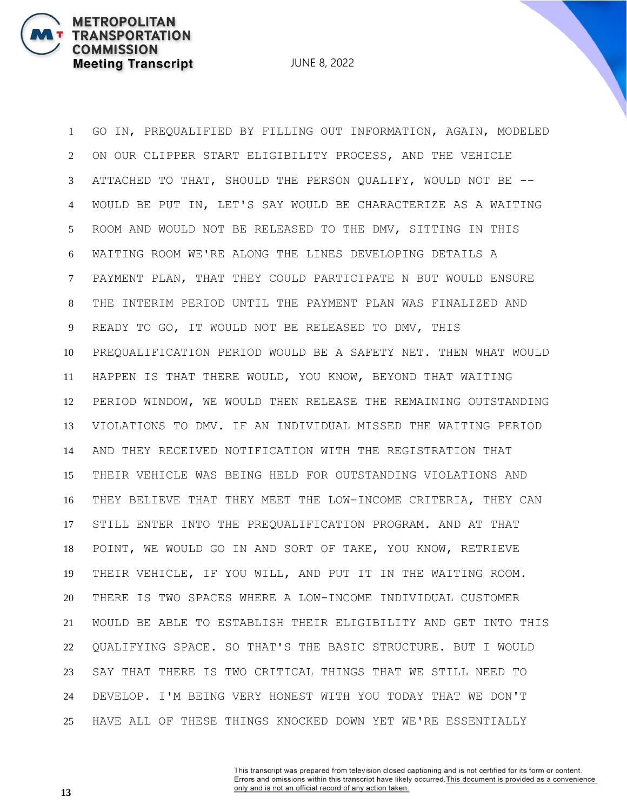JUNE 8, 2022

 GO IN, PREQUALIFIED BY FILLING OUT INFORMATION, AGAIN, MODELED ON OUR CLIPPER START ELIGIBILITY PROCESS, AND THE VEHICLE ATTACHED TO THAT, SHOULD THE PERSON QUALIFY, WOULD NOT BE -- WOULD BE PUT IN, LET'S SAY WOULD BE CHARACTERIZE AS A WAITING ROOM AND WOULD NOT BE RELEASED TO THE DMV, SITTING IN THIS WAITING ROOM WE'RE ALONG THE LINES DEVELOPING DETAILS A PAYMENT PLAN, THAT THEY COULD PARTICIPATE N BUT WOULD ENSURE THE INTERIM PERIOD UNTIL THE PAYMENT PLAN WAS FINALIZED AND READY TO GO, IT WOULD NOT BE RELEASED TO DMV, THIS PREQUALIFICATION PERIOD WOULD BE A SAFETY NET. THEN WHAT WOULD HAPPEN IS THAT THERE WOULD, YOU KNOW, BEYOND THAT WAITING PERIOD WINDOW, WE WOULD THEN RELEASE THE REMAINING OUTSTANDING VIOLATIONS TO DMV. IF AN INDIVIDUAL MISSED THE WAITING PERIOD AND THEY RECEIVED NOTIFICATION WITH THE REGISTRATION THAT THEIR VEHICLE WAS BEING HELD FOR OUTSTANDING VIOLATIONS AND THEY BELIEVE THAT THEY MEET THE LOW-INCOME CRITERIA, THEY CAN STILL ENTER INTO THE PREQUALIFICATION PROGRAM. AND AT THAT POINT, WE WOULD GO IN AND SORT OF TAKE, YOU KNOW, RETRIEVE THEIR VEHICLE, IF YOU WILL, AND PUT IT IN THE WAITING ROOM. THERE IS TWO SPACES WHERE A LOW-INCOME INDIVIDUAL CUSTOMER WOULD BE ABLE TO ESTABLISH THEIR ELIGIBILITY AND GET INTO THIS QUALIFYING SPACE. SO THAT'S THE BASIC STRUCTURE. BUT I WOULD SAY THAT THERE IS TWO CRITICAL THINGS THAT WE STILL NEED TO DEVELOP. I'M BEING VERY HONEST WITH YOU TODAY THAT WE DON'T HAVE ALL OF THESE THINGS KNOCKED DOWN YET WE'RE ESSENTIALLY

> This transcript was prepared from television closed captioning and is not certified for its form or content. Errors and omissions within this transcript have likely occurred. This document is provided as a convenience only and is not an official record of any action taken.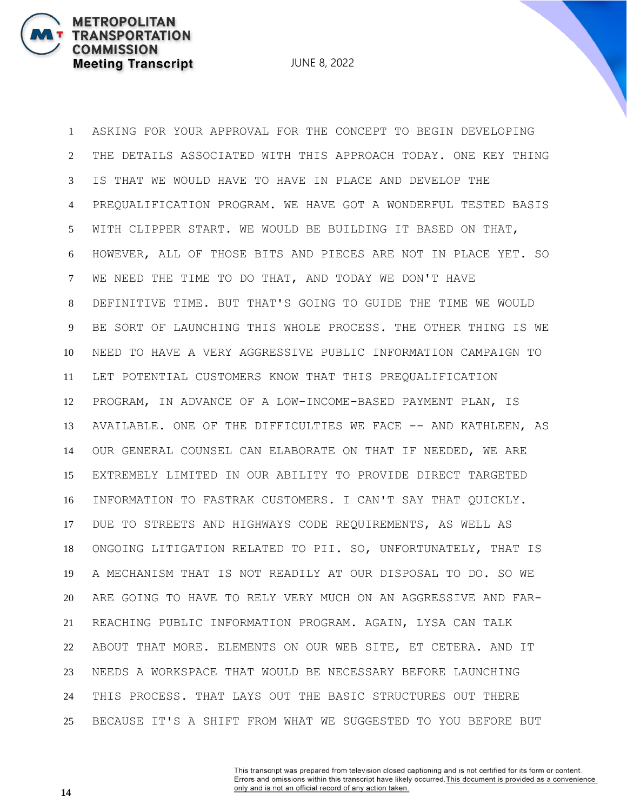JUNE 8, 2022

 ASKING FOR YOUR APPROVAL FOR THE CONCEPT TO BEGIN DEVELOPING THE DETAILS ASSOCIATED WITH THIS APPROACH TODAY. ONE KEY THING IS THAT WE WOULD HAVE TO HAVE IN PLACE AND DEVELOP THE PREQUALIFICATION PROGRAM. WE HAVE GOT A WONDERFUL TESTED BASIS WITH CLIPPER START. WE WOULD BE BUILDING IT BASED ON THAT, HOWEVER, ALL OF THOSE BITS AND PIECES ARE NOT IN PLACE YET. SO WE NEED THE TIME TO DO THAT, AND TODAY WE DON'T HAVE DEFINITIVE TIME. BUT THAT'S GOING TO GUIDE THE TIME WE WOULD BE SORT OF LAUNCHING THIS WHOLE PROCESS. THE OTHER THING IS WE NEED TO HAVE A VERY AGGRESSIVE PUBLIC INFORMATION CAMPAIGN TO LET POTENTIAL CUSTOMERS KNOW THAT THIS PREQUALIFICATION PROGRAM, IN ADVANCE OF A LOW-INCOME-BASED PAYMENT PLAN, IS 13 AVAILABLE. ONE OF THE DIFFICULTIES WE FACE -- AND KATHLEEN, AS OUR GENERAL COUNSEL CAN ELABORATE ON THAT IF NEEDED, WE ARE EXTREMELY LIMITED IN OUR ABILITY TO PROVIDE DIRECT TARGETED INFORMATION TO FASTRAK CUSTOMERS. I CAN'T SAY THAT QUICKLY. DUE TO STREETS AND HIGHWAYS CODE REQUIREMENTS, AS WELL AS ONGOING LITIGATION RELATED TO PII. SO, UNFORTUNATELY, THAT IS A MECHANISM THAT IS NOT READILY AT OUR DISPOSAL TO DO. SO WE ARE GOING TO HAVE TO RELY VERY MUCH ON AN AGGRESSIVE AND FAR- REACHING PUBLIC INFORMATION PROGRAM. AGAIN, LYSA CAN TALK ABOUT THAT MORE. ELEMENTS ON OUR WEB SITE, ET CETERA. AND IT NEEDS A WORKSPACE THAT WOULD BE NECESSARY BEFORE LAUNCHING THIS PROCESS. THAT LAYS OUT THE BASIC STRUCTURES OUT THERE BECAUSE IT'S A SHIFT FROM WHAT WE SUGGESTED TO YOU BEFORE BUT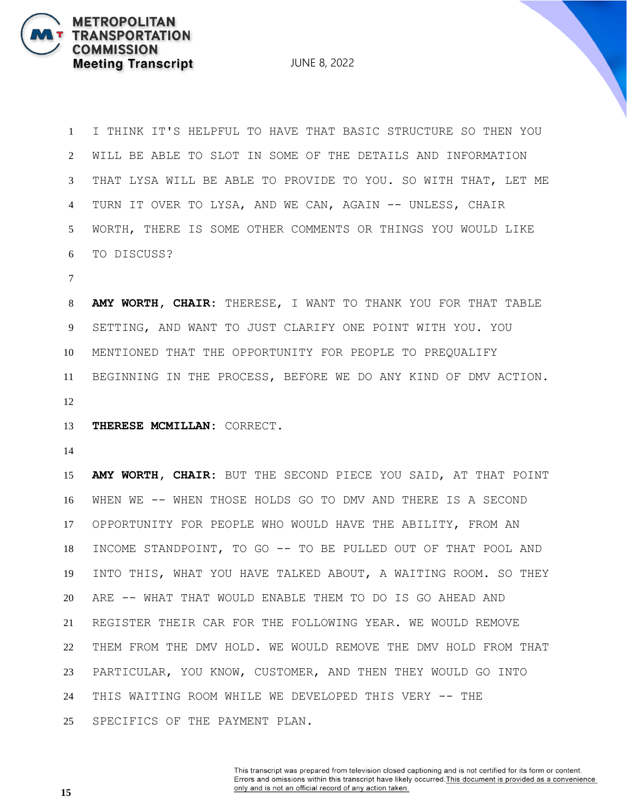JUNE 8, 2022

 I THINK IT'S HELPFUL TO HAVE THAT BASIC STRUCTURE SO THEN YOU WILL BE ABLE TO SLOT IN SOME OF THE DETAILS AND INFORMATION THAT LYSA WILL BE ABLE TO PROVIDE TO YOU. SO WITH THAT, LET ME TURN IT OVER TO LYSA, AND WE CAN, AGAIN -- UNLESS, CHAIR WORTH, THERE IS SOME OTHER COMMENTS OR THINGS YOU WOULD LIKE TO DISCUSS?

 **AMY WORTH, CHAIR:** THERESE, I WANT TO THANK YOU FOR THAT TABLE SETTING, AND WANT TO JUST CLARIFY ONE POINT WITH YOU. YOU MENTIONED THAT THE OPPORTUNITY FOR PEOPLE TO PREQUALIFY BEGINNING IN THE PROCESS, BEFORE WE DO ANY KIND OF DMV ACTION. 

**THERESE MCMILLAN:** CORRECT.

 **AMY WORTH, CHAIR:** BUT THE SECOND PIECE YOU SAID, AT THAT POINT WHEN WE -- WHEN THOSE HOLDS GO TO DMV AND THERE IS A SECOND OPPORTUNITY FOR PEOPLE WHO WOULD HAVE THE ABILITY, FROM AN INCOME STANDPOINT, TO GO -- TO BE PULLED OUT OF THAT POOL AND INTO THIS, WHAT YOU HAVE TALKED ABOUT, A WAITING ROOM. SO THEY ARE -- WHAT THAT WOULD ENABLE THEM TO DO IS GO AHEAD AND REGISTER THEIR CAR FOR THE FOLLOWING YEAR. WE WOULD REMOVE THEM FROM THE DMV HOLD. WE WOULD REMOVE THE DMV HOLD FROM THAT PARTICULAR, YOU KNOW, CUSTOMER, AND THEN THEY WOULD GO INTO THIS WAITING ROOM WHILE WE DEVELOPED THIS VERY -- THE SPECIFICS OF THE PAYMENT PLAN.

> This transcript was prepared from television closed captioning and is not certified for its form or content. Errors and omissions within this transcript have likely occurred. This document is provided as a convenience only and is not an official record of any action taken.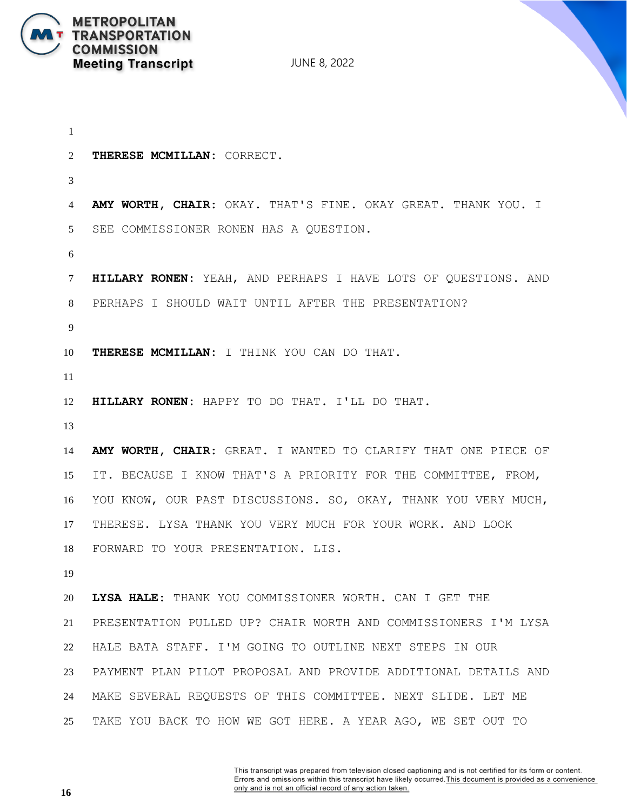

```
1
2 THERESE MCMILLAN: CORRECT.
3
4 AMY WORTH, CHAIR: OKAY. THAT'S FINE. OKAY GREAT. THANK YOU. I 
5 SEE COMMISSIONER RONEN HAS A QUESTION.
6
7 HILLARY RONEN: YEAH, AND PERHAPS I HAVE LOTS OF QUESTIONS. AND 
8 PERHAPS I SHOULD WAIT UNTIL AFTER THE PRESENTATION?
9
10 THERESE MCMILLAN: I THINK YOU CAN DO THAT.
11
12 HILLARY RONEN: HAPPY TO DO THAT. I'LL DO THAT.
13
14 AMY WORTH, CHAIR: GREAT. I WANTED TO CLARIFY THAT ONE PIECE OF 
15 IT. BECAUSE I KNOW THAT'S A PRIORITY FOR THE COMMITTEE, FROM, 
16 YOU KNOW, OUR PAST DISCUSSIONS. SO, OKAY, THANK YOU VERY MUCH, 
17 THERESE. LYSA THANK YOU VERY MUCH FOR YOUR WORK. AND LOOK 
18 FORWARD TO YOUR PRESENTATION. LIS.
19
20 LYSA HALE: THANK YOU COMMISSIONER WORTH. CAN I GET THE 
21 PRESENTATION PULLED UP? CHAIR WORTH AND COMMISSIONERS I'M LYSA 
22 HALE BATA STAFF. I'M GOING TO OUTLINE NEXT STEPS IN OUR 
23 PAYMENT PLAN PILOT PROPOSAL AND PROVIDE ADDITIONAL DETAILS AND 
24 MAKE SEVERAL REQUESTS OF THIS COMMITTEE. NEXT SLIDE. LET ME 
25 TAKE YOU BACK TO HOW WE GOT HERE. A YEAR AGO, WE SET OUT TO
```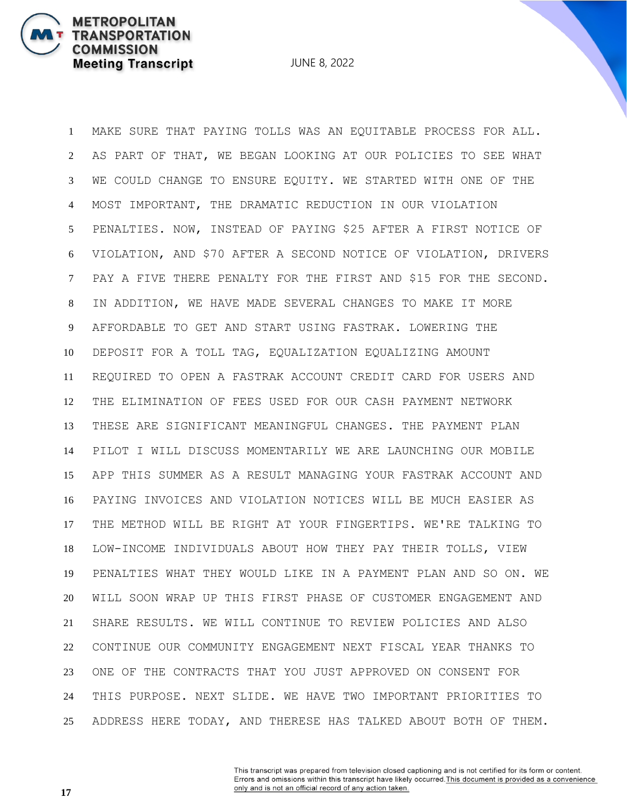JUNE 8, 2022

 MAKE SURE THAT PAYING TOLLS WAS AN EQUITABLE PROCESS FOR ALL. AS PART OF THAT, WE BEGAN LOOKING AT OUR POLICIES TO SEE WHAT WE COULD CHANGE TO ENSURE EQUITY. WE STARTED WITH ONE OF THE MOST IMPORTANT, THE DRAMATIC REDUCTION IN OUR VIOLATION PENALTIES. NOW, INSTEAD OF PAYING \$25 AFTER A FIRST NOTICE OF VIOLATION, AND \$70 AFTER A SECOND NOTICE OF VIOLATION, DRIVERS PAY A FIVE THERE PENALTY FOR THE FIRST AND \$15 FOR THE SECOND. IN ADDITION, WE HAVE MADE SEVERAL CHANGES TO MAKE IT MORE AFFORDABLE TO GET AND START USING FASTRAK. LOWERING THE DEPOSIT FOR A TOLL TAG, EQUALIZATION EQUALIZING AMOUNT REQUIRED TO OPEN A FASTRAK ACCOUNT CREDIT CARD FOR USERS AND THE ELIMINATION OF FEES USED FOR OUR CASH PAYMENT NETWORK THESE ARE SIGNIFICANT MEANINGFUL CHANGES. THE PAYMENT PLAN PILOT I WILL DISCUSS MOMENTARILY WE ARE LAUNCHING OUR MOBILE APP THIS SUMMER AS A RESULT MANAGING YOUR FASTRAK ACCOUNT AND PAYING INVOICES AND VIOLATION NOTICES WILL BE MUCH EASIER AS THE METHOD WILL BE RIGHT AT YOUR FINGERTIPS. WE'RE TALKING TO LOW-INCOME INDIVIDUALS ABOUT HOW THEY PAY THEIR TOLLS, VIEW PENALTIES WHAT THEY WOULD LIKE IN A PAYMENT PLAN AND SO ON. WE WILL SOON WRAP UP THIS FIRST PHASE OF CUSTOMER ENGAGEMENT AND SHARE RESULTS. WE WILL CONTINUE TO REVIEW POLICIES AND ALSO CONTINUE OUR COMMUNITY ENGAGEMENT NEXT FISCAL YEAR THANKS TO ONE OF THE CONTRACTS THAT YOU JUST APPROVED ON CONSENT FOR THIS PURPOSE. NEXT SLIDE. WE HAVE TWO IMPORTANT PRIORITIES TO ADDRESS HERE TODAY, AND THERESE HAS TALKED ABOUT BOTH OF THEM.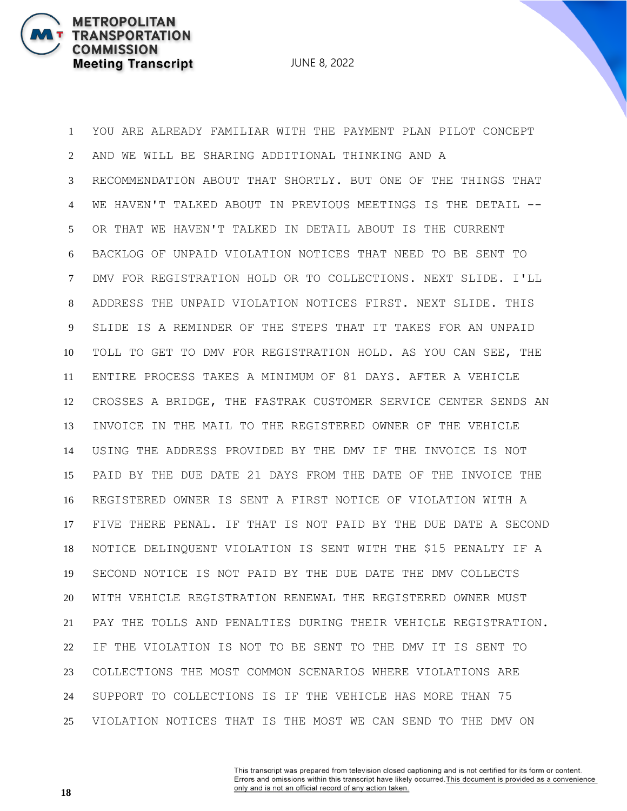JUNE 8, 2022

 YOU ARE ALREADY FAMILIAR WITH THE PAYMENT PLAN PILOT CONCEPT AND WE WILL BE SHARING ADDITIONAL THINKING AND A RECOMMENDATION ABOUT THAT SHORTLY. BUT ONE OF THE THINGS THAT WE HAVEN'T TALKED ABOUT IN PREVIOUS MEETINGS IS THE DETAIL -- OR THAT WE HAVEN'T TALKED IN DETAIL ABOUT IS THE CURRENT BACKLOG OF UNPAID VIOLATION NOTICES THAT NEED TO BE SENT TO DMV FOR REGISTRATION HOLD OR TO COLLECTIONS. NEXT SLIDE. I'LL ADDRESS THE UNPAID VIOLATION NOTICES FIRST. NEXT SLIDE. THIS SLIDE IS A REMINDER OF THE STEPS THAT IT TAKES FOR AN UNPAID TOLL TO GET TO DMV FOR REGISTRATION HOLD. AS YOU CAN SEE, THE ENTIRE PROCESS TAKES A MINIMUM OF 81 DAYS. AFTER A VEHICLE CROSSES A BRIDGE, THE FASTRAK CUSTOMER SERVICE CENTER SENDS AN INVOICE IN THE MAIL TO THE REGISTERED OWNER OF THE VEHICLE USING THE ADDRESS PROVIDED BY THE DMV IF THE INVOICE IS NOT PAID BY THE DUE DATE 21 DAYS FROM THE DATE OF THE INVOICE THE REGISTERED OWNER IS SENT A FIRST NOTICE OF VIOLATION WITH A FIVE THERE PENAL. IF THAT IS NOT PAID BY THE DUE DATE A SECOND NOTICE DELINQUENT VIOLATION IS SENT WITH THE \$15 PENALTY IF A SECOND NOTICE IS NOT PAID BY THE DUE DATE THE DMV COLLECTS WITH VEHICLE REGISTRATION RENEWAL THE REGISTERED OWNER MUST PAY THE TOLLS AND PENALTIES DURING THEIR VEHICLE REGISTRATION. IF THE VIOLATION IS NOT TO BE SENT TO THE DMV IT IS SENT TO COLLECTIONS THE MOST COMMON SCENARIOS WHERE VIOLATIONS ARE SUPPORT TO COLLECTIONS IS IF THE VEHICLE HAS MORE THAN 75 VIOLATION NOTICES THAT IS THE MOST WE CAN SEND TO THE DMV ON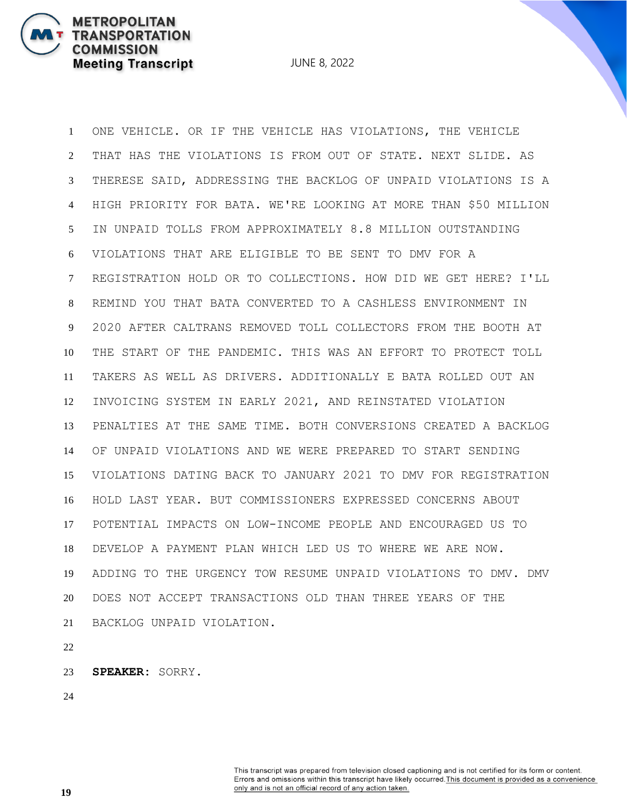JUNE 8, 2022

 ONE VEHICLE. OR IF THE VEHICLE HAS VIOLATIONS, THE VEHICLE THAT HAS THE VIOLATIONS IS FROM OUT OF STATE. NEXT SLIDE. AS THERESE SAID, ADDRESSING THE BACKLOG OF UNPAID VIOLATIONS IS A HIGH PRIORITY FOR BATA. WE'RE LOOKING AT MORE THAN \$50 MILLION IN UNPAID TOLLS FROM APPROXIMATELY 8.8 MILLION OUTSTANDING VIOLATIONS THAT ARE ELIGIBLE TO BE SENT TO DMV FOR A REGISTRATION HOLD OR TO COLLECTIONS. HOW DID WE GET HERE? I'LL REMIND YOU THAT BATA CONVERTED TO A CASHLESS ENVIRONMENT IN 2020 AFTER CALTRANS REMOVED TOLL COLLECTORS FROM THE BOOTH AT THE START OF THE PANDEMIC. THIS WAS AN EFFORT TO PROTECT TOLL TAKERS AS WELL AS DRIVERS. ADDITIONALLY E BATA ROLLED OUT AN INVOICING SYSTEM IN EARLY 2021, AND REINSTATED VIOLATION PENALTIES AT THE SAME TIME. BOTH CONVERSIONS CREATED A BACKLOG OF UNPAID VIOLATIONS AND WE WERE PREPARED TO START SENDING VIOLATIONS DATING BACK TO JANUARY 2021 TO DMV FOR REGISTRATION HOLD LAST YEAR. BUT COMMISSIONERS EXPRESSED CONCERNS ABOUT POTENTIAL IMPACTS ON LOW-INCOME PEOPLE AND ENCOURAGED US TO DEVELOP A PAYMENT PLAN WHICH LED US TO WHERE WE ARE NOW. ADDING TO THE URGENCY TOW RESUME UNPAID VIOLATIONS TO DMV. DMV DOES NOT ACCEPT TRANSACTIONS OLD THAN THREE YEARS OF THE BACKLOG UNPAID VIOLATION.

**SPEAKER:** SORRY.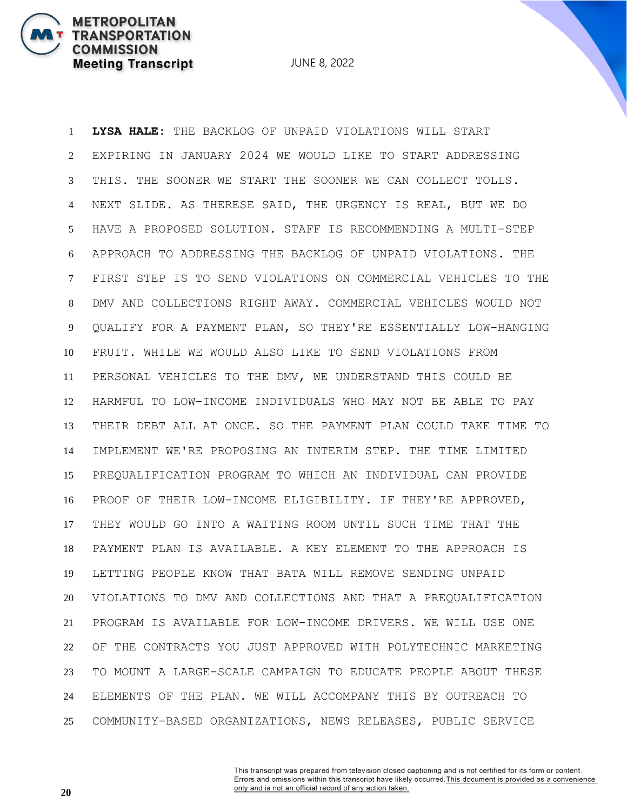**METROPOLITAN** 

**COMMISSION** 

**TRANSPORTATION** 

**Meeting Transcript** 

 **LYSA HALE:** THE BACKLOG OF UNPAID VIOLATIONS WILL START EXPIRING IN JANUARY 2024 WE WOULD LIKE TO START ADDRESSING THIS. THE SOONER WE START THE SOONER WE CAN COLLECT TOLLS. NEXT SLIDE. AS THERESE SAID, THE URGENCY IS REAL, BUT WE DO HAVE A PROPOSED SOLUTION. STAFF IS RECOMMENDING A MULTI-STEP APPROACH TO ADDRESSING THE BACKLOG OF UNPAID VIOLATIONS. THE FIRST STEP IS TO SEND VIOLATIONS ON COMMERCIAL VEHICLES TO THE DMV AND COLLECTIONS RIGHT AWAY. COMMERCIAL VEHICLES WOULD NOT QUALIFY FOR A PAYMENT PLAN, SO THEY'RE ESSENTIALLY LOW-HANGING FRUIT. WHILE WE WOULD ALSO LIKE TO SEND VIOLATIONS FROM PERSONAL VEHICLES TO THE DMV, WE UNDERSTAND THIS COULD BE HARMFUL TO LOW-INCOME INDIVIDUALS WHO MAY NOT BE ABLE TO PAY THEIR DEBT ALL AT ONCE. SO THE PAYMENT PLAN COULD TAKE TIME TO IMPLEMENT WE'RE PROPOSING AN INTERIM STEP. THE TIME LIMITED PREQUALIFICATION PROGRAM TO WHICH AN INDIVIDUAL CAN PROVIDE PROOF OF THEIR LOW-INCOME ELIGIBILITY. IF THEY'RE APPROVED, THEY WOULD GO INTO A WAITING ROOM UNTIL SUCH TIME THAT THE PAYMENT PLAN IS AVAILABLE. A KEY ELEMENT TO THE APPROACH IS LETTING PEOPLE KNOW THAT BATA WILL REMOVE SENDING UNPAID VIOLATIONS TO DMV AND COLLECTIONS AND THAT A PREQUALIFICATION PROGRAM IS AVAILABLE FOR LOW-INCOME DRIVERS. WE WILL USE ONE OF THE CONTRACTS YOU JUST APPROVED WITH POLYTECHNIC MARKETING TO MOUNT A LARGE-SCALE CAMPAIGN TO EDUCATE PEOPLE ABOUT THESE ELEMENTS OF THE PLAN. WE WILL ACCOMPANY THIS BY OUTREACH TO COMMUNITY-BASED ORGANIZATIONS, NEWS RELEASES, PUBLIC SERVICE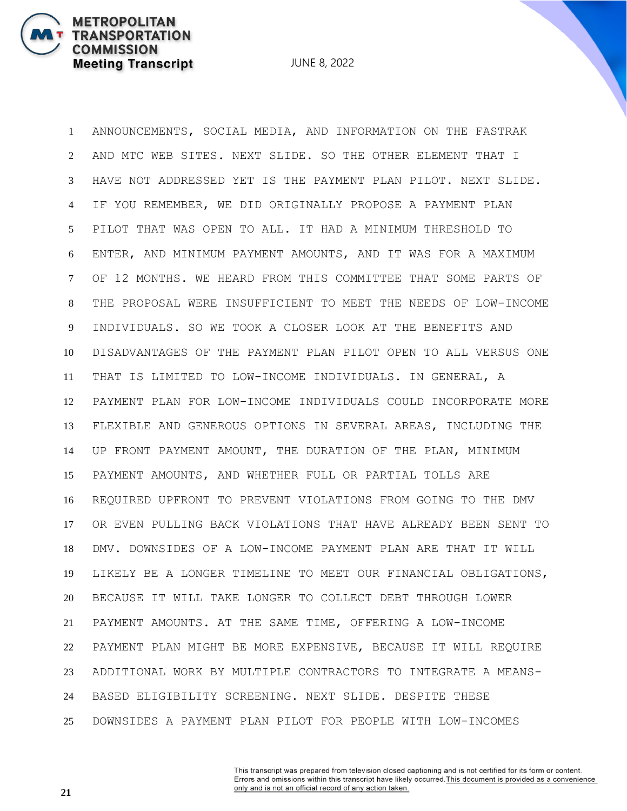**METROPOLITAN** 

**COMMISSION** 

**TRANSPORTATION** 

**Meeting Transcript** 

 ANNOUNCEMENTS, SOCIAL MEDIA, AND INFORMATION ON THE FASTRAK AND MTC WEB SITES. NEXT SLIDE. SO THE OTHER ELEMENT THAT I HAVE NOT ADDRESSED YET IS THE PAYMENT PLAN PILOT. NEXT SLIDE. IF YOU REMEMBER, WE DID ORIGINALLY PROPOSE A PAYMENT PLAN PILOT THAT WAS OPEN TO ALL. IT HAD A MINIMUM THRESHOLD TO ENTER, AND MINIMUM PAYMENT AMOUNTS, AND IT WAS FOR A MAXIMUM OF 12 MONTHS. WE HEARD FROM THIS COMMITTEE THAT SOME PARTS OF THE PROPOSAL WERE INSUFFICIENT TO MEET THE NEEDS OF LOW-INCOME INDIVIDUALS. SO WE TOOK A CLOSER LOOK AT THE BENEFITS AND DISADVANTAGES OF THE PAYMENT PLAN PILOT OPEN TO ALL VERSUS ONE THAT IS LIMITED TO LOW-INCOME INDIVIDUALS. IN GENERAL, A PAYMENT PLAN FOR LOW-INCOME INDIVIDUALS COULD INCORPORATE MORE FLEXIBLE AND GENEROUS OPTIONS IN SEVERAL AREAS, INCLUDING THE UP FRONT PAYMENT AMOUNT, THE DURATION OF THE PLAN, MINIMUM PAYMENT AMOUNTS, AND WHETHER FULL OR PARTIAL TOLLS ARE REQUIRED UPFRONT TO PREVENT VIOLATIONS FROM GOING TO THE DMV OR EVEN PULLING BACK VIOLATIONS THAT HAVE ALREADY BEEN SENT TO DMV. DOWNSIDES OF A LOW-INCOME PAYMENT PLAN ARE THAT IT WILL LIKELY BE A LONGER TIMELINE TO MEET OUR FINANCIAL OBLIGATIONS, BECAUSE IT WILL TAKE LONGER TO COLLECT DEBT THROUGH LOWER PAYMENT AMOUNTS. AT THE SAME TIME, OFFERING A LOW-INCOME PAYMENT PLAN MIGHT BE MORE EXPENSIVE, BECAUSE IT WILL REQUIRE ADDITIONAL WORK BY MULTIPLE CONTRACTORS TO INTEGRATE A MEANS- BASED ELIGIBILITY SCREENING. NEXT SLIDE. DESPITE THESE DOWNSIDES A PAYMENT PLAN PILOT FOR PEOPLE WITH LOW-INCOMES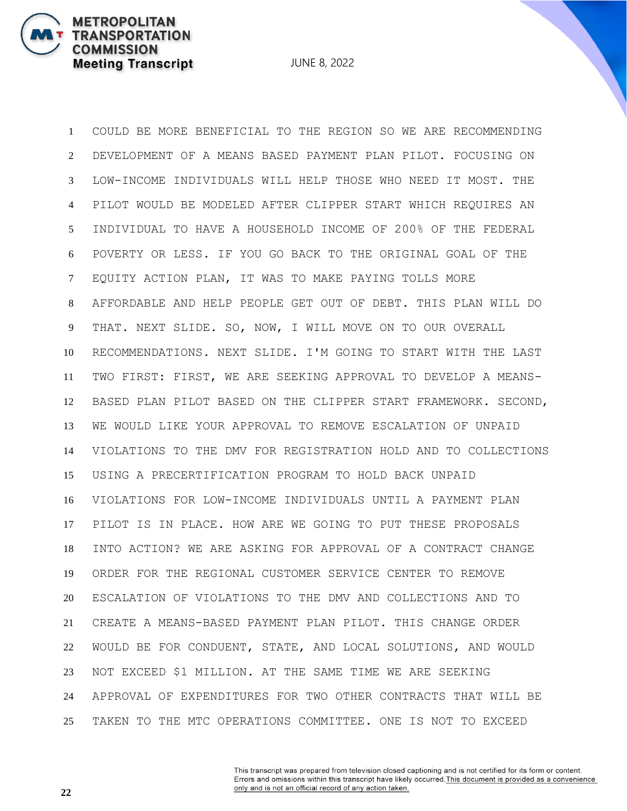JUNE 8, 2022

 COULD BE MORE BENEFICIAL TO THE REGION SO WE ARE RECOMMENDING DEVELOPMENT OF A MEANS BASED PAYMENT PLAN PILOT. FOCUSING ON LOW-INCOME INDIVIDUALS WILL HELP THOSE WHO NEED IT MOST. THE PILOT WOULD BE MODELED AFTER CLIPPER START WHICH REQUIRES AN INDIVIDUAL TO HAVE A HOUSEHOLD INCOME OF 200% OF THE FEDERAL POVERTY OR LESS. IF YOU GO BACK TO THE ORIGINAL GOAL OF THE EQUITY ACTION PLAN, IT WAS TO MAKE PAYING TOLLS MORE AFFORDABLE AND HELP PEOPLE GET OUT OF DEBT. THIS PLAN WILL DO THAT. NEXT SLIDE. SO, NOW, I WILL MOVE ON TO OUR OVERALL RECOMMENDATIONS. NEXT SLIDE. I'M GOING TO START WITH THE LAST TWO FIRST: FIRST, WE ARE SEEKING APPROVAL TO DEVELOP A MEANS- BASED PLAN PILOT BASED ON THE CLIPPER START FRAMEWORK. SECOND, WE WOULD LIKE YOUR APPROVAL TO REMOVE ESCALATION OF UNPAID VIOLATIONS TO THE DMV FOR REGISTRATION HOLD AND TO COLLECTIONS USING A PRECERTIFICATION PROGRAM TO HOLD BACK UNPAID VIOLATIONS FOR LOW-INCOME INDIVIDUALS UNTIL A PAYMENT PLAN PILOT IS IN PLACE. HOW ARE WE GOING TO PUT THESE PROPOSALS INTO ACTION? WE ARE ASKING FOR APPROVAL OF A CONTRACT CHANGE ORDER FOR THE REGIONAL CUSTOMER SERVICE CENTER TO REMOVE ESCALATION OF VIOLATIONS TO THE DMV AND COLLECTIONS AND TO CREATE A MEANS-BASED PAYMENT PLAN PILOT. THIS CHANGE ORDER WOULD BE FOR CONDUENT, STATE, AND LOCAL SOLUTIONS, AND WOULD NOT EXCEED \$1 MILLION. AT THE SAME TIME WE ARE SEEKING APPROVAL OF EXPENDITURES FOR TWO OTHER CONTRACTS THAT WILL BE TAKEN TO THE MTC OPERATIONS COMMITTEE. ONE IS NOT TO EXCEED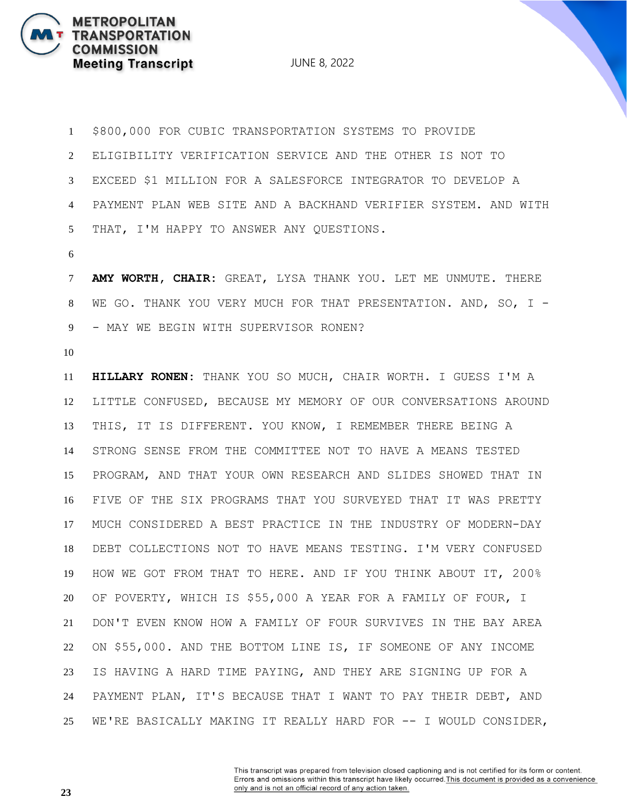JUNE 8, 2022

 \$800,000 FOR CUBIC TRANSPORTATION SYSTEMS TO PROVIDE ELIGIBILITY VERIFICATION SERVICE AND THE OTHER IS NOT TO EXCEED \$1 MILLION FOR A SALESFORCE INTEGRATOR TO DEVELOP A PAYMENT PLAN WEB SITE AND A BACKHAND VERIFIER SYSTEM. AND WITH THAT, I'M HAPPY TO ANSWER ANY QUESTIONS.

 **AMY WORTH, CHAIR:** GREAT, LYSA THANK YOU. LET ME UNMUTE. THERE WE GO. THANK YOU VERY MUCH FOR THAT PRESENTATION. AND, SO, I - - MAY WE BEGIN WITH SUPERVISOR RONEN?

 **HILLARY RONEN:** THANK YOU SO MUCH, CHAIR WORTH. I GUESS I'M A LITTLE CONFUSED, BECAUSE MY MEMORY OF OUR CONVERSATIONS AROUND THIS, IT IS DIFFERENT. YOU KNOW, I REMEMBER THERE BEING A STRONG SENSE FROM THE COMMITTEE NOT TO HAVE A MEANS TESTED PROGRAM, AND THAT YOUR OWN RESEARCH AND SLIDES SHOWED THAT IN FIVE OF THE SIX PROGRAMS THAT YOU SURVEYED THAT IT WAS PRETTY MUCH CONSIDERED A BEST PRACTICE IN THE INDUSTRY OF MODERN-DAY DEBT COLLECTIONS NOT TO HAVE MEANS TESTING. I'M VERY CONFUSED HOW WE GOT FROM THAT TO HERE. AND IF YOU THINK ABOUT IT, 200% OF POVERTY, WHICH IS \$55,000 A YEAR FOR A FAMILY OF FOUR, I DON'T EVEN KNOW HOW A FAMILY OF FOUR SURVIVES IN THE BAY AREA ON \$55,000. AND THE BOTTOM LINE IS, IF SOMEONE OF ANY INCOME IS HAVING A HARD TIME PAYING, AND THEY ARE SIGNING UP FOR A PAYMENT PLAN, IT'S BECAUSE THAT I WANT TO PAY THEIR DEBT, AND WE'RE BASICALLY MAKING IT REALLY HARD FOR -- I WOULD CONSIDER,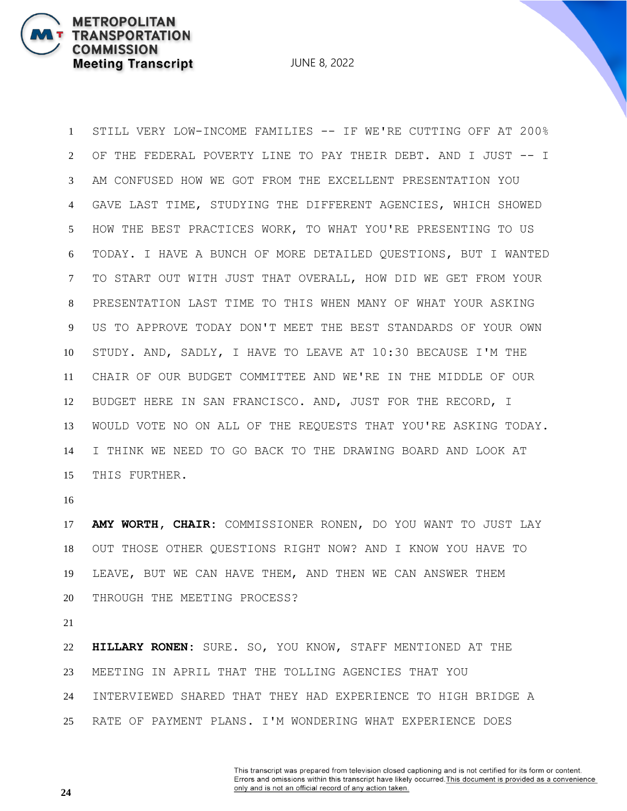JUNE 8, 2022

 STILL VERY LOW-INCOME FAMILIES -- IF WE'RE CUTTING OFF AT 200% OF THE FEDERAL POVERTY LINE TO PAY THEIR DEBT. AND I JUST -- I AM CONFUSED HOW WE GOT FROM THE EXCELLENT PRESENTATION YOU GAVE LAST TIME, STUDYING THE DIFFERENT AGENCIES, WHICH SHOWED HOW THE BEST PRACTICES WORK, TO WHAT YOU'RE PRESENTING TO US TODAY. I HAVE A BUNCH OF MORE DETAILED QUESTIONS, BUT I WANTED TO START OUT WITH JUST THAT OVERALL, HOW DID WE GET FROM YOUR PRESENTATION LAST TIME TO THIS WHEN MANY OF WHAT YOUR ASKING US TO APPROVE TODAY DON'T MEET THE BEST STANDARDS OF YOUR OWN STUDY. AND, SADLY, I HAVE TO LEAVE AT 10:30 BECAUSE I'M THE CHAIR OF OUR BUDGET COMMITTEE AND WE'RE IN THE MIDDLE OF OUR BUDGET HERE IN SAN FRANCISCO. AND, JUST FOR THE RECORD, I WOULD VOTE NO ON ALL OF THE REQUESTS THAT YOU'RE ASKING TODAY. I THINK WE NEED TO GO BACK TO THE DRAWING BOARD AND LOOK AT THIS FURTHER.

 **AMY WORTH, CHAIR:** COMMISSIONER RONEN, DO YOU WANT TO JUST LAY OUT THOSE OTHER QUESTIONS RIGHT NOW? AND I KNOW YOU HAVE TO LEAVE, BUT WE CAN HAVE THEM, AND THEN WE CAN ANSWER THEM THROUGH THE MEETING PROCESS?

 **HILLARY RONEN:** SURE. SO, YOU KNOW, STAFF MENTIONED AT THE MEETING IN APRIL THAT THE TOLLING AGENCIES THAT YOU INTERVIEWED SHARED THAT THEY HAD EXPERIENCE TO HIGH BRIDGE A RATE OF PAYMENT PLANS. I'M WONDERING WHAT EXPERIENCE DOES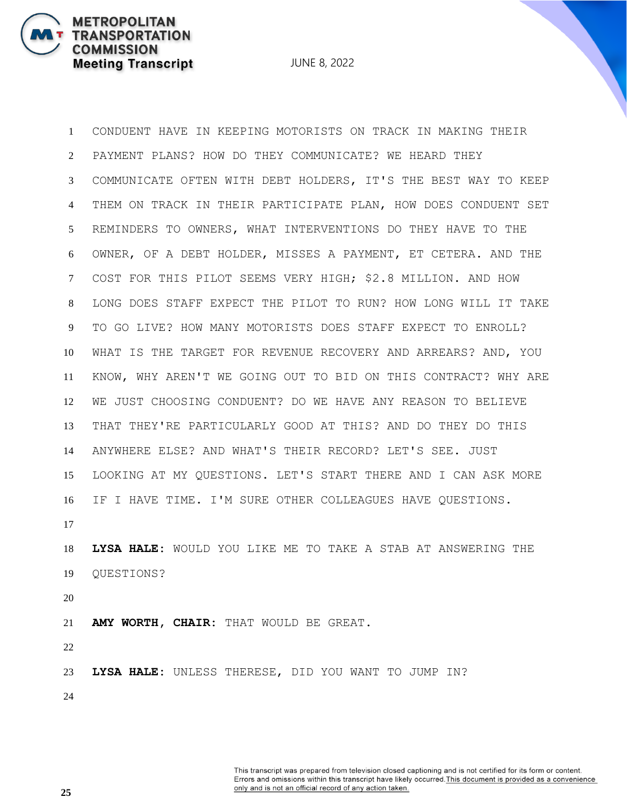JUNE 8, 2022

 CONDUENT HAVE IN KEEPING MOTORISTS ON TRACK IN MAKING THEIR PAYMENT PLANS? HOW DO THEY COMMUNICATE? WE HEARD THEY COMMUNICATE OFTEN WITH DEBT HOLDERS, IT'S THE BEST WAY TO KEEP THEM ON TRACK IN THEIR PARTICIPATE PLAN, HOW DOES CONDUENT SET REMINDERS TO OWNERS, WHAT INTERVENTIONS DO THEY HAVE TO THE OWNER, OF A DEBT HOLDER, MISSES A PAYMENT, ET CETERA. AND THE COST FOR THIS PILOT SEEMS VERY HIGH; \$2.8 MILLION. AND HOW LONG DOES STAFF EXPECT THE PILOT TO RUN? HOW LONG WILL IT TAKE TO GO LIVE? HOW MANY MOTORISTS DOES STAFF EXPECT TO ENROLL? WHAT IS THE TARGET FOR REVENUE RECOVERY AND ARREARS? AND, YOU KNOW, WHY AREN'T WE GOING OUT TO BID ON THIS CONTRACT? WHY ARE WE JUST CHOOSING CONDUENT? DO WE HAVE ANY REASON TO BELIEVE THAT THEY'RE PARTICULARLY GOOD AT THIS? AND DO THEY DO THIS ANYWHERE ELSE? AND WHAT'S THEIR RECORD? LET'S SEE. JUST LOOKING AT MY QUESTIONS. LET'S START THERE AND I CAN ASK MORE IF I HAVE TIME. I'M SURE OTHER COLLEAGUES HAVE QUESTIONS. **LYSA HALE:** WOULD YOU LIKE ME TO TAKE A STAB AT ANSWERING THE QUESTIONS? **AMY WORTH, CHAIR:** THAT WOULD BE GREAT. **LYSA HALE:** UNLESS THERESE, DID YOU WANT TO JUMP IN?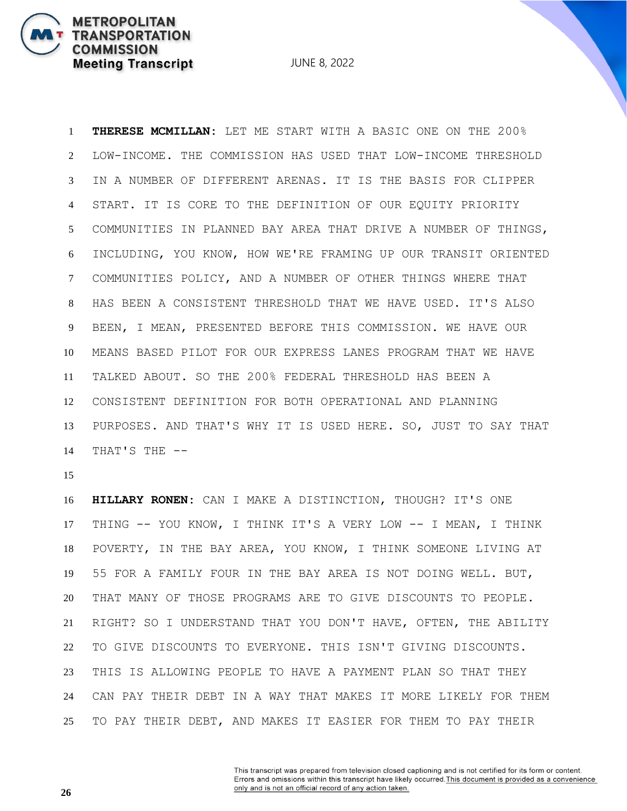**THERESE MCMILLAN:** LET ME START WITH A BASIC ONE ON THE 200% LOW-INCOME. THE COMMISSION HAS USED THAT LOW-INCOME THRESHOLD IN A NUMBER OF DIFFERENT ARENAS. IT IS THE BASIS FOR CLIPPER START. IT IS CORE TO THE DEFINITION OF OUR EQUITY PRIORITY COMMUNITIES IN PLANNED BAY AREA THAT DRIVE A NUMBER OF THINGS, INCLUDING, YOU KNOW, HOW WE'RE FRAMING UP OUR TRANSIT ORIENTED COMMUNITIES POLICY, AND A NUMBER OF OTHER THINGS WHERE THAT HAS BEEN A CONSISTENT THRESHOLD THAT WE HAVE USED. IT'S ALSO BEEN, I MEAN, PRESENTED BEFORE THIS COMMISSION. WE HAVE OUR MEANS BASED PILOT FOR OUR EXPRESS LANES PROGRAM THAT WE HAVE TALKED ABOUT. SO THE 200% FEDERAL THRESHOLD HAS BEEN A CONSISTENT DEFINITION FOR BOTH OPERATIONAL AND PLANNING PURPOSES. AND THAT'S WHY IT IS USED HERE. SO, JUST TO SAY THAT THAT'S THE --

**METROPOLITAN** 

**COMMISSION** 

**TRANSPORTATION** 

**Meeting Transcript** 

 **HILLARY RONEN:** CAN I MAKE A DISTINCTION, THOUGH? IT'S ONE THING -- YOU KNOW, I THINK IT'S A VERY LOW -- I MEAN, I THINK POVERTY, IN THE BAY AREA, YOU KNOW, I THINK SOMEONE LIVING AT 55 FOR A FAMILY FOUR IN THE BAY AREA IS NOT DOING WELL. BUT, THAT MANY OF THOSE PROGRAMS ARE TO GIVE DISCOUNTS TO PEOPLE. RIGHT? SO I UNDERSTAND THAT YOU DON'T HAVE, OFTEN, THE ABILITY TO GIVE DISCOUNTS TO EVERYONE. THIS ISN'T GIVING DISCOUNTS. THIS IS ALLOWING PEOPLE TO HAVE A PAYMENT PLAN SO THAT THEY CAN PAY THEIR DEBT IN A WAY THAT MAKES IT MORE LIKELY FOR THEM TO PAY THEIR DEBT, AND MAKES IT EASIER FOR THEM TO PAY THEIR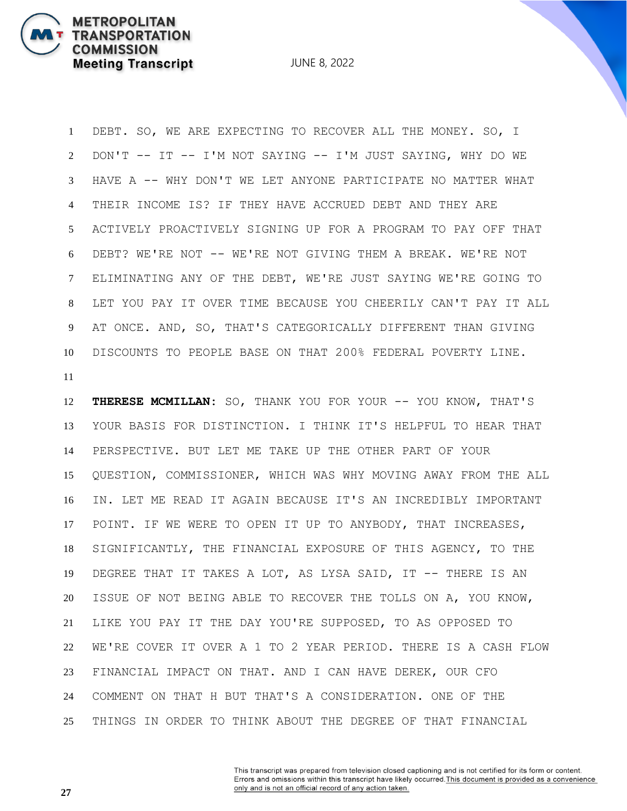JUNE 8, 2022

 DEBT. SO, WE ARE EXPECTING TO RECOVER ALL THE MONEY. SO, I DON'T -- IT -- I'M NOT SAYING -- I'M JUST SAYING, WHY DO WE HAVE A -- WHY DON'T WE LET ANYONE PARTICIPATE NO MATTER WHAT THEIR INCOME IS? IF THEY HAVE ACCRUED DEBT AND THEY ARE ACTIVELY PROACTIVELY SIGNING UP FOR A PROGRAM TO PAY OFF THAT DEBT? WE'RE NOT -- WE'RE NOT GIVING THEM A BREAK. WE'RE NOT ELIMINATING ANY OF THE DEBT, WE'RE JUST SAYING WE'RE GOING TO LET YOU PAY IT OVER TIME BECAUSE YOU CHEERILY CAN'T PAY IT ALL AT ONCE. AND, SO, THAT'S CATEGORICALLY DIFFERENT THAN GIVING DISCOUNTS TO PEOPLE BASE ON THAT 200% FEDERAL POVERTY LINE. 

 **THERESE MCMILLAN:** SO, THANK YOU FOR YOUR -- YOU KNOW, THAT'S YOUR BASIS FOR DISTINCTION. I THINK IT'S HELPFUL TO HEAR THAT PERSPECTIVE. BUT LET ME TAKE UP THE OTHER PART OF YOUR QUESTION, COMMISSIONER, WHICH WAS WHY MOVING AWAY FROM THE ALL IN. LET ME READ IT AGAIN BECAUSE IT'S AN INCREDIBLY IMPORTANT POINT. IF WE WERE TO OPEN IT UP TO ANYBODY, THAT INCREASES, SIGNIFICANTLY, THE FINANCIAL EXPOSURE OF THIS AGENCY, TO THE DEGREE THAT IT TAKES A LOT, AS LYSA SAID, IT -- THERE IS AN ISSUE OF NOT BEING ABLE TO RECOVER THE TOLLS ON A, YOU KNOW, LIKE YOU PAY IT THE DAY YOU'RE SUPPOSED, TO AS OPPOSED TO WE'RE COVER IT OVER A 1 TO 2 YEAR PERIOD. THERE IS A CASH FLOW FINANCIAL IMPACT ON THAT. AND I CAN HAVE DEREK, OUR CFO COMMENT ON THAT H BUT THAT'S A CONSIDERATION. ONE OF THE THINGS IN ORDER TO THINK ABOUT THE DEGREE OF THAT FINANCIAL

> This transcript was prepared from television closed captioning and is not certified for its form or content. Errors and omissions within this transcript have likely occurred. This document is provided as a convenience only and is not an official record of any action taken.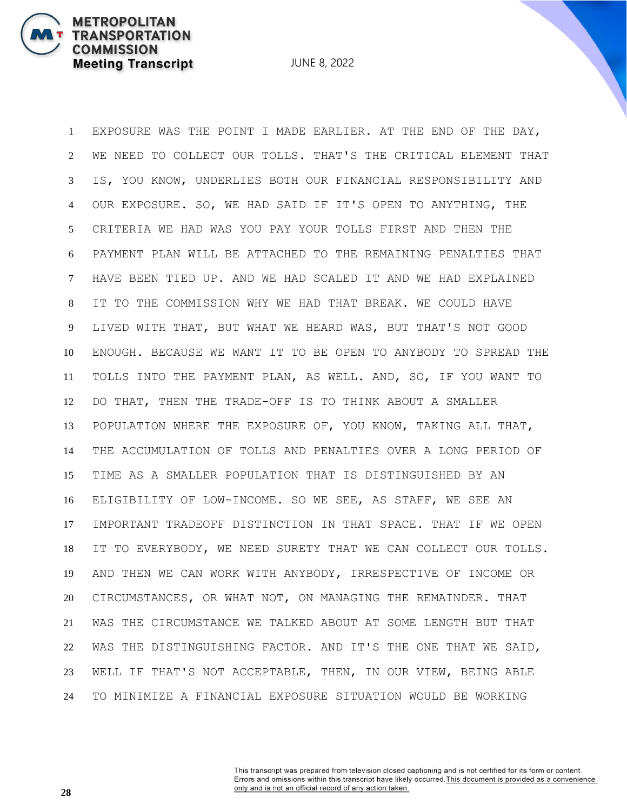JUNE 8, 2022

 EXPOSURE WAS THE POINT I MADE EARLIER. AT THE END OF THE DAY, WE NEED TO COLLECT OUR TOLLS. THAT'S THE CRITICAL ELEMENT THAT IS, YOU KNOW, UNDERLIES BOTH OUR FINANCIAL RESPONSIBILITY AND OUR EXPOSURE. SO, WE HAD SAID IF IT'S OPEN TO ANYTHING, THE CRITERIA WE HAD WAS YOU PAY YOUR TOLLS FIRST AND THEN THE PAYMENT PLAN WILL BE ATTACHED TO THE REMAINING PENALTIES THAT HAVE BEEN TIED UP. AND WE HAD SCALED IT AND WE HAD EXPLAINED IT TO THE COMMISSION WHY WE HAD THAT BREAK. WE COULD HAVE LIVED WITH THAT, BUT WHAT WE HEARD WAS, BUT THAT'S NOT GOOD ENOUGH. BECAUSE WE WANT IT TO BE OPEN TO ANYBODY TO SPREAD THE TOLLS INTO THE PAYMENT PLAN, AS WELL. AND, SO, IF YOU WANT TO DO THAT, THEN THE TRADE-OFF IS TO THINK ABOUT A SMALLER POPULATION WHERE THE EXPOSURE OF, YOU KNOW, TAKING ALL THAT, THE ACCUMULATION OF TOLLS AND PENALTIES OVER A LONG PERIOD OF TIME AS A SMALLER POPULATION THAT IS DISTINGUISHED BY AN ELIGIBILITY OF LOW-INCOME. SO WE SEE, AS STAFF, WE SEE AN IMPORTANT TRADEOFF DISTINCTION IN THAT SPACE. THAT IF WE OPEN IT TO EVERYBODY, WE NEED SURETY THAT WE CAN COLLECT OUR TOLLS. AND THEN WE CAN WORK WITH ANYBODY, IRRESPECTIVE OF INCOME OR CIRCUMSTANCES, OR WHAT NOT, ON MANAGING THE REMAINDER. THAT WAS THE CIRCUMSTANCE WE TALKED ABOUT AT SOME LENGTH BUT THAT WAS THE DISTINGUISHING FACTOR. AND IT'S THE ONE THAT WE SAID, WELL IF THAT'S NOT ACCEPTABLE, THEN, IN OUR VIEW, BEING ABLE TO MINIMIZE A FINANCIAL EXPOSURE SITUATION WOULD BE WORKING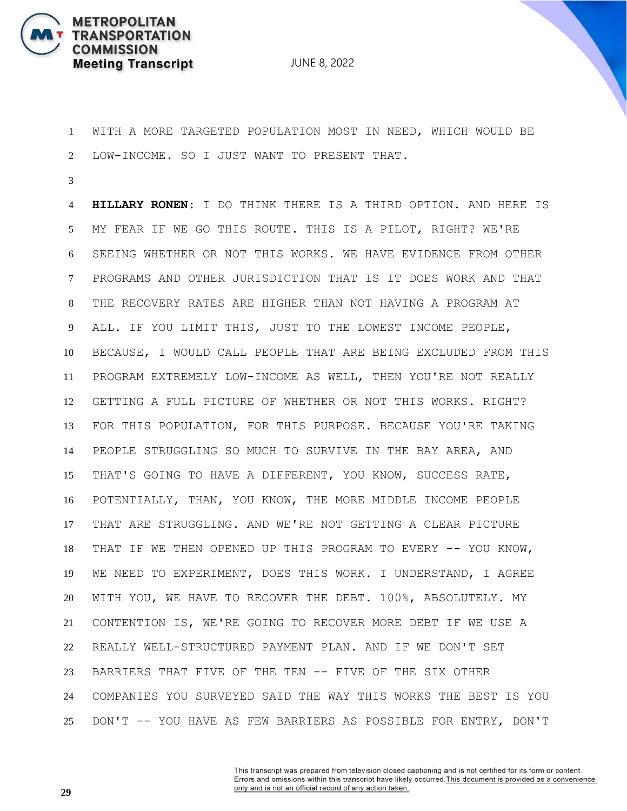

 WITH A MORE TARGETED POPULATION MOST IN NEED, WHICH WOULD BE LOW-INCOME. SO I JUST WANT TO PRESENT THAT.

 **HILLARY RONEN:** I DO THINK THERE IS A THIRD OPTION. AND HERE IS MY FEAR IF WE GO THIS ROUTE. THIS IS A PILOT, RIGHT? WE'RE SEEING WHETHER OR NOT THIS WORKS. WE HAVE EVIDENCE FROM OTHER PROGRAMS AND OTHER JURISDICTION THAT IS IT DOES WORK AND THAT THE RECOVERY RATES ARE HIGHER THAN NOT HAVING A PROGRAM AT ALL. IF YOU LIMIT THIS, JUST TO THE LOWEST INCOME PEOPLE, BECAUSE, I WOULD CALL PEOPLE THAT ARE BEING EXCLUDED FROM THIS PROGRAM EXTREMELY LOW-INCOME AS WELL, THEN YOU'RE NOT REALLY GETTING A FULL PICTURE OF WHETHER OR NOT THIS WORKS. RIGHT? FOR THIS POPULATION, FOR THIS PURPOSE. BECAUSE YOU'RE TAKING PEOPLE STRUGGLING SO MUCH TO SURVIVE IN THE BAY AREA, AND THAT'S GOING TO HAVE A DIFFERENT, YOU KNOW, SUCCESS RATE, POTENTIALLY, THAN, YOU KNOW, THE MORE MIDDLE INCOME PEOPLE THAT ARE STRUGGLING. AND WE'RE NOT GETTING A CLEAR PICTURE THAT IF WE THEN OPENED UP THIS PROGRAM TO EVERY -- YOU KNOW, WE NEED TO EXPERIMENT, DOES THIS WORK. I UNDERSTAND, I AGREE WITH YOU, WE HAVE TO RECOVER THE DEBT. 100%, ABSOLUTELY. MY CONTENTION IS, WE'RE GOING TO RECOVER MORE DEBT IF WE USE A REALLY WELL-STRUCTURED PAYMENT PLAN. AND IF WE DON'T SET BARRIERS THAT FIVE OF THE TEN -- FIVE OF THE SIX OTHER COMPANIES YOU SURVEYED SAID THE WAY THIS WORKS THE BEST IS YOU DON'T -- YOU HAVE AS FEW BARRIERS AS POSSIBLE FOR ENTRY, DON'T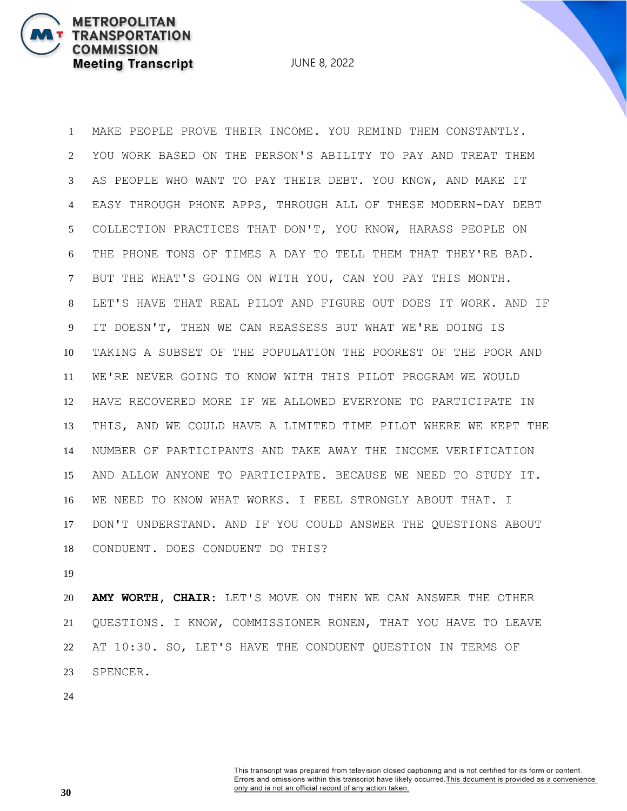JUNE 8, 2022

 MAKE PEOPLE PROVE THEIR INCOME. YOU REMIND THEM CONSTANTLY. YOU WORK BASED ON THE PERSON'S ABILITY TO PAY AND TREAT THEM AS PEOPLE WHO WANT TO PAY THEIR DEBT. YOU KNOW, AND MAKE IT EASY THROUGH PHONE APPS, THROUGH ALL OF THESE MODERN-DAY DEBT COLLECTION PRACTICES THAT DON'T, YOU KNOW, HARASS PEOPLE ON THE PHONE TONS OF TIMES A DAY TO TELL THEM THAT THEY'RE BAD. BUT THE WHAT'S GOING ON WITH YOU, CAN YOU PAY THIS MONTH. LET'S HAVE THAT REAL PILOT AND FIGURE OUT DOES IT WORK. AND IF IT DOESN'T, THEN WE CAN REASSESS BUT WHAT WE'RE DOING IS TAKING A SUBSET OF THE POPULATION THE POOREST OF THE POOR AND WE'RE NEVER GOING TO KNOW WITH THIS PILOT PROGRAM WE WOULD HAVE RECOVERED MORE IF WE ALLOWED EVERYONE TO PARTICIPATE IN THIS, AND WE COULD HAVE A LIMITED TIME PILOT WHERE WE KEPT THE NUMBER OF PARTICIPANTS AND TAKE AWAY THE INCOME VERIFICATION AND ALLOW ANYONE TO PARTICIPATE. BECAUSE WE NEED TO STUDY IT. WE NEED TO KNOW WHAT WORKS. I FEEL STRONGLY ABOUT THAT. I DON'T UNDERSTAND. AND IF YOU COULD ANSWER THE QUESTIONS ABOUT CONDUENT. DOES CONDUENT DO THIS?

 **AMY WORTH, CHAIR:** LET'S MOVE ON THEN WE CAN ANSWER THE OTHER QUESTIONS. I KNOW, COMMISSIONER RONEN, THAT YOU HAVE TO LEAVE AT 10:30. SO, LET'S HAVE THE CONDUENT QUESTION IN TERMS OF SPENCER.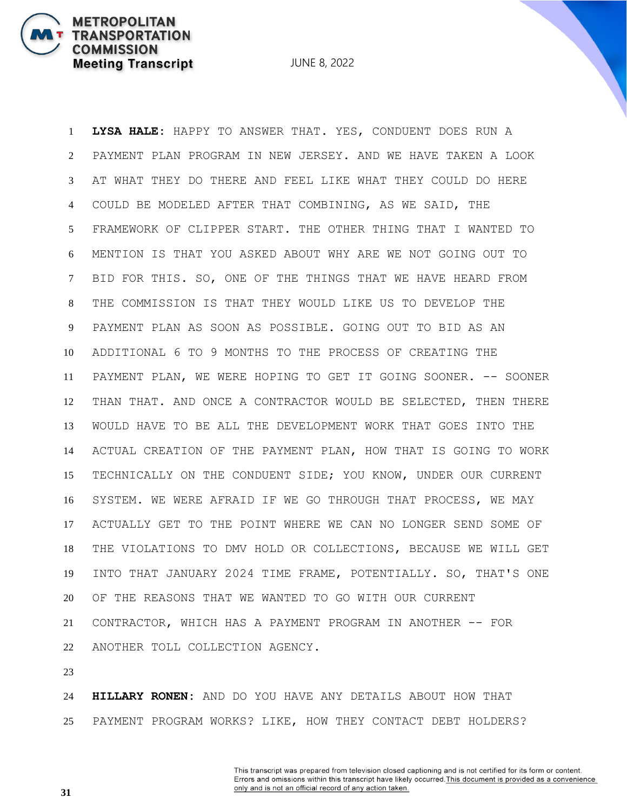**TRANSPORTATION COMMISSION Meeting Transcript** 

**METROPOLITAN** 

JUNE 8, 2022

 **LYSA HALE:** HAPPY TO ANSWER THAT. YES, CONDUENT DOES RUN A PAYMENT PLAN PROGRAM IN NEW JERSEY. AND WE HAVE TAKEN A LOOK AT WHAT THEY DO THERE AND FEEL LIKE WHAT THEY COULD DO HERE COULD BE MODELED AFTER THAT COMBINING, AS WE SAID, THE FRAMEWORK OF CLIPPER START. THE OTHER THING THAT I WANTED TO MENTION IS THAT YOU ASKED ABOUT WHY ARE WE NOT GOING OUT TO BID FOR THIS. SO, ONE OF THE THINGS THAT WE HAVE HEARD FROM THE COMMISSION IS THAT THEY WOULD LIKE US TO DEVELOP THE PAYMENT PLAN AS SOON AS POSSIBLE. GOING OUT TO BID AS AN ADDITIONAL 6 TO 9 MONTHS TO THE PROCESS OF CREATING THE PAYMENT PLAN, WE WERE HOPING TO GET IT GOING SOONER. -- SOONER THAN THAT. AND ONCE A CONTRACTOR WOULD BE SELECTED, THEN THERE WOULD HAVE TO BE ALL THE DEVELOPMENT WORK THAT GOES INTO THE ACTUAL CREATION OF THE PAYMENT PLAN, HOW THAT IS GOING TO WORK TECHNICALLY ON THE CONDUENT SIDE; YOU KNOW, UNDER OUR CURRENT SYSTEM. WE WERE AFRAID IF WE GO THROUGH THAT PROCESS, WE MAY ACTUALLY GET TO THE POINT WHERE WE CAN NO LONGER SEND SOME OF THE VIOLATIONS TO DMV HOLD OR COLLECTIONS, BECAUSE WE WILL GET INTO THAT JANUARY 2024 TIME FRAME, POTENTIALLY. SO, THAT'S ONE OF THE REASONS THAT WE WANTED TO GO WITH OUR CURRENT CONTRACTOR, WHICH HAS A PAYMENT PROGRAM IN ANOTHER -- FOR ANOTHER TOLL COLLECTION AGENCY.

 **HILLARY RONEN:** AND DO YOU HAVE ANY DETAILS ABOUT HOW THAT PAYMENT PROGRAM WORKS? LIKE, HOW THEY CONTACT DEBT HOLDERS?

> This transcript was prepared from television closed captioning and is not certified for its form or content. Errors and omissions within this transcript have likely occurred. This document is provided as a convenience only and is not an official record of any action taken.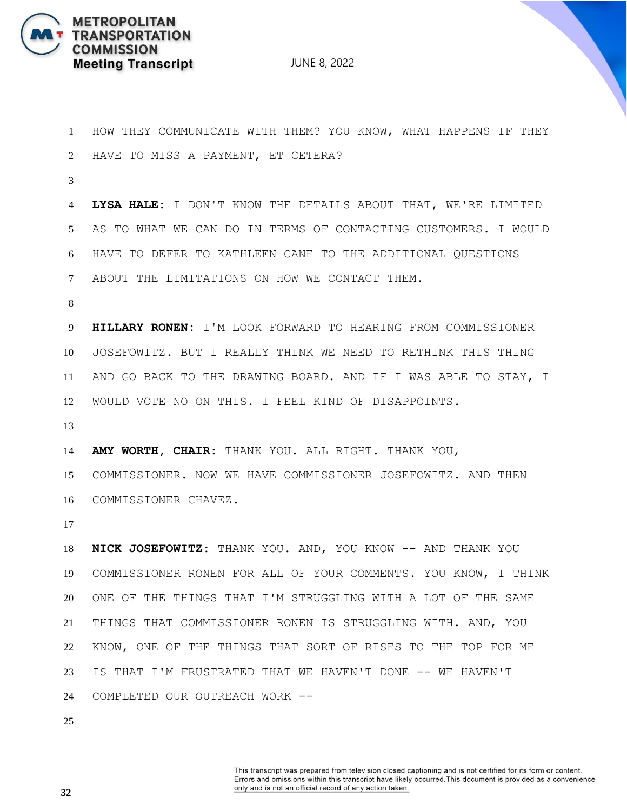

 HOW THEY COMMUNICATE WITH THEM? YOU KNOW, WHAT HAPPENS IF THEY HAVE TO MISS A PAYMENT, ET CETERA? **LYSA HALE:** I DON'T KNOW THE DETAILS ABOUT THAT, WE'RE LIMITED AS TO WHAT WE CAN DO IN TERMS OF CONTACTING CUSTOMERS. I WOULD HAVE TO DEFER TO KATHLEEN CANE TO THE ADDITIONAL QUESTIONS ABOUT THE LIMITATIONS ON HOW WE CONTACT THEM. **HILLARY RONEN:** I'M LOOK FORWARD TO HEARING FROM COMMISSIONER JOSEFOWITZ. BUT I REALLY THINK WE NEED TO RETHINK THIS THING AND GO BACK TO THE DRAWING BOARD. AND IF I WAS ABLE TO STAY, I WOULD VOTE NO ON THIS. I FEEL KIND OF DISAPPOINTS. **AMY WORTH, CHAIR:** THANK YOU. ALL RIGHT. THANK YOU, COMMISSIONER. NOW WE HAVE COMMISSIONER JOSEFOWITZ. AND THEN COMMISSIONER CHAVEZ. **NICK JOSEFOWITZ:** THANK YOU. AND, YOU KNOW -- AND THANK YOU COMMISSIONER RONEN FOR ALL OF YOUR COMMENTS. YOU KNOW, I THINK ONE OF THE THINGS THAT I'M STRUGGLING WITH A LOT OF THE SAME THINGS THAT COMMISSIONER RONEN IS STRUGGLING WITH. AND, YOU KNOW, ONE OF THE THINGS THAT SORT OF RISES TO THE TOP FOR ME IS THAT I'M FRUSTRATED THAT WE HAVEN'T DONE -- WE HAVEN'T COMPLETED OUR OUTREACH WORK --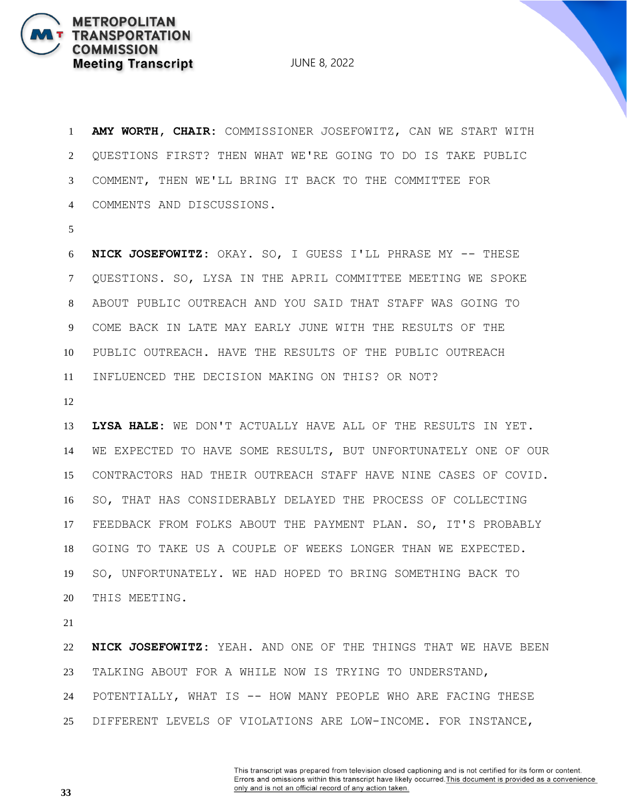JUNE 8, 2022

 **AMY WORTH, CHAIR:** COMMISSIONER JOSEFOWITZ, CAN WE START WITH QUESTIONS FIRST? THEN WHAT WE'RE GOING TO DO IS TAKE PUBLIC COMMENT, THEN WE'LL BRING IT BACK TO THE COMMITTEE FOR COMMENTS AND DISCUSSIONS.

 **NICK JOSEFOWITZ:** OKAY. SO, I GUESS I'LL PHRASE MY -- THESE QUESTIONS. SO, LYSA IN THE APRIL COMMITTEE MEETING WE SPOKE ABOUT PUBLIC OUTREACH AND YOU SAID THAT STAFF WAS GOING TO COME BACK IN LATE MAY EARLY JUNE WITH THE RESULTS OF THE PUBLIC OUTREACH. HAVE THE RESULTS OF THE PUBLIC OUTREACH INFLUENCED THE DECISION MAKING ON THIS? OR NOT?

 **LYSA HALE:** WE DON'T ACTUALLY HAVE ALL OF THE RESULTS IN YET. WE EXPECTED TO HAVE SOME RESULTS, BUT UNFORTUNATELY ONE OF OUR CONTRACTORS HAD THEIR OUTREACH STAFF HAVE NINE CASES OF COVID. SO, THAT HAS CONSIDERABLY DELAYED THE PROCESS OF COLLECTING FEEDBACK FROM FOLKS ABOUT THE PAYMENT PLAN. SO, IT'S PROBABLY GOING TO TAKE US A COUPLE OF WEEKS LONGER THAN WE EXPECTED. SO, UNFORTUNATELY. WE HAD HOPED TO BRING SOMETHING BACK TO THIS MEETING.

 **NICK JOSEFOWITZ:** YEAH. AND ONE OF THE THINGS THAT WE HAVE BEEN TALKING ABOUT FOR A WHILE NOW IS TRYING TO UNDERSTAND, POTENTIALLY, WHAT IS -- HOW MANY PEOPLE WHO ARE FACING THESE DIFFERENT LEVELS OF VIOLATIONS ARE LOW-INCOME. FOR INSTANCE,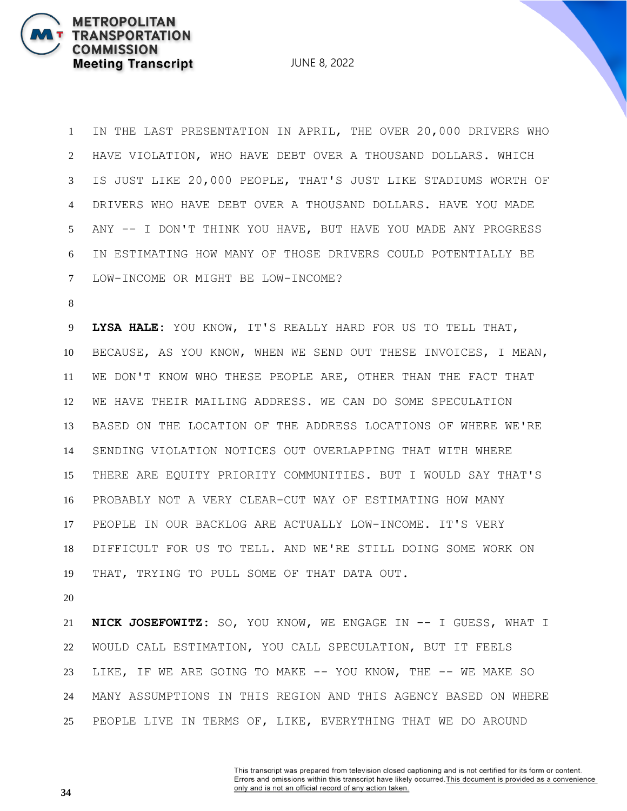JUNE 8, 2022

 IN THE LAST PRESENTATION IN APRIL, THE OVER 20,000 DRIVERS WHO HAVE VIOLATION, WHO HAVE DEBT OVER A THOUSAND DOLLARS. WHICH IS JUST LIKE 20,000 PEOPLE, THAT'S JUST LIKE STADIUMS WORTH OF DRIVERS WHO HAVE DEBT OVER A THOUSAND DOLLARS. HAVE YOU MADE ANY -- I DON'T THINK YOU HAVE, BUT HAVE YOU MADE ANY PROGRESS IN ESTIMATING HOW MANY OF THOSE DRIVERS COULD POTENTIALLY BE LOW-INCOME OR MIGHT BE LOW-INCOME?

 **LYSA HALE:** YOU KNOW, IT'S REALLY HARD FOR US TO TELL THAT, BECAUSE, AS YOU KNOW, WHEN WE SEND OUT THESE INVOICES, I MEAN, WE DON'T KNOW WHO THESE PEOPLE ARE, OTHER THAN THE FACT THAT WE HAVE THEIR MAILING ADDRESS. WE CAN DO SOME SPECULATION BASED ON THE LOCATION OF THE ADDRESS LOCATIONS OF WHERE WE'RE SENDING VIOLATION NOTICES OUT OVERLAPPING THAT WITH WHERE THERE ARE EQUITY PRIORITY COMMUNITIES. BUT I WOULD SAY THAT'S PROBABLY NOT A VERY CLEAR-CUT WAY OF ESTIMATING HOW MANY PEOPLE IN OUR BACKLOG ARE ACTUALLY LOW-INCOME. IT'S VERY DIFFICULT FOR US TO TELL. AND WE'RE STILL DOING SOME WORK ON THAT, TRYING TO PULL SOME OF THAT DATA OUT.

 **NICK JOSEFOWITZ:** SO, YOU KNOW, WE ENGAGE IN -- I GUESS, WHAT I WOULD CALL ESTIMATION, YOU CALL SPECULATION, BUT IT FEELS LIKE, IF WE ARE GOING TO MAKE -- YOU KNOW, THE -- WE MAKE SO MANY ASSUMPTIONS IN THIS REGION AND THIS AGENCY BASED ON WHERE PEOPLE LIVE IN TERMS OF, LIKE, EVERYTHING THAT WE DO AROUND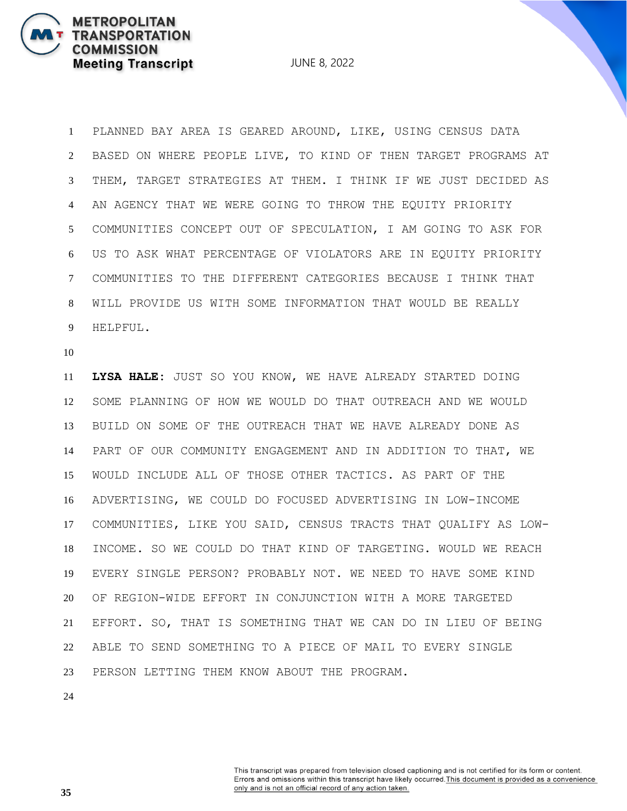JUNE 8, 2022

 PLANNED BAY AREA IS GEARED AROUND, LIKE, USING CENSUS DATA BASED ON WHERE PEOPLE LIVE, TO KIND OF THEN TARGET PROGRAMS AT THEM, TARGET STRATEGIES AT THEM. I THINK IF WE JUST DECIDED AS AN AGENCY THAT WE WERE GOING TO THROW THE EQUITY PRIORITY COMMUNITIES CONCEPT OUT OF SPECULATION, I AM GOING TO ASK FOR US TO ASK WHAT PERCENTAGE OF VIOLATORS ARE IN EQUITY PRIORITY COMMUNITIES TO THE DIFFERENT CATEGORIES BECAUSE I THINK THAT WILL PROVIDE US WITH SOME INFORMATION THAT WOULD BE REALLY HELPFUL.

 **LYSA HALE:** JUST SO YOU KNOW, WE HAVE ALREADY STARTED DOING SOME PLANNING OF HOW WE WOULD DO THAT OUTREACH AND WE WOULD BUILD ON SOME OF THE OUTREACH THAT WE HAVE ALREADY DONE AS PART OF OUR COMMUNITY ENGAGEMENT AND IN ADDITION TO THAT, WE WOULD INCLUDE ALL OF THOSE OTHER TACTICS. AS PART OF THE ADVERTISING, WE COULD DO FOCUSED ADVERTISING IN LOW-INCOME COMMUNITIES, LIKE YOU SAID, CENSUS TRACTS THAT QUALIFY AS LOW- INCOME. SO WE COULD DO THAT KIND OF TARGETING. WOULD WE REACH EVERY SINGLE PERSON? PROBABLY NOT. WE NEED TO HAVE SOME KIND OF REGION-WIDE EFFORT IN CONJUNCTION WITH A MORE TARGETED EFFORT. SO, THAT IS SOMETHING THAT WE CAN DO IN LIEU OF BEING ABLE TO SEND SOMETHING TO A PIECE OF MAIL TO EVERY SINGLE PERSON LETTING THEM KNOW ABOUT THE PROGRAM.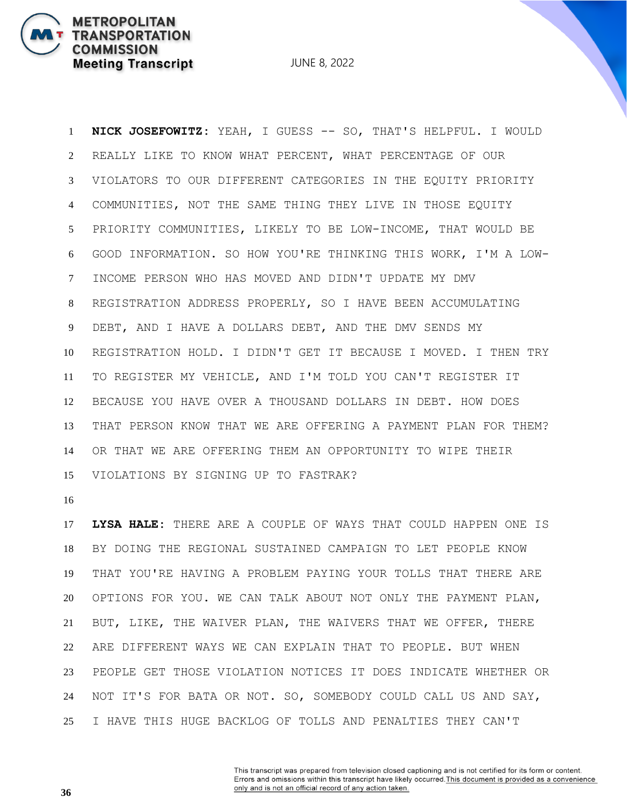**NICK JOSEFOWITZ:** YEAH, I GUESS -- SO, THAT'S HELPFUL. I WOULD REALLY LIKE TO KNOW WHAT PERCENT, WHAT PERCENTAGE OF OUR VIOLATORS TO OUR DIFFERENT CATEGORIES IN THE EQUITY PRIORITY COMMUNITIES, NOT THE SAME THING THEY LIVE IN THOSE EQUITY PRIORITY COMMUNITIES, LIKELY TO BE LOW-INCOME, THAT WOULD BE GOOD INFORMATION. SO HOW YOU'RE THINKING THIS WORK, I'M A LOW- INCOME PERSON WHO HAS MOVED AND DIDN'T UPDATE MY DMV REGISTRATION ADDRESS PROPERLY, SO I HAVE BEEN ACCUMULATING DEBT, AND I HAVE A DOLLARS DEBT, AND THE DMV SENDS MY REGISTRATION HOLD. I DIDN'T GET IT BECAUSE I MOVED. I THEN TRY TO REGISTER MY VEHICLE, AND I'M TOLD YOU CAN'T REGISTER IT BECAUSE YOU HAVE OVER A THOUSAND DOLLARS IN DEBT. HOW DOES THAT PERSON KNOW THAT WE ARE OFFERING A PAYMENT PLAN FOR THEM? OR THAT WE ARE OFFERING THEM AN OPPORTUNITY TO WIPE THEIR VIOLATIONS BY SIGNING UP TO FASTRAK?

**METROPOLITAN** 

**COMMISSION** 

**TRANSPORTATION** 

**Meeting Transcript** 

 **LYSA HALE:** THERE ARE A COUPLE OF WAYS THAT COULD HAPPEN ONE IS BY DOING THE REGIONAL SUSTAINED CAMPAIGN TO LET PEOPLE KNOW THAT YOU'RE HAVING A PROBLEM PAYING YOUR TOLLS THAT THERE ARE OPTIONS FOR YOU. WE CAN TALK ABOUT NOT ONLY THE PAYMENT PLAN, BUT, LIKE, THE WAIVER PLAN, THE WAIVERS THAT WE OFFER, THERE ARE DIFFERENT WAYS WE CAN EXPLAIN THAT TO PEOPLE. BUT WHEN PEOPLE GET THOSE VIOLATION NOTICES IT DOES INDICATE WHETHER OR NOT IT'S FOR BATA OR NOT. SO, SOMEBODY COULD CALL US AND SAY, I HAVE THIS HUGE BACKLOG OF TOLLS AND PENALTIES THEY CAN'T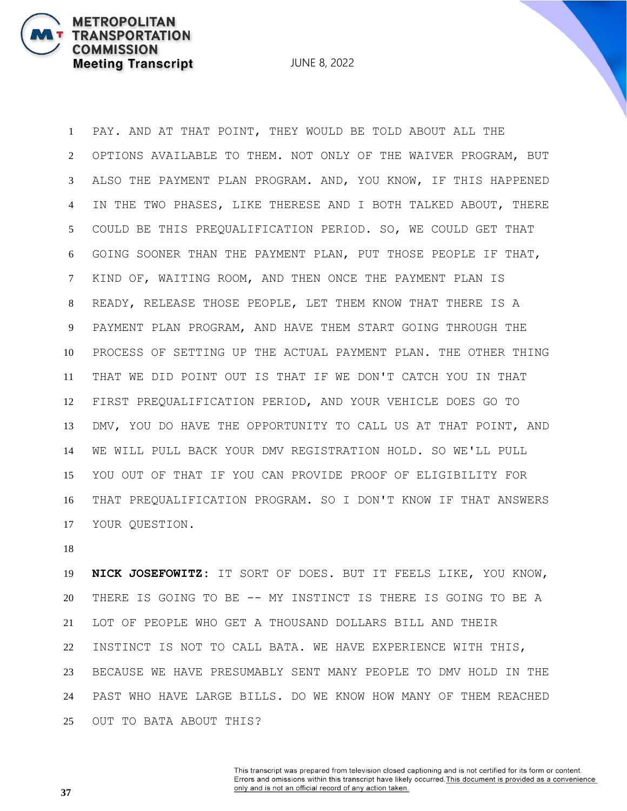JUNE 8, 2022

 PAY. AND AT THAT POINT, THEY WOULD BE TOLD ABOUT ALL THE OPTIONS AVAILABLE TO THEM. NOT ONLY OF THE WAIVER PROGRAM, BUT ALSO THE PAYMENT PLAN PROGRAM. AND, YOU KNOW, IF THIS HAPPENED IN THE TWO PHASES, LIKE THERESE AND I BOTH TALKED ABOUT, THERE COULD BE THIS PREQUALIFICATION PERIOD. SO, WE COULD GET THAT GOING SOONER THAN THE PAYMENT PLAN, PUT THOSE PEOPLE IF THAT, KIND OF, WAITING ROOM, AND THEN ONCE THE PAYMENT PLAN IS READY, RELEASE THOSE PEOPLE, LET THEM KNOW THAT THERE IS A PAYMENT PLAN PROGRAM, AND HAVE THEM START GOING THROUGH THE PROCESS OF SETTING UP THE ACTUAL PAYMENT PLAN. THE OTHER THING THAT WE DID POINT OUT IS THAT IF WE DON'T CATCH YOU IN THAT FIRST PREQUALIFICATION PERIOD, AND YOUR VEHICLE DOES GO TO DMV, YOU DO HAVE THE OPPORTUNITY TO CALL US AT THAT POINT, AND WE WILL PULL BACK YOUR DMV REGISTRATION HOLD. SO WE'LL PULL YOU OUT OF THAT IF YOU CAN PROVIDE PROOF OF ELIGIBILITY FOR THAT PREQUALIFICATION PROGRAM. SO I DON'T KNOW IF THAT ANSWERS YOUR QUESTION.

 **NICK JOSEFOWITZ:** IT SORT OF DOES. BUT IT FEELS LIKE, YOU KNOW, THERE IS GOING TO BE -- MY INSTINCT IS THERE IS GOING TO BE A LOT OF PEOPLE WHO GET A THOUSAND DOLLARS BILL AND THEIR INSTINCT IS NOT TO CALL BATA. WE HAVE EXPERIENCE WITH THIS, BECAUSE WE HAVE PRESUMABLY SENT MANY PEOPLE TO DMV HOLD IN THE PAST WHO HAVE LARGE BILLS. DO WE KNOW HOW MANY OF THEM REACHED OUT TO BATA ABOUT THIS?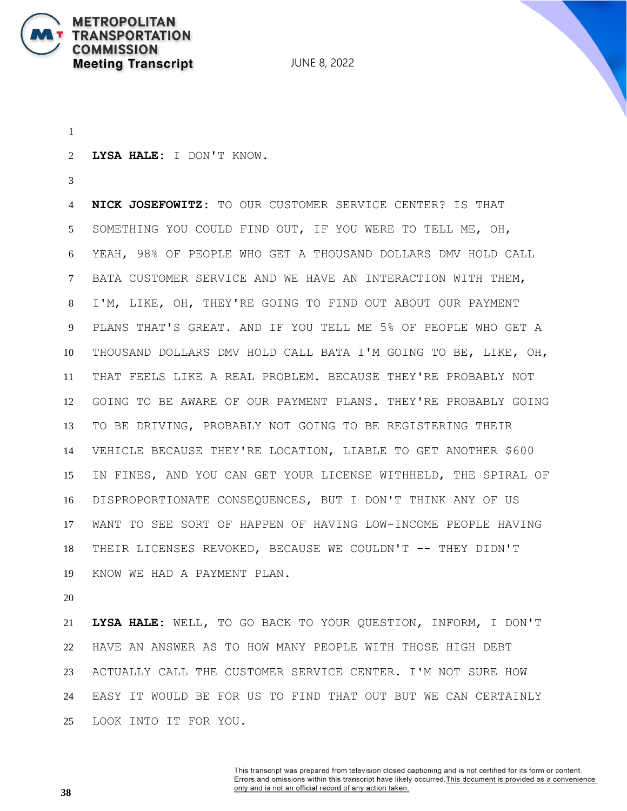

JUNE 8, 2022

**LYSA HALE:** I DON'T KNOW.

 **NICK JOSEFOWITZ:** TO OUR CUSTOMER SERVICE CENTER? IS THAT SOMETHING YOU COULD FIND OUT, IF YOU WERE TO TELL ME, OH, YEAH, 98% OF PEOPLE WHO GET A THOUSAND DOLLARS DMV HOLD CALL BATA CUSTOMER SERVICE AND WE HAVE AN INTERACTION WITH THEM, I'M, LIKE, OH, THEY'RE GOING TO FIND OUT ABOUT OUR PAYMENT PLANS THAT'S GREAT. AND IF YOU TELL ME 5% OF PEOPLE WHO GET A THOUSAND DOLLARS DMV HOLD CALL BATA I'M GOING TO BE, LIKE, OH, THAT FEELS LIKE A REAL PROBLEM. BECAUSE THEY'RE PROBABLY NOT GOING TO BE AWARE OF OUR PAYMENT PLANS. THEY'RE PROBABLY GOING TO BE DRIVING, PROBABLY NOT GOING TO BE REGISTERING THEIR VEHICLE BECAUSE THEY'RE LOCATION, LIABLE TO GET ANOTHER \$600 IN FINES, AND YOU CAN GET YOUR LICENSE WITHHELD, THE SPIRAL OF DISPROPORTIONATE CONSEQUENCES, BUT I DON'T THINK ANY OF US WANT TO SEE SORT OF HAPPEN OF HAVING LOW-INCOME PEOPLE HAVING THEIR LICENSES REVOKED, BECAUSE WE COULDN'T -- THEY DIDN'T KNOW WE HAD A PAYMENT PLAN.

 **LYSA HALE:** WELL, TO GO BACK TO YOUR QUESTION, INFORM, I DON'T HAVE AN ANSWER AS TO HOW MANY PEOPLE WITH THOSE HIGH DEBT ACTUALLY CALL THE CUSTOMER SERVICE CENTER. I'M NOT SURE HOW EASY IT WOULD BE FOR US TO FIND THAT OUT BUT WE CAN CERTAINLY LOOK INTO IT FOR YOU.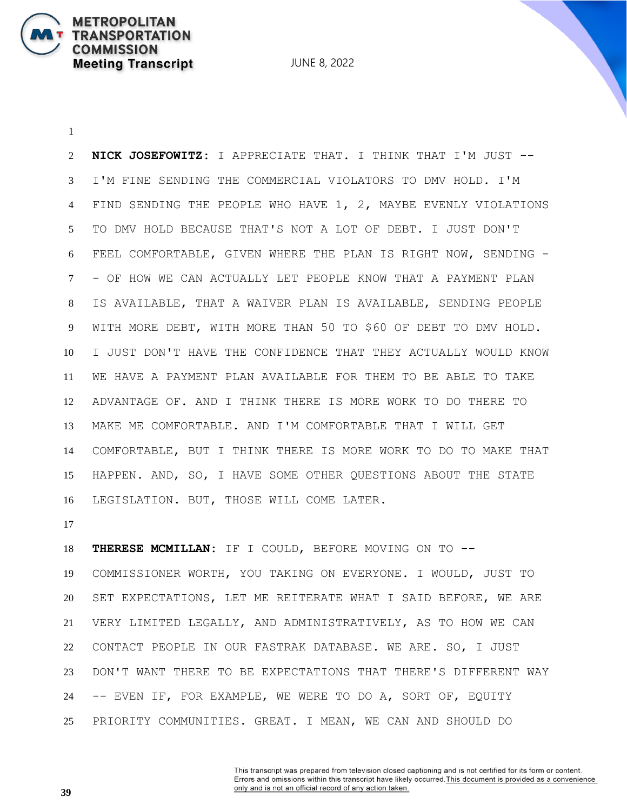**NICK JOSEFOWITZ:** I APPRECIATE THAT. I THINK THAT I'M JUST -- I'M FINE SENDING THE COMMERCIAL VIOLATORS TO DMV HOLD. I'M FIND SENDING THE PEOPLE WHO HAVE 1, 2, MAYBE EVENLY VIOLATIONS TO DMV HOLD BECAUSE THAT'S NOT A LOT OF DEBT. I JUST DON'T FEEL COMFORTABLE, GIVEN WHERE THE PLAN IS RIGHT NOW, SENDING - - OF HOW WE CAN ACTUALLY LET PEOPLE KNOW THAT A PAYMENT PLAN IS AVAILABLE, THAT A WAIVER PLAN IS AVAILABLE, SENDING PEOPLE WITH MORE DEBT, WITH MORE THAN 50 TO \$60 OF DEBT TO DMV HOLD. I JUST DON'T HAVE THE CONFIDENCE THAT THEY ACTUALLY WOULD KNOW WE HAVE A PAYMENT PLAN AVAILABLE FOR THEM TO BE ABLE TO TAKE ADVANTAGE OF. AND I THINK THERE IS MORE WORK TO DO THERE TO MAKE ME COMFORTABLE. AND I'M COMFORTABLE THAT I WILL GET COMFORTABLE, BUT I THINK THERE IS MORE WORK TO DO TO MAKE THAT HAPPEN. AND, SO, I HAVE SOME OTHER QUESTIONS ABOUT THE STATE LEGISLATION. BUT, THOSE WILL COME LATER.

**METROPOLITAN** 

**COMMISSION** 

**TRANSPORTATION** 

**Meeting Transcript** 

 **THERESE MCMILLAN:** IF I COULD, BEFORE MOVING ON TO -- COMMISSIONER WORTH, YOU TAKING ON EVERYONE. I WOULD, JUST TO SET EXPECTATIONS, LET ME REITERATE WHAT I SAID BEFORE, WE ARE VERY LIMITED LEGALLY, AND ADMINISTRATIVELY, AS TO HOW WE CAN CONTACT PEOPLE IN OUR FASTRAK DATABASE. WE ARE. SO, I JUST DON'T WANT THERE TO BE EXPECTATIONS THAT THERE'S DIFFERENT WAY -- EVEN IF, FOR EXAMPLE, WE WERE TO DO A, SORT OF, EQUITY PRIORITY COMMUNITIES. GREAT. I MEAN, WE CAN AND SHOULD DO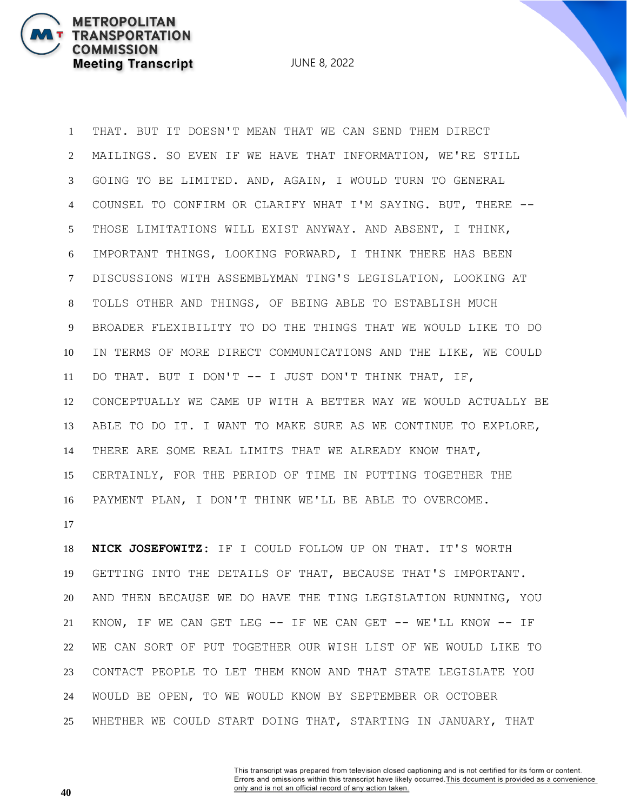JUNE 8, 2022

 THAT. BUT IT DOESN'T MEAN THAT WE CAN SEND THEM DIRECT MAILINGS. SO EVEN IF WE HAVE THAT INFORMATION, WE'RE STILL GOING TO BE LIMITED. AND, AGAIN, I WOULD TURN TO GENERAL COUNSEL TO CONFIRM OR CLARIFY WHAT I'M SAYING. BUT, THERE -- THOSE LIMITATIONS WILL EXIST ANYWAY. AND ABSENT, I THINK, IMPORTANT THINGS, LOOKING FORWARD, I THINK THERE HAS BEEN DISCUSSIONS WITH ASSEMBLYMAN TING'S LEGISLATION, LOOKING AT TOLLS OTHER AND THINGS, OF BEING ABLE TO ESTABLISH MUCH BROADER FLEXIBILITY TO DO THE THINGS THAT WE WOULD LIKE TO DO IN TERMS OF MORE DIRECT COMMUNICATIONS AND THE LIKE, WE COULD DO THAT. BUT I DON'T -- I JUST DON'T THINK THAT, IF, CONCEPTUALLY WE CAME UP WITH A BETTER WAY WE WOULD ACTUALLY BE ABLE TO DO IT. I WANT TO MAKE SURE AS WE CONTINUE TO EXPLORE, THERE ARE SOME REAL LIMITS THAT WE ALREADY KNOW THAT, CERTAINLY, FOR THE PERIOD OF TIME IN PUTTING TOGETHER THE PAYMENT PLAN, I DON'T THINK WE'LL BE ABLE TO OVERCOME.

 **NICK JOSEFOWITZ:** IF I COULD FOLLOW UP ON THAT. IT'S WORTH GETTING INTO THE DETAILS OF THAT, BECAUSE THAT'S IMPORTANT. AND THEN BECAUSE WE DO HAVE THE TING LEGISLATION RUNNING, YOU KNOW, IF WE CAN GET LEG -- IF WE CAN GET -- WE'LL KNOW -- IF WE CAN SORT OF PUT TOGETHER OUR WISH LIST OF WE WOULD LIKE TO CONTACT PEOPLE TO LET THEM KNOW AND THAT STATE LEGISLATE YOU WOULD BE OPEN, TO WE WOULD KNOW BY SEPTEMBER OR OCTOBER WHETHER WE COULD START DOING THAT, STARTING IN JANUARY, THAT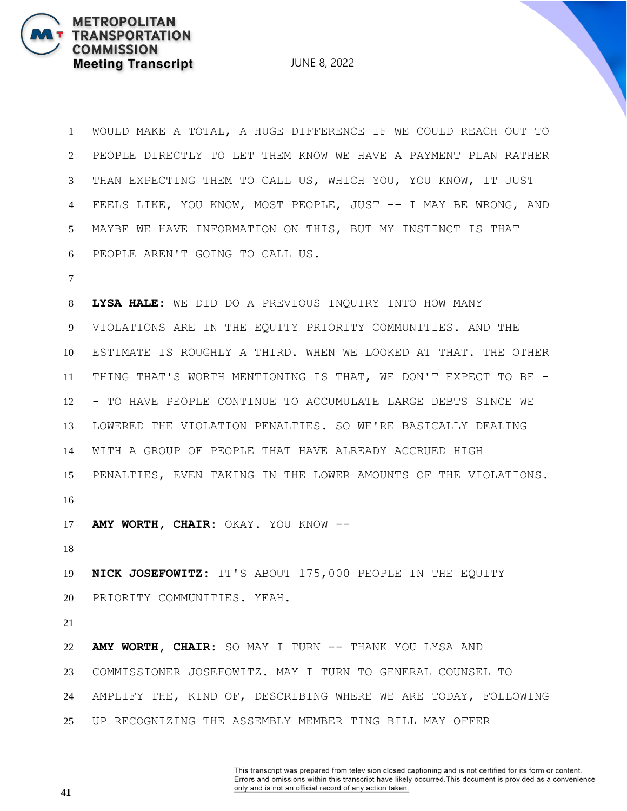JUNE 8, 2022

 WOULD MAKE A TOTAL, A HUGE DIFFERENCE IF WE COULD REACH OUT TO PEOPLE DIRECTLY TO LET THEM KNOW WE HAVE A PAYMENT PLAN RATHER THAN EXPECTING THEM TO CALL US, WHICH YOU, YOU KNOW, IT JUST FEELS LIKE, YOU KNOW, MOST PEOPLE, JUST -- I MAY BE WRONG, AND MAYBE WE HAVE INFORMATION ON THIS, BUT MY INSTINCT IS THAT PEOPLE AREN'T GOING TO CALL US. **LYSA HALE:** WE DID DO A PREVIOUS INQUIRY INTO HOW MANY VIOLATIONS ARE IN THE EQUITY PRIORITY COMMUNITIES. AND THE ESTIMATE IS ROUGHLY A THIRD. WHEN WE LOOKED AT THAT. THE OTHER THING THAT'S WORTH MENTIONING IS THAT, WE DON'T EXPECT TO BE - - TO HAVE PEOPLE CONTINUE TO ACCUMULATE LARGE DEBTS SINCE WE LOWERED THE VIOLATION PENALTIES. SO WE'RE BASICALLY DEALING WITH A GROUP OF PEOPLE THAT HAVE ALREADY ACCRUED HIGH PENALTIES, EVEN TAKING IN THE LOWER AMOUNTS OF THE VIOLATIONS. **AMY WORTH, CHAIR:** OKAY. YOU KNOW -- **NICK JOSEFOWITZ:** IT'S ABOUT 175,000 PEOPLE IN THE EQUITY PRIORITY COMMUNITIES. YEAH. **AMY WORTH, CHAIR:** SO MAY I TURN -- THANK YOU LYSA AND COMMISSIONER JOSEFOWITZ. MAY I TURN TO GENERAL COUNSEL TO AMPLIFY THE, KIND OF, DESCRIBING WHERE WE ARE TODAY, FOLLOWING UP RECOGNIZING THE ASSEMBLY MEMBER TING BILL MAY OFFER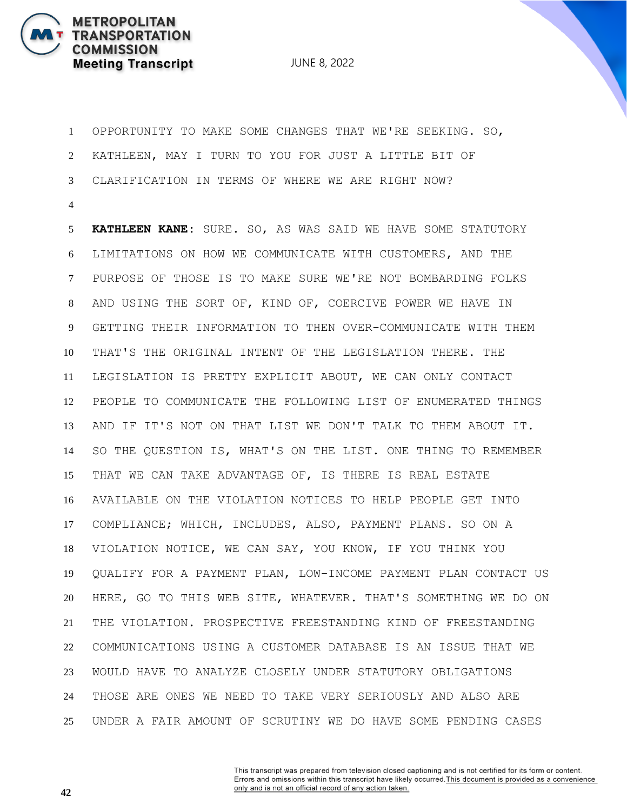

 OPPORTUNITY TO MAKE SOME CHANGES THAT WE'RE SEEKING. SO, KATHLEEN, MAY I TURN TO YOU FOR JUST A LITTLE BIT OF CLARIFICATION IN TERMS OF WHERE WE ARE RIGHT NOW?

 **KATHLEEN KANE:** SURE. SO, AS WAS SAID WE HAVE SOME STATUTORY LIMITATIONS ON HOW WE COMMUNICATE WITH CUSTOMERS, AND THE PURPOSE OF THOSE IS TO MAKE SURE WE'RE NOT BOMBARDING FOLKS AND USING THE SORT OF, KIND OF, COERCIVE POWER WE HAVE IN GETTING THEIR INFORMATION TO THEN OVER-COMMUNICATE WITH THEM THAT'S THE ORIGINAL INTENT OF THE LEGISLATION THERE. THE LEGISLATION IS PRETTY EXPLICIT ABOUT, WE CAN ONLY CONTACT PEOPLE TO COMMUNICATE THE FOLLOWING LIST OF ENUMERATED THINGS AND IF IT'S NOT ON THAT LIST WE DON'T TALK TO THEM ABOUT IT. SO THE QUESTION IS, WHAT'S ON THE LIST. ONE THING TO REMEMBER THAT WE CAN TAKE ADVANTAGE OF, IS THERE IS REAL ESTATE AVAILABLE ON THE VIOLATION NOTICES TO HELP PEOPLE GET INTO COMPLIANCE; WHICH, INCLUDES, ALSO, PAYMENT PLANS. SO ON A VIOLATION NOTICE, WE CAN SAY, YOU KNOW, IF YOU THINK YOU QUALIFY FOR A PAYMENT PLAN, LOW-INCOME PAYMENT PLAN CONTACT US HERE, GO TO THIS WEB SITE, WHATEVER. THAT'S SOMETHING WE DO ON THE VIOLATION. PROSPECTIVE FREESTANDING KIND OF FREESTANDING COMMUNICATIONS USING A CUSTOMER DATABASE IS AN ISSUE THAT WE WOULD HAVE TO ANALYZE CLOSELY UNDER STATUTORY OBLIGATIONS THOSE ARE ONES WE NEED TO TAKE VERY SERIOUSLY AND ALSO ARE UNDER A FAIR AMOUNT OF SCRUTINY WE DO HAVE SOME PENDING CASES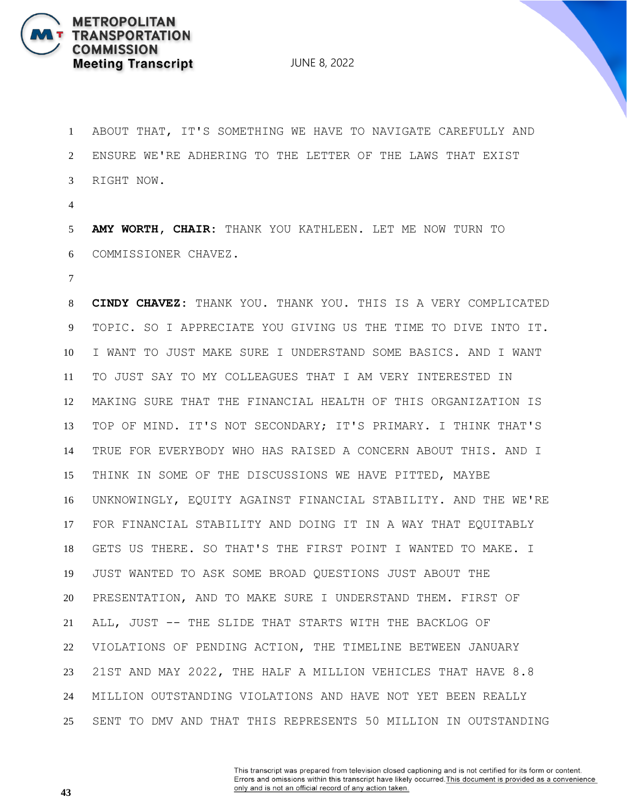

 ABOUT THAT, IT'S SOMETHING WE HAVE TO NAVIGATE CAREFULLY AND ENSURE WE'RE ADHERING TO THE LETTER OF THE LAWS THAT EXIST RIGHT NOW.

 **AMY WORTH, CHAIR:** THANK YOU KATHLEEN. LET ME NOW TURN TO COMMISSIONER CHAVEZ.

 **CINDY CHAVEZ:** THANK YOU. THANK YOU. THIS IS A VERY COMPLICATED TOPIC. SO I APPRECIATE YOU GIVING US THE TIME TO DIVE INTO IT. I WANT TO JUST MAKE SURE I UNDERSTAND SOME BASICS. AND I WANT TO JUST SAY TO MY COLLEAGUES THAT I AM VERY INTERESTED IN MAKING SURE THAT THE FINANCIAL HEALTH OF THIS ORGANIZATION IS TOP OF MIND. IT'S NOT SECONDARY; IT'S PRIMARY. I THINK THAT'S TRUE FOR EVERYBODY WHO HAS RAISED A CONCERN ABOUT THIS. AND I THINK IN SOME OF THE DISCUSSIONS WE HAVE PITTED, MAYBE UNKNOWINGLY, EQUITY AGAINST FINANCIAL STABILITY. AND THE WE'RE FOR FINANCIAL STABILITY AND DOING IT IN A WAY THAT EQUITABLY GETS US THERE. SO THAT'S THE FIRST POINT I WANTED TO MAKE. I JUST WANTED TO ASK SOME BROAD QUESTIONS JUST ABOUT THE PRESENTATION, AND TO MAKE SURE I UNDERSTAND THEM. FIRST OF ALL, JUST -- THE SLIDE THAT STARTS WITH THE BACKLOG OF VIOLATIONS OF PENDING ACTION, THE TIMELINE BETWEEN JANUARY 21ST AND MAY 2022, THE HALF A MILLION VEHICLES THAT HAVE 8.8 MILLION OUTSTANDING VIOLATIONS AND HAVE NOT YET BEEN REALLY SENT TO DMV AND THAT THIS REPRESENTS 50 MILLION IN OUTSTANDING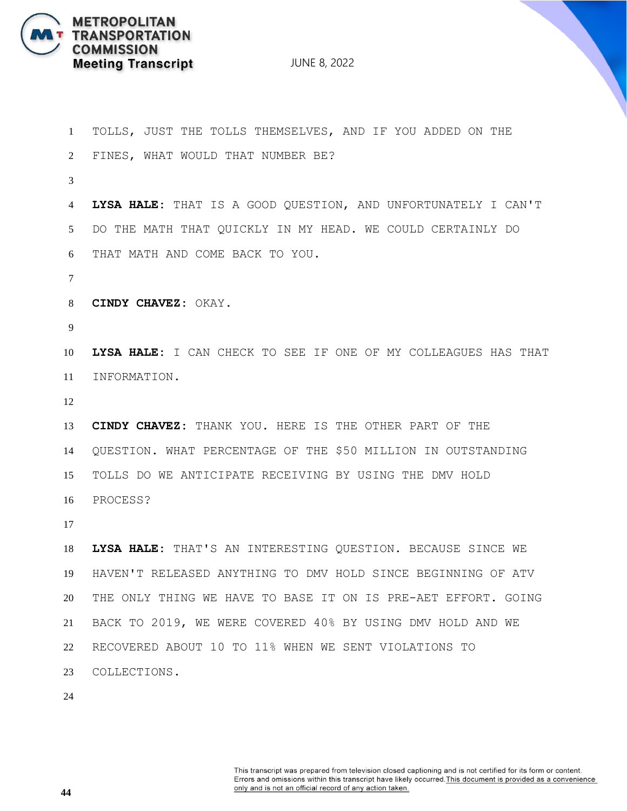

| $\mathbf{1}$   | TOLLS, JUST THE TOLLS THEMSELVES, AND IF YOU ADDED ON THE      |
|----------------|----------------------------------------------------------------|
| $\overline{2}$ | FINES, WHAT WOULD THAT NUMBER BE?                              |
| 3              |                                                                |
| 4              | LYSA HALE: THAT IS A GOOD QUESTION, AND UNFORTUNATELY I CAN'T  |
| $5^{\circ}$    | DO THE MATH THAT QUICKLY IN MY HEAD. WE COULD CERTAINLY DO     |
| 6              | THAT MATH AND COME BACK TO YOU.                                |
| $\tau$         |                                                                |
| 8              | CINDY CHAVEZ: OKAY.                                            |
| 9              |                                                                |
| 10             | LYSA HALE: I CAN CHECK TO SEE IF ONE OF MY COLLEAGUES HAS THAT |
| 11             | INFORMATION.                                                   |
| 12             |                                                                |
| 13             | CINDY CHAVEZ: THANK YOU. HERE IS THE OTHER PART OF THE         |
| 14             | QUESTION. WHAT PERCENTAGE OF THE \$50 MILLION IN OUTSTANDING   |
| 15             | TOLLS DO WE ANTICIPATE RECEIVING BY USING THE DMV HOLD         |
| 16             | PROCESS?                                                       |
| 17             |                                                                |
| 18             | LYSA HALE: THAT'S AN INTERESTING QUESTION. BECAUSE SINCE WE    |
| 19             | HAVEN'T RELEASED ANYTHING TO DMV HOLD SINCE BEGINNING OF ATV   |
| 20             | THE ONLY THING WE HAVE TO BASE IT ON IS PRE-AET EFFORT. GOING  |
|                |                                                                |
| 21             | BACK TO 2019, WE WERE COVERED 40% BY USING DMV HOLD AND WE     |
| 22             | RECOVERED ABOUT 10 TO 11% WHEN WE SENT VIOLATIONS TO           |
| 23             | COLLECTIONS.                                                   |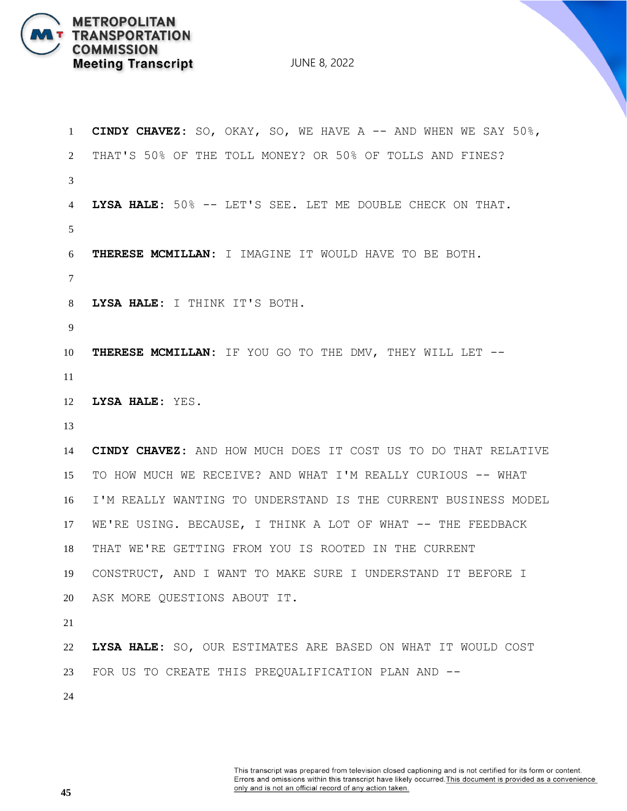

 **CINDY CHAVEZ:** SO, OKAY, SO, WE HAVE A -- AND WHEN WE SAY 50%, THAT'S 50% OF THE TOLL MONEY? OR 50% OF TOLLS AND FINES? **LYSA HALE:** 50% -- LET'S SEE. LET ME DOUBLE CHECK ON THAT. **THERESE MCMILLAN:** I IMAGINE IT WOULD HAVE TO BE BOTH. **LYSA HALE:** I THINK IT'S BOTH. **THERESE MCMILLAN:** IF YOU GO TO THE DMV, THEY WILL LET -- **LYSA HALE:** YES. **CINDY CHAVEZ:** AND HOW MUCH DOES IT COST US TO DO THAT RELATIVE TO HOW MUCH WE RECEIVE? AND WHAT I'M REALLY CURIOUS -- WHAT I'M REALLY WANTING TO UNDERSTAND IS THE CURRENT BUSINESS MODEL WE'RE USING. BECAUSE, I THINK A LOT OF WHAT -- THE FEEDBACK THAT WE'RE GETTING FROM YOU IS ROOTED IN THE CURRENT CONSTRUCT, AND I WANT TO MAKE SURE I UNDERSTAND IT BEFORE I ASK MORE QUESTIONS ABOUT IT. **LYSA HALE:** SO, OUR ESTIMATES ARE BASED ON WHAT IT WOULD COST FOR US TO CREATE THIS PREQUALIFICATION PLAN AND --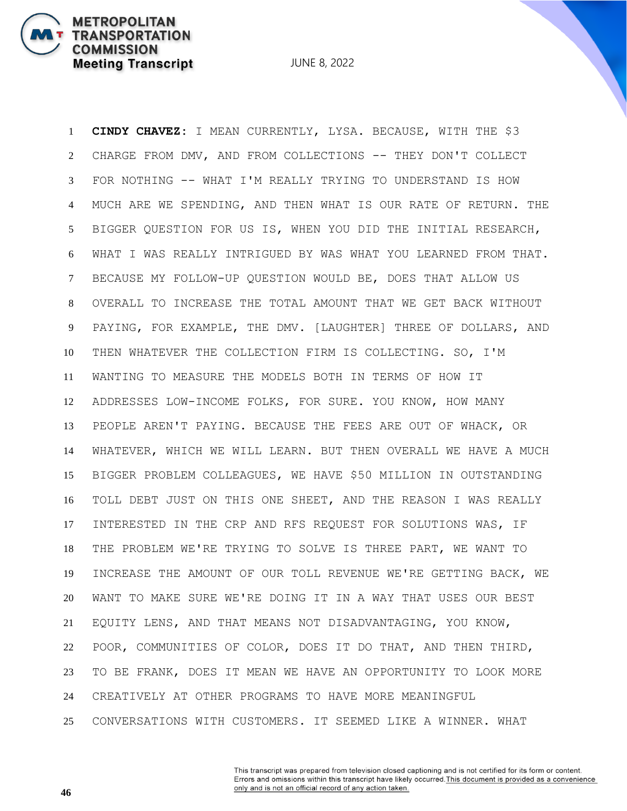JUNE 8, 2022

 **CINDY CHAVEZ:** I MEAN CURRENTLY, LYSA. BECAUSE, WITH THE \$3 CHARGE FROM DMV, AND FROM COLLECTIONS -- THEY DON'T COLLECT FOR NOTHING -- WHAT I'M REALLY TRYING TO UNDERSTAND IS HOW MUCH ARE WE SPENDING, AND THEN WHAT IS OUR RATE OF RETURN. THE BIGGER QUESTION FOR US IS, WHEN YOU DID THE INITIAL RESEARCH, WHAT I WAS REALLY INTRIGUED BY WAS WHAT YOU LEARNED FROM THAT. BECAUSE MY FOLLOW-UP QUESTION WOULD BE, DOES THAT ALLOW US OVERALL TO INCREASE THE TOTAL AMOUNT THAT WE GET BACK WITHOUT PAYING, FOR EXAMPLE, THE DMV. [LAUGHTER] THREE OF DOLLARS, AND THEN WHATEVER THE COLLECTION FIRM IS COLLECTING. SO, I'M WANTING TO MEASURE THE MODELS BOTH IN TERMS OF HOW IT ADDRESSES LOW-INCOME FOLKS, FOR SURE. YOU KNOW, HOW MANY PEOPLE AREN'T PAYING. BECAUSE THE FEES ARE OUT OF WHACK, OR WHATEVER, WHICH WE WILL LEARN. BUT THEN OVERALL WE HAVE A MUCH BIGGER PROBLEM COLLEAGUES, WE HAVE \$50 MILLION IN OUTSTANDING TOLL DEBT JUST ON THIS ONE SHEET, AND THE REASON I WAS REALLY INTERESTED IN THE CRP AND RFS REQUEST FOR SOLUTIONS WAS, IF THE PROBLEM WE'RE TRYING TO SOLVE IS THREE PART, WE WANT TO INCREASE THE AMOUNT OF OUR TOLL REVENUE WE'RE GETTING BACK, WE WANT TO MAKE SURE WE'RE DOING IT IN A WAY THAT USES OUR BEST EQUITY LENS, AND THAT MEANS NOT DISADVANTAGING, YOU KNOW, POOR, COMMUNITIES OF COLOR, DOES IT DO THAT, AND THEN THIRD, TO BE FRANK, DOES IT MEAN WE HAVE AN OPPORTUNITY TO LOOK MORE CREATIVELY AT OTHER PROGRAMS TO HAVE MORE MEANINGFUL CONVERSATIONS WITH CUSTOMERS. IT SEEMED LIKE A WINNER. WHAT

> This transcript was prepared from television closed captioning and is not certified for its form or content. Errors and omissions within this transcript have likely occurred. This document is provided as a convenience only and is not an official record of any action taken.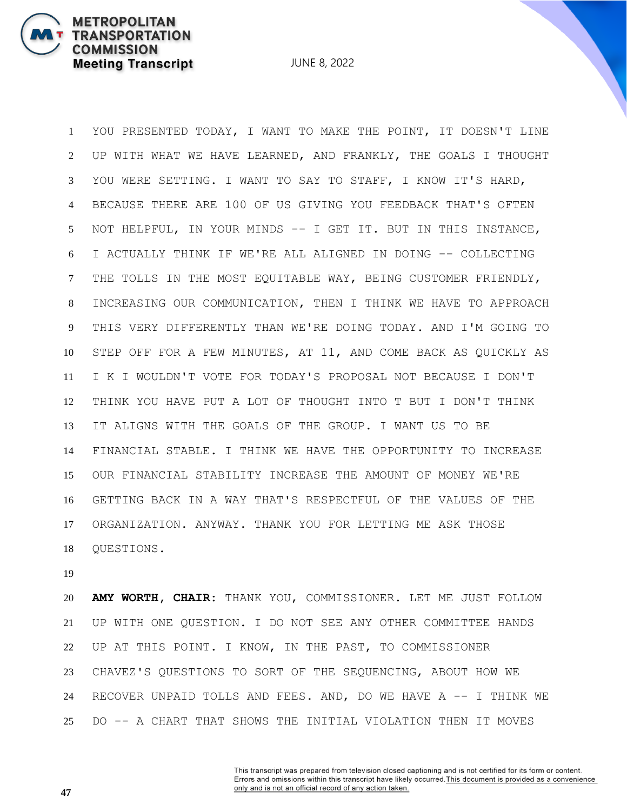YOU PRESENTED TODAY, I WANT TO MAKE THE POINT, IT DOESN'T LINE UP WITH WHAT WE HAVE LEARNED, AND FRANKLY, THE GOALS I THOUGHT YOU WERE SETTING. I WANT TO SAY TO STAFF, I KNOW IT'S HARD, BECAUSE THERE ARE 100 OF US GIVING YOU FEEDBACK THAT'S OFTEN NOT HELPFUL, IN YOUR MINDS -- I GET IT. BUT IN THIS INSTANCE, I ACTUALLY THINK IF WE'RE ALL ALIGNED IN DOING -- COLLECTING THE TOLLS IN THE MOST EQUITABLE WAY, BEING CUSTOMER FRIENDLY, INCREASING OUR COMMUNICATION, THEN I THINK WE HAVE TO APPROACH THIS VERY DIFFERENTLY THAN WE'RE DOING TODAY. AND I'M GOING TO STEP OFF FOR A FEW MINUTES, AT 11, AND COME BACK AS QUICKLY AS I K I WOULDN'T VOTE FOR TODAY'S PROPOSAL NOT BECAUSE I DON'T THINK YOU HAVE PUT A LOT OF THOUGHT INTO T BUT I DON'T THINK IT ALIGNS WITH THE GOALS OF THE GROUP. I WANT US TO BE FINANCIAL STABLE. I THINK WE HAVE THE OPPORTUNITY TO INCREASE OUR FINANCIAL STABILITY INCREASE THE AMOUNT OF MONEY WE'RE GETTING BACK IN A WAY THAT'S RESPECTFUL OF THE VALUES OF THE ORGANIZATION. ANYWAY. THANK YOU FOR LETTING ME ASK THOSE QUESTIONS.

**METROPOLITAN** 

**COMMISSION** 

**TRANSPORTATION** 

**Meeting Transcript** 

 **AMY WORTH, CHAIR:** THANK YOU, COMMISSIONER. LET ME JUST FOLLOW UP WITH ONE QUESTION. I DO NOT SEE ANY OTHER COMMITTEE HANDS UP AT THIS POINT. I KNOW, IN THE PAST, TO COMMISSIONER CHAVEZ'S QUESTIONS TO SORT OF THE SEQUENCING, ABOUT HOW WE RECOVER UNPAID TOLLS AND FEES. AND, DO WE HAVE A -- I THINK WE DO -- A CHART THAT SHOWS THE INITIAL VIOLATION THEN IT MOVES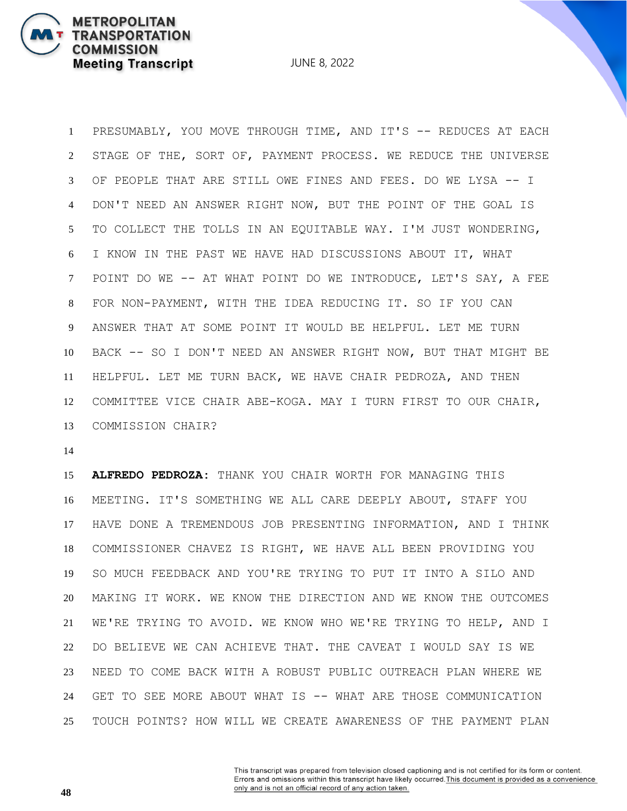JUNE 8, 2022

 PRESUMABLY, YOU MOVE THROUGH TIME, AND IT'S -- REDUCES AT EACH STAGE OF THE, SORT OF, PAYMENT PROCESS. WE REDUCE THE UNIVERSE OF PEOPLE THAT ARE STILL OWE FINES AND FEES. DO WE LYSA -- I DON'T NEED AN ANSWER RIGHT NOW, BUT THE POINT OF THE GOAL IS TO COLLECT THE TOLLS IN AN EQUITABLE WAY. I'M JUST WONDERING, I KNOW IN THE PAST WE HAVE HAD DISCUSSIONS ABOUT IT, WHAT POINT DO WE -- AT WHAT POINT DO WE INTRODUCE, LET'S SAY, A FEE FOR NON-PAYMENT, WITH THE IDEA REDUCING IT. SO IF YOU CAN ANSWER THAT AT SOME POINT IT WOULD BE HELPFUL. LET ME TURN BACK -- SO I DON'T NEED AN ANSWER RIGHT NOW, BUT THAT MIGHT BE HELPFUL. LET ME TURN BACK, WE HAVE CHAIR PEDROZA, AND THEN COMMITTEE VICE CHAIR ABE-KOGA. MAY I TURN FIRST TO OUR CHAIR, COMMISSION CHAIR?

 **ALFREDO PEDROZA:** THANK YOU CHAIR WORTH FOR MANAGING THIS MEETING. IT'S SOMETHING WE ALL CARE DEEPLY ABOUT, STAFF YOU HAVE DONE A TREMENDOUS JOB PRESENTING INFORMATION, AND I THINK COMMISSIONER CHAVEZ IS RIGHT, WE HAVE ALL BEEN PROVIDING YOU SO MUCH FEEDBACK AND YOU'RE TRYING TO PUT IT INTO A SILO AND MAKING IT WORK. WE KNOW THE DIRECTION AND WE KNOW THE OUTCOMES WE'RE TRYING TO AVOID. WE KNOW WHO WE'RE TRYING TO HELP, AND I DO BELIEVE WE CAN ACHIEVE THAT. THE CAVEAT I WOULD SAY IS WE NEED TO COME BACK WITH A ROBUST PUBLIC OUTREACH PLAN WHERE WE 24 GET TO SEE MORE ABOUT WHAT IS -- WHAT ARE THOSE COMMUNICATION TOUCH POINTS? HOW WILL WE CREATE AWARENESS OF THE PAYMENT PLAN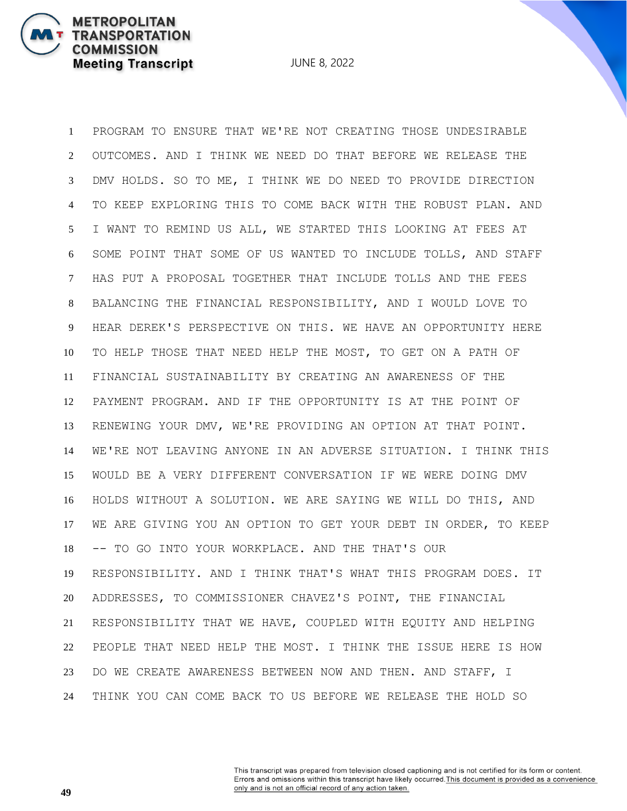JUNE 8, 2022

 PROGRAM TO ENSURE THAT WE'RE NOT CREATING THOSE UNDESIRABLE OUTCOMES. AND I THINK WE NEED DO THAT BEFORE WE RELEASE THE DMV HOLDS. SO TO ME, I THINK WE DO NEED TO PROVIDE DIRECTION TO KEEP EXPLORING THIS TO COME BACK WITH THE ROBUST PLAN. AND I WANT TO REMIND US ALL, WE STARTED THIS LOOKING AT FEES AT SOME POINT THAT SOME OF US WANTED TO INCLUDE TOLLS, AND STAFF HAS PUT A PROPOSAL TOGETHER THAT INCLUDE TOLLS AND THE FEES BALANCING THE FINANCIAL RESPONSIBILITY, AND I WOULD LOVE TO HEAR DEREK'S PERSPECTIVE ON THIS. WE HAVE AN OPPORTUNITY HERE TO HELP THOSE THAT NEED HELP THE MOST, TO GET ON A PATH OF FINANCIAL SUSTAINABILITY BY CREATING AN AWARENESS OF THE PAYMENT PROGRAM. AND IF THE OPPORTUNITY IS AT THE POINT OF RENEWING YOUR DMV, WE'RE PROVIDING AN OPTION AT THAT POINT. WE'RE NOT LEAVING ANYONE IN AN ADVERSE SITUATION. I THINK THIS WOULD BE A VERY DIFFERENT CONVERSATION IF WE WERE DOING DMV HOLDS WITHOUT A SOLUTION. WE ARE SAYING WE WILL DO THIS, AND WE ARE GIVING YOU AN OPTION TO GET YOUR DEBT IN ORDER, TO KEEP -- TO GO INTO YOUR WORKPLACE. AND THE THAT'S OUR RESPONSIBILITY. AND I THINK THAT'S WHAT THIS PROGRAM DOES. IT ADDRESSES, TO COMMISSIONER CHAVEZ'S POINT, THE FINANCIAL RESPONSIBILITY THAT WE HAVE, COUPLED WITH EQUITY AND HELPING PEOPLE THAT NEED HELP THE MOST. I THINK THE ISSUE HERE IS HOW DO WE CREATE AWARENESS BETWEEN NOW AND THEN. AND STAFF, I THINK YOU CAN COME BACK TO US BEFORE WE RELEASE THE HOLD SO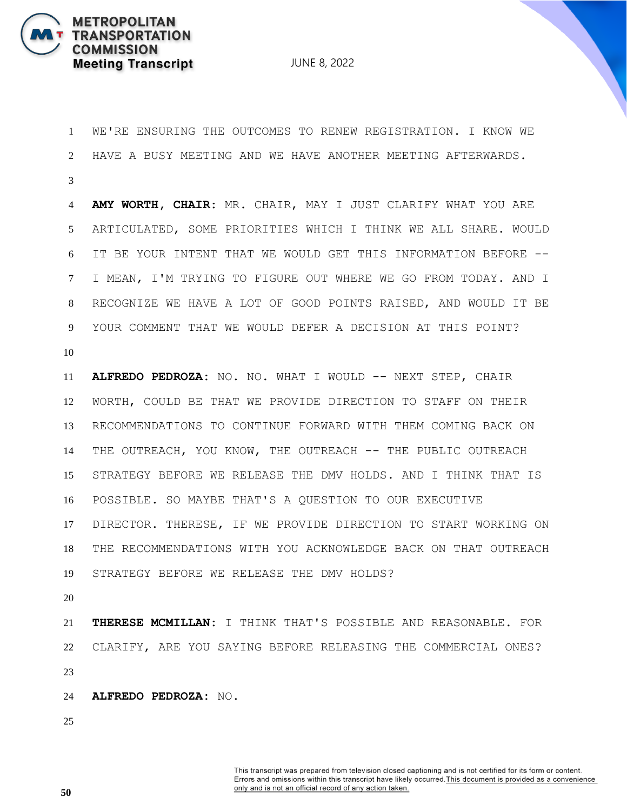

 WE'RE ENSURING THE OUTCOMES TO RENEW REGISTRATION. I KNOW WE HAVE A BUSY MEETING AND WE HAVE ANOTHER MEETING AFTERWARDS. **AMY WORTH, CHAIR:** MR. CHAIR, MAY I JUST CLARIFY WHAT YOU ARE ARTICULATED, SOME PRIORITIES WHICH I THINK WE ALL SHARE. WOULD IT BE YOUR INTENT THAT WE WOULD GET THIS INFORMATION BEFORE -- I MEAN, I'M TRYING TO FIGURE OUT WHERE WE GO FROM TODAY. AND I RECOGNIZE WE HAVE A LOT OF GOOD POINTS RAISED, AND WOULD IT BE YOUR COMMENT THAT WE WOULD DEFER A DECISION AT THIS POINT? **ALFREDO PEDROZA:** NO. NO. WHAT I WOULD -- NEXT STEP, CHAIR WORTH, COULD BE THAT WE PROVIDE DIRECTION TO STAFF ON THEIR RECOMMENDATIONS TO CONTINUE FORWARD WITH THEM COMING BACK ON 14 THE OUTREACH, YOU KNOW, THE OUTREACH -- THE PUBLIC OUTREACH STRATEGY BEFORE WE RELEASE THE DMV HOLDS. AND I THINK THAT IS POSSIBLE. SO MAYBE THAT'S A QUESTION TO OUR EXECUTIVE DIRECTOR. THERESE, IF WE PROVIDE DIRECTION TO START WORKING ON THE RECOMMENDATIONS WITH YOU ACKNOWLEDGE BACK ON THAT OUTREACH STRATEGY BEFORE WE RELEASE THE DMV HOLDS? **THERESE MCMILLAN:** I THINK THAT'S POSSIBLE AND REASONABLE. FOR CLARIFY, ARE YOU SAYING BEFORE RELEASING THE COMMERCIAL ONES? **ALFREDO PEDROZA:** NO.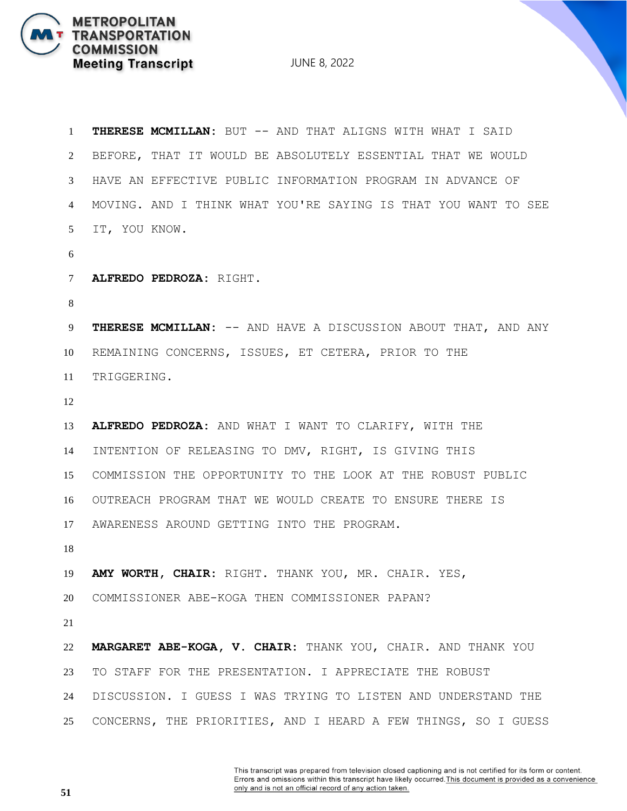JUNE 8, 2022

| $\mathbf{1}$   | <b>THERESE MCMILLAN:</b> BUT -- AND THAT ALIGNS WITH WHAT I SAID |
|----------------|------------------------------------------------------------------|
| $\overline{2}$ | BEFORE, THAT IT WOULD BE ABSOLUTELY ESSENTIAL THAT WE WOULD      |
| 3              | HAVE AN EFFECTIVE PUBLIC INFORMATION PROGRAM IN ADVANCE OF       |
| 4              | MOVING. AND I THINK WHAT YOU'RE SAYING IS THAT YOU WANT TO SEE   |
| 5 <sup>5</sup> | IT, YOU KNOW.                                                    |
| 6              |                                                                  |
| $\tau$         | ALFREDO PEDROZA: RIGHT.                                          |
| 8              |                                                                  |
| 9              | THERESE MCMILLAN: -- AND HAVE A DISCUSSION ABOUT THAT, AND ANY   |
| 10             | REMAINING CONCERNS, ISSUES, ET CETERA, PRIOR TO THE              |
| 11             | TRIGGERING.                                                      |
| 12             |                                                                  |
| 13             | ALFREDO PEDROZA: AND WHAT I WANT TO CLARIFY, WITH THE            |
| 14             | INTENTION OF RELEASING TO DMV, RIGHT, IS GIVING THIS             |
| 15             | COMMISSION THE OPPORTUNITY TO THE LOOK AT THE ROBUST PUBLIC      |
| 16             | OUTREACH PROGRAM THAT WE WOULD CREATE TO ENSURE THERE IS         |
| 17             | AWARENESS AROUND GETTING INTO THE PROGRAM.                       |
| 18             |                                                                  |
| 19             | AMY WORTH, CHAIR: RIGHT. THANK YOU, MR. CHAIR. YES,              |
| 20             | COMMISSIONER ABE-KOGA THEN COMMISSIONER PAPAN?                   |
| 21             |                                                                  |
| 22             | MARGARET ABE-KOGA, V. CHAIR: THANK YOU, CHAIR. AND THANK YOU     |
| 23             | TO STAFF FOR THE PRESENTATION. I APPRECIATE THE ROBUST           |
| 24             | DISCUSSION. I GUESS I WAS TRYING TO LISTEN AND UNDERSTAND THE    |
| 25             | CONCERNS, THE PRIORITIES, AND I HEARD A FEW THINGS, SO I GUESS   |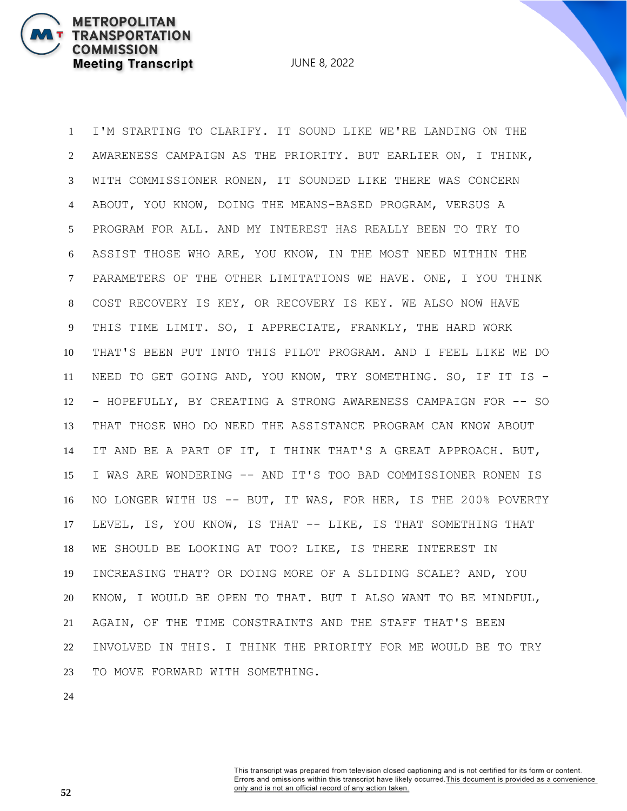I'M STARTING TO CLARIFY. IT SOUND LIKE WE'RE LANDING ON THE AWARENESS CAMPAIGN AS THE PRIORITY. BUT EARLIER ON, I THINK, WITH COMMISSIONER RONEN, IT SOUNDED LIKE THERE WAS CONCERN ABOUT, YOU KNOW, DOING THE MEANS-BASED PROGRAM, VERSUS A PROGRAM FOR ALL. AND MY INTEREST HAS REALLY BEEN TO TRY TO ASSIST THOSE WHO ARE, YOU KNOW, IN THE MOST NEED WITHIN THE PARAMETERS OF THE OTHER LIMITATIONS WE HAVE. ONE, I YOU THINK COST RECOVERY IS KEY, OR RECOVERY IS KEY. WE ALSO NOW HAVE THIS TIME LIMIT. SO, I APPRECIATE, FRANKLY, THE HARD WORK THAT'S BEEN PUT INTO THIS PILOT PROGRAM. AND I FEEL LIKE WE DO NEED TO GET GOING AND, YOU KNOW, TRY SOMETHING. SO, IF IT IS - - HOPEFULLY, BY CREATING A STRONG AWARENESS CAMPAIGN FOR -- SO THAT THOSE WHO DO NEED THE ASSISTANCE PROGRAM CAN KNOW ABOUT IT AND BE A PART OF IT, I THINK THAT'S A GREAT APPROACH. BUT, I WAS ARE WONDERING -- AND IT'S TOO BAD COMMISSIONER RONEN IS NO LONGER WITH US -- BUT, IT WAS, FOR HER, IS THE 200% POVERTY LEVEL, IS, YOU KNOW, IS THAT -- LIKE, IS THAT SOMETHING THAT WE SHOULD BE LOOKING AT TOO? LIKE, IS THERE INTEREST IN INCREASING THAT? OR DOING MORE OF A SLIDING SCALE? AND, YOU KNOW, I WOULD BE OPEN TO THAT. BUT I ALSO WANT TO BE MINDFUL, AGAIN, OF THE TIME CONSTRAINTS AND THE STAFF THAT'S BEEN INVOLVED IN THIS. I THINK THE PRIORITY FOR ME WOULD BE TO TRY TO MOVE FORWARD WITH SOMETHING.

**METROPOLITAN** 

**COMMISSION** 

**TRANSPORTATION** 

**Meeting Transcript**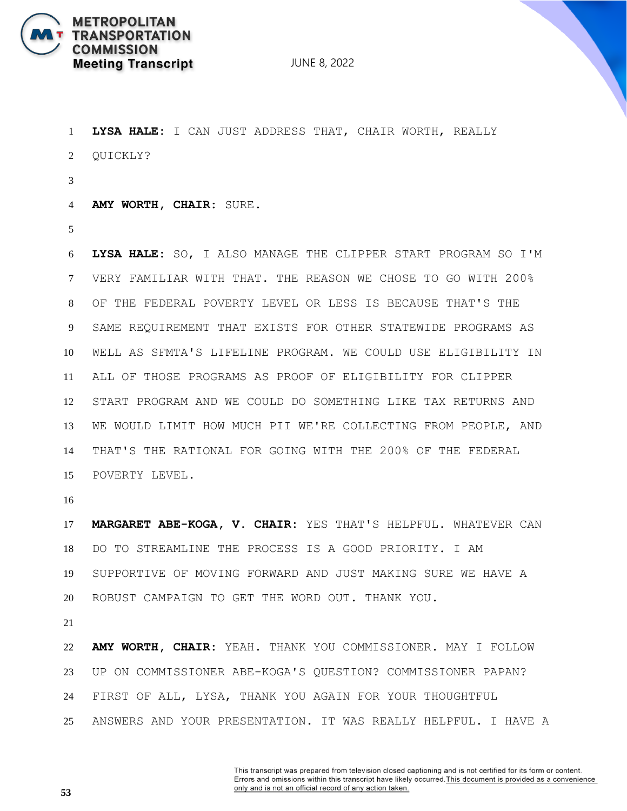

 **LYSA HALE:** I CAN JUST ADDRESS THAT, CHAIR WORTH, REALLY QUICKLY? **AMY WORTH, CHAIR:** SURE. **LYSA HALE:** SO, I ALSO MANAGE THE CLIPPER START PROGRAM SO I'M VERY FAMILIAR WITH THAT. THE REASON WE CHOSE TO GO WITH 200% OF THE FEDERAL POVERTY LEVEL OR LESS IS BECAUSE THAT'S THE SAME REQUIREMENT THAT EXISTS FOR OTHER STATEWIDE PROGRAMS AS WELL AS SFMTA'S LIFELINE PROGRAM. WE COULD USE ELIGIBILITY IN ALL OF THOSE PROGRAMS AS PROOF OF ELIGIBILITY FOR CLIPPER START PROGRAM AND WE COULD DO SOMETHING LIKE TAX RETURNS AND WE WOULD LIMIT HOW MUCH PII WE'RE COLLECTING FROM PEOPLE, AND THAT'S THE RATIONAL FOR GOING WITH THE 200% OF THE FEDERAL POVERTY LEVEL. **MARGARET ABE-KOGA, V. CHAIR:** YES THAT'S HELPFUL. WHATEVER CAN DO TO STREAMLINE THE PROCESS IS A GOOD PRIORITY. I AM SUPPORTIVE OF MOVING FORWARD AND JUST MAKING SURE WE HAVE A ROBUST CAMPAIGN TO GET THE WORD OUT. THANK YOU. **AMY WORTH, CHAIR:** YEAH. THANK YOU COMMISSIONER. MAY I FOLLOW UP ON COMMISSIONER ABE-KOGA'S QUESTION? COMMISSIONER PAPAN?

- FIRST OF ALL, LYSA, THANK YOU AGAIN FOR YOUR THOUGHTFUL
- ANSWERS AND YOUR PRESENTATION. IT WAS REALLY HELPFUL. I HAVE A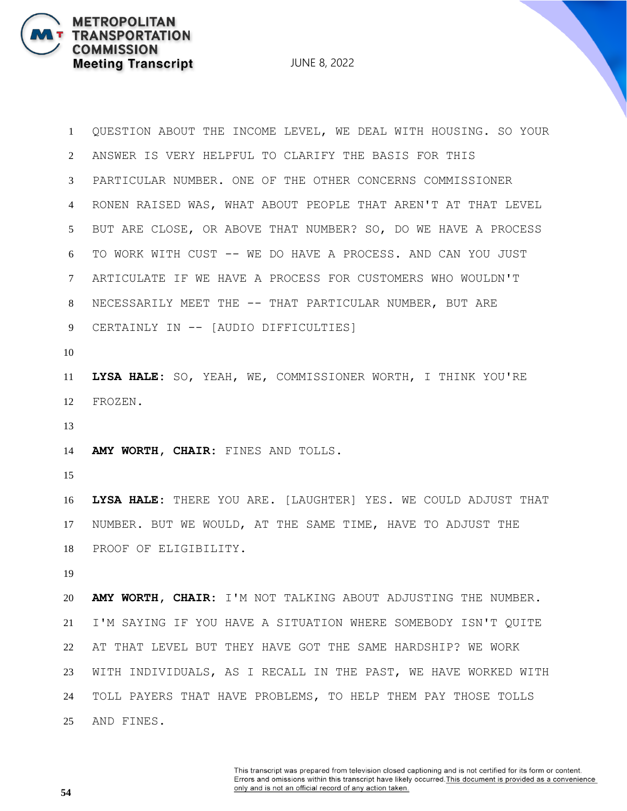JUNE 8, 2022

 QUESTION ABOUT THE INCOME LEVEL, WE DEAL WITH HOUSING. SO YOUR ANSWER IS VERY HELPFUL TO CLARIFY THE BASIS FOR THIS PARTICULAR NUMBER. ONE OF THE OTHER CONCERNS COMMISSIONER RONEN RAISED WAS, WHAT ABOUT PEOPLE THAT AREN'T AT THAT LEVEL BUT ARE CLOSE, OR ABOVE THAT NUMBER? SO, DO WE HAVE A PROCESS TO WORK WITH CUST -- WE DO HAVE A PROCESS. AND CAN YOU JUST ARTICULATE IF WE HAVE A PROCESS FOR CUSTOMERS WHO WOULDN'T NECESSARILY MEET THE -- THAT PARTICULAR NUMBER, BUT ARE CERTAINLY IN -- [AUDIO DIFFICULTIES] **LYSA HALE:** SO, YEAH, WE, COMMISSIONER WORTH, I THINK YOU'RE FROZEN. **AMY WORTH, CHAIR:** FINES AND TOLLS. **LYSA HALE:** THERE YOU ARE. [LAUGHTER] YES. WE COULD ADJUST THAT NUMBER. BUT WE WOULD, AT THE SAME TIME, HAVE TO ADJUST THE PROOF OF ELIGIBILITY. **AMY WORTH, CHAIR:** I'M NOT TALKING ABOUT ADJUSTING THE NUMBER. I'M SAYING IF YOU HAVE A SITUATION WHERE SOMEBODY ISN'T QUITE AT THAT LEVEL BUT THEY HAVE GOT THE SAME HARDSHIP? WE WORK WITH INDIVIDUALS, AS I RECALL IN THE PAST, WE HAVE WORKED WITH TOLL PAYERS THAT HAVE PROBLEMS, TO HELP THEM PAY THOSE TOLLS AND FINES.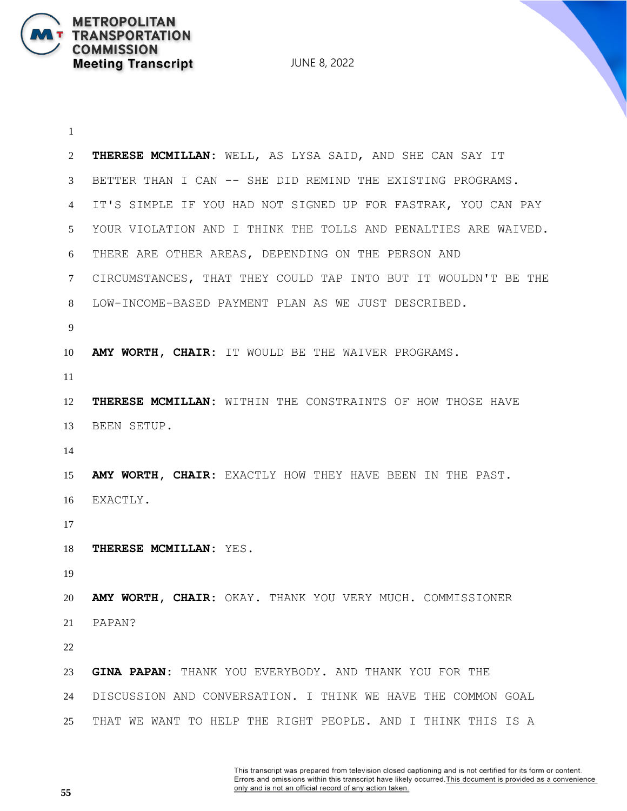**METROPOLITAN** 

**COMMISSION** 

**TRANSPORTATION** 

**Meeting Transcript** 

 **THERESE MCMILLAN:** WELL, AS LYSA SAID, AND SHE CAN SAY IT BETTER THAN I CAN -- SHE DID REMIND THE EXISTING PROGRAMS. IT'S SIMPLE IF YOU HAD NOT SIGNED UP FOR FASTRAK, YOU CAN PAY YOUR VIOLATION AND I THINK THE TOLLS AND PENALTIES ARE WAIVED. THERE ARE OTHER AREAS, DEPENDING ON THE PERSON AND CIRCUMSTANCES, THAT THEY COULD TAP INTO BUT IT WOULDN'T BE THE LOW-INCOME-BASED PAYMENT PLAN AS WE JUST DESCRIBED. **AMY WORTH, CHAIR:** IT WOULD BE THE WAIVER PROGRAMS. **THERESE MCMILLAN:** WITHIN THE CONSTRAINTS OF HOW THOSE HAVE BEEN SETUP. **AMY WORTH, CHAIR:** EXACTLY HOW THEY HAVE BEEN IN THE PAST. EXACTLY. **THERESE MCMILLAN:** YES. **AMY WORTH, CHAIR:** OKAY. THANK YOU VERY MUCH. COMMISSIONER PAPAN? **GINA PAPAN:** THANK YOU EVERYBODY. AND THANK YOU FOR THE DISCUSSION AND CONVERSATION. I THINK WE HAVE THE COMMON GOAL THAT WE WANT TO HELP THE RIGHT PEOPLE. AND I THINK THIS IS A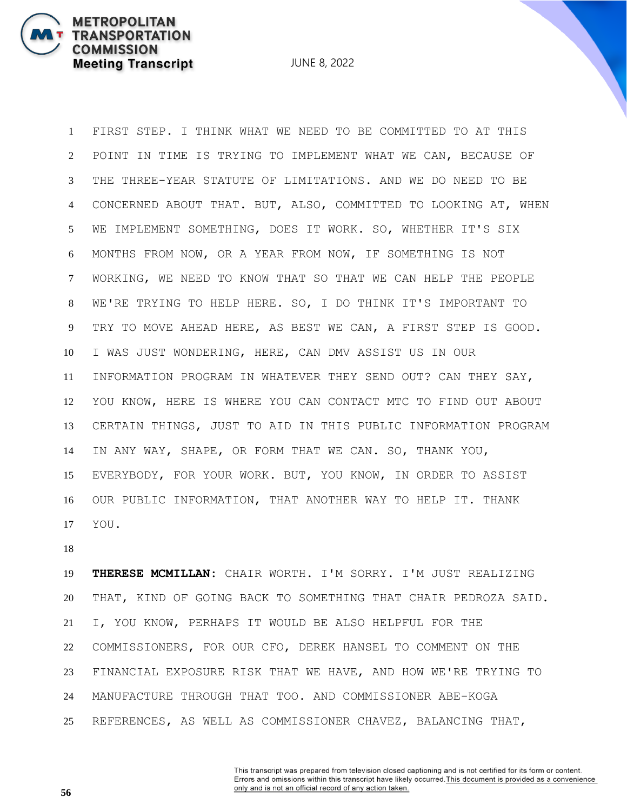JUNE 8, 2022

 FIRST STEP. I THINK WHAT WE NEED TO BE COMMITTED TO AT THIS POINT IN TIME IS TRYING TO IMPLEMENT WHAT WE CAN, BECAUSE OF THE THREE-YEAR STATUTE OF LIMITATIONS. AND WE DO NEED TO BE CONCERNED ABOUT THAT. BUT, ALSO, COMMITTED TO LOOKING AT, WHEN WE IMPLEMENT SOMETHING, DOES IT WORK. SO, WHETHER IT'S SIX MONTHS FROM NOW, OR A YEAR FROM NOW, IF SOMETHING IS NOT WORKING, WE NEED TO KNOW THAT SO THAT WE CAN HELP THE PEOPLE WE'RE TRYING TO HELP HERE. SO, I DO THINK IT'S IMPORTANT TO TRY TO MOVE AHEAD HERE, AS BEST WE CAN, A FIRST STEP IS GOOD. I WAS JUST WONDERING, HERE, CAN DMV ASSIST US IN OUR INFORMATION PROGRAM IN WHATEVER THEY SEND OUT? CAN THEY SAY, YOU KNOW, HERE IS WHERE YOU CAN CONTACT MTC TO FIND OUT ABOUT CERTAIN THINGS, JUST TO AID IN THIS PUBLIC INFORMATION PROGRAM IN ANY WAY, SHAPE, OR FORM THAT WE CAN. SO, THANK YOU, EVERYBODY, FOR YOUR WORK. BUT, YOU KNOW, IN ORDER TO ASSIST OUR PUBLIC INFORMATION, THAT ANOTHER WAY TO HELP IT. THANK YOU.

 **THERESE MCMILLAN:** CHAIR WORTH. I'M SORRY. I'M JUST REALIZING THAT, KIND OF GOING BACK TO SOMETHING THAT CHAIR PEDROZA SAID. I, YOU KNOW, PERHAPS IT WOULD BE ALSO HELPFUL FOR THE COMMISSIONERS, FOR OUR CFO, DEREK HANSEL TO COMMENT ON THE FINANCIAL EXPOSURE RISK THAT WE HAVE, AND HOW WE'RE TRYING TO MANUFACTURE THROUGH THAT TOO. AND COMMISSIONER ABE-KOGA REFERENCES, AS WELL AS COMMISSIONER CHAVEZ, BALANCING THAT,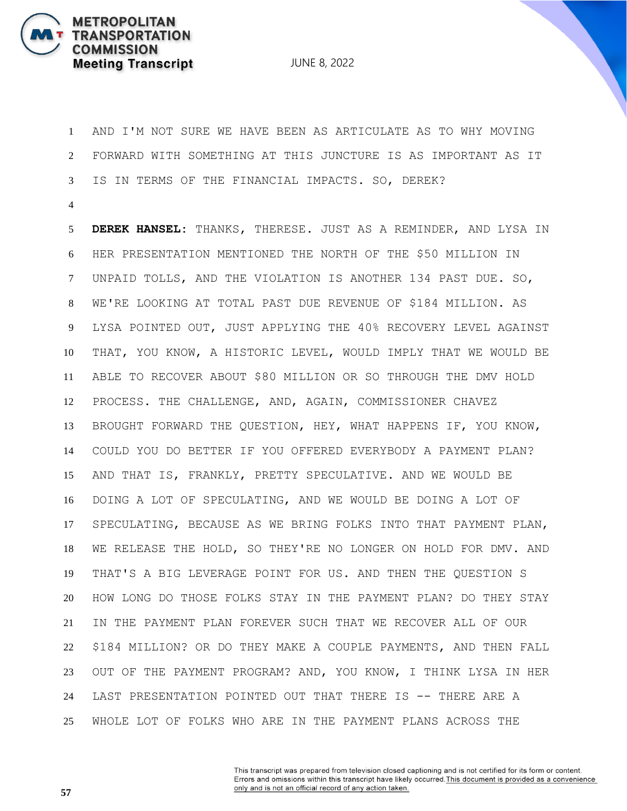

 AND I'M NOT SURE WE HAVE BEEN AS ARTICULATE AS TO WHY MOVING FORWARD WITH SOMETHING AT THIS JUNCTURE IS AS IMPORTANT AS IT IS IN TERMS OF THE FINANCIAL IMPACTS. SO, DEREK?

 **DEREK HANSEL:** THANKS, THERESE. JUST AS A REMINDER, AND LYSA IN HER PRESENTATION MENTIONED THE NORTH OF THE \$50 MILLION IN UNPAID TOLLS, AND THE VIOLATION IS ANOTHER 134 PAST DUE. SO, WE'RE LOOKING AT TOTAL PAST DUE REVENUE OF \$184 MILLION. AS LYSA POINTED OUT, JUST APPLYING THE 40% RECOVERY LEVEL AGAINST THAT, YOU KNOW, A HISTORIC LEVEL, WOULD IMPLY THAT WE WOULD BE ABLE TO RECOVER ABOUT \$80 MILLION OR SO THROUGH THE DMV HOLD PROCESS. THE CHALLENGE, AND, AGAIN, COMMISSIONER CHAVEZ BROUGHT FORWARD THE QUESTION, HEY, WHAT HAPPENS IF, YOU KNOW, COULD YOU DO BETTER IF YOU OFFERED EVERYBODY A PAYMENT PLAN? AND THAT IS, FRANKLY, PRETTY SPECULATIVE. AND WE WOULD BE DOING A LOT OF SPECULATING, AND WE WOULD BE DOING A LOT OF SPECULATING, BECAUSE AS WE BRING FOLKS INTO THAT PAYMENT PLAN, WE RELEASE THE HOLD, SO THEY'RE NO LONGER ON HOLD FOR DMV. AND THAT'S A BIG LEVERAGE POINT FOR US. AND THEN THE QUESTION S HOW LONG DO THOSE FOLKS STAY IN THE PAYMENT PLAN? DO THEY STAY IN THE PAYMENT PLAN FOREVER SUCH THAT WE RECOVER ALL OF OUR \$184 MILLION? OR DO THEY MAKE A COUPLE PAYMENTS, AND THEN FALL OUT OF THE PAYMENT PROGRAM? AND, YOU KNOW, I THINK LYSA IN HER LAST PRESENTATION POINTED OUT THAT THERE IS -- THERE ARE A WHOLE LOT OF FOLKS WHO ARE IN THE PAYMENT PLANS ACROSS THE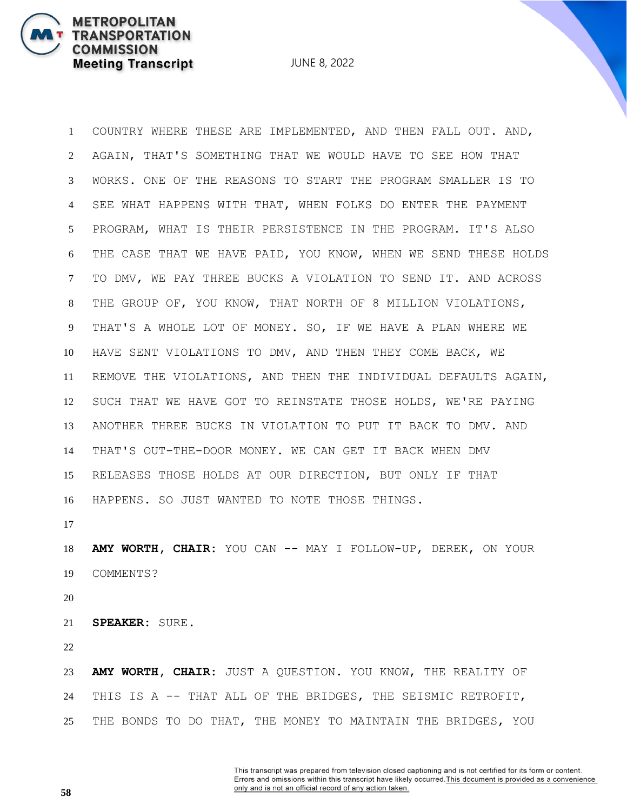JUNE 8, 2022

 COUNTRY WHERE THESE ARE IMPLEMENTED, AND THEN FALL OUT. AND, AGAIN, THAT'S SOMETHING THAT WE WOULD HAVE TO SEE HOW THAT WORKS. ONE OF THE REASONS TO START THE PROGRAM SMALLER IS TO SEE WHAT HAPPENS WITH THAT, WHEN FOLKS DO ENTER THE PAYMENT PROGRAM, WHAT IS THEIR PERSISTENCE IN THE PROGRAM. IT'S ALSO THE CASE THAT WE HAVE PAID, YOU KNOW, WHEN WE SEND THESE HOLDS TO DMV, WE PAY THREE BUCKS A VIOLATION TO SEND IT. AND ACROSS THE GROUP OF, YOU KNOW, THAT NORTH OF 8 MILLION VIOLATIONS, THAT'S A WHOLE LOT OF MONEY. SO, IF WE HAVE A PLAN WHERE WE HAVE SENT VIOLATIONS TO DMV, AND THEN THEY COME BACK, WE REMOVE THE VIOLATIONS, AND THEN THE INDIVIDUAL DEFAULTS AGAIN, SUCH THAT WE HAVE GOT TO REINSTATE THOSE HOLDS, WE'RE PAYING ANOTHER THREE BUCKS IN VIOLATION TO PUT IT BACK TO DMV. AND THAT'S OUT-THE-DOOR MONEY. WE CAN GET IT BACK WHEN DMV RELEASES THOSE HOLDS AT OUR DIRECTION, BUT ONLY IF THAT HAPPENS. SO JUST WANTED TO NOTE THOSE THINGS.

 **AMY WORTH, CHAIR:** YOU CAN -- MAY I FOLLOW-UP, DEREK, ON YOUR COMMENTS?

**SPEAKER:** SURE.

 **AMY WORTH, CHAIR:** JUST A QUESTION. YOU KNOW, THE REALITY OF THIS IS A -- THAT ALL OF THE BRIDGES, THE SEISMIC RETROFIT, THE BONDS TO DO THAT, THE MONEY TO MAINTAIN THE BRIDGES, YOU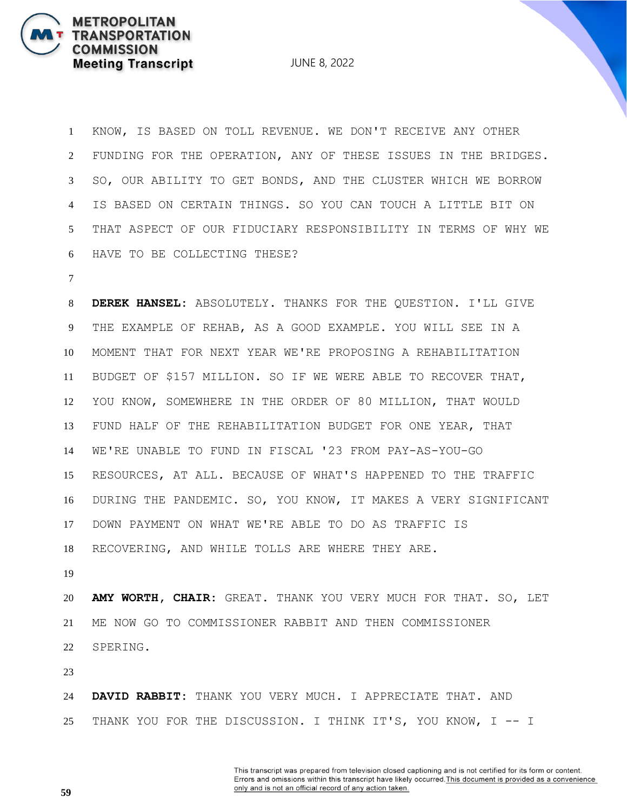JUNE 8, 2022

 KNOW, IS BASED ON TOLL REVENUE. WE DON'T RECEIVE ANY OTHER FUNDING FOR THE OPERATION, ANY OF THESE ISSUES IN THE BRIDGES. SO, OUR ABILITY TO GET BONDS, AND THE CLUSTER WHICH WE BORROW IS BASED ON CERTAIN THINGS. SO YOU CAN TOUCH A LITTLE BIT ON THAT ASPECT OF OUR FIDUCIARY RESPONSIBILITY IN TERMS OF WHY WE HAVE TO BE COLLECTING THESE?

 **DEREK HANSEL:** ABSOLUTELY. THANKS FOR THE QUESTION. I'LL GIVE THE EXAMPLE OF REHAB, AS A GOOD EXAMPLE. YOU WILL SEE IN A MOMENT THAT FOR NEXT YEAR WE'RE PROPOSING A REHABILITATION BUDGET OF \$157 MILLION. SO IF WE WERE ABLE TO RECOVER THAT, YOU KNOW, SOMEWHERE IN THE ORDER OF 80 MILLION, THAT WOULD FUND HALF OF THE REHABILITATION BUDGET FOR ONE YEAR, THAT WE'RE UNABLE TO FUND IN FISCAL '23 FROM PAY-AS-YOU-GO RESOURCES, AT ALL. BECAUSE OF WHAT'S HAPPENED TO THE TRAFFIC DURING THE PANDEMIC. SO, YOU KNOW, IT MAKES A VERY SIGNIFICANT DOWN PAYMENT ON WHAT WE'RE ABLE TO DO AS TRAFFIC IS RECOVERING, AND WHILE TOLLS ARE WHERE THEY ARE.

 **AMY WORTH, CHAIR:** GREAT. THANK YOU VERY MUCH FOR THAT. SO, LET ME NOW GO TO COMMISSIONER RABBIT AND THEN COMMISSIONER SPERING.

 **DAVID RABBIT:** THANK YOU VERY MUCH. I APPRECIATE THAT. AND THANK YOU FOR THE DISCUSSION. I THINK IT'S, YOU KNOW, I -- I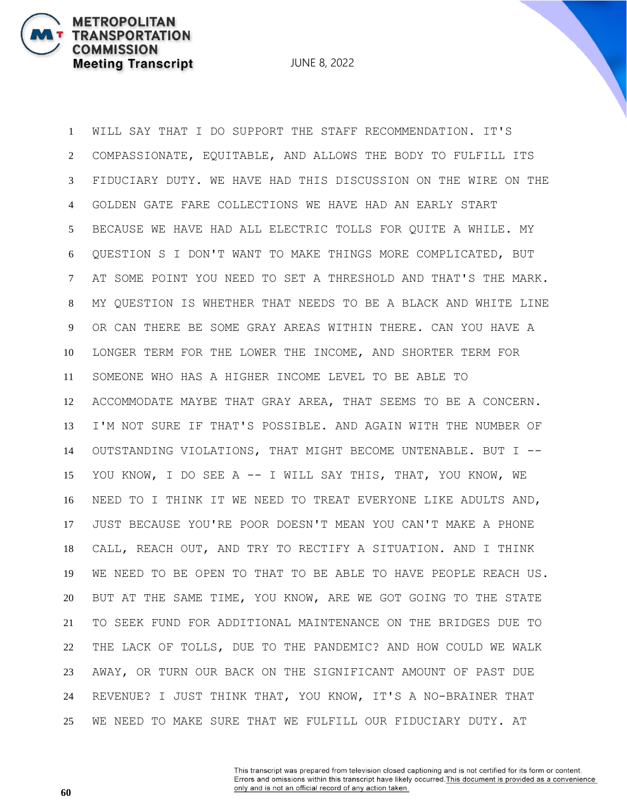JUNE 8, 2022

 WILL SAY THAT I DO SUPPORT THE STAFF RECOMMENDATION. IT'S COMPASSIONATE, EQUITABLE, AND ALLOWS THE BODY TO FULFILL ITS FIDUCIARY DUTY. WE HAVE HAD THIS DISCUSSION ON THE WIRE ON THE GOLDEN GATE FARE COLLECTIONS WE HAVE HAD AN EARLY START BECAUSE WE HAVE HAD ALL ELECTRIC TOLLS FOR QUITE A WHILE. MY QUESTION S I DON'T WANT TO MAKE THINGS MORE COMPLICATED, BUT AT SOME POINT YOU NEED TO SET A THRESHOLD AND THAT'S THE MARK. MY QUESTION IS WHETHER THAT NEEDS TO BE A BLACK AND WHITE LINE OR CAN THERE BE SOME GRAY AREAS WITHIN THERE. CAN YOU HAVE A LONGER TERM FOR THE LOWER THE INCOME, AND SHORTER TERM FOR SOMEONE WHO HAS A HIGHER INCOME LEVEL TO BE ABLE TO ACCOMMODATE MAYBE THAT GRAY AREA, THAT SEEMS TO BE A CONCERN. I'M NOT SURE IF THAT'S POSSIBLE. AND AGAIN WITH THE NUMBER OF OUTSTANDING VIOLATIONS, THAT MIGHT BECOME UNTENABLE. BUT I -- YOU KNOW, I DO SEE A -- I WILL SAY THIS, THAT, YOU KNOW, WE NEED TO I THINK IT WE NEED TO TREAT EVERYONE LIKE ADULTS AND, JUST BECAUSE YOU'RE POOR DOESN'T MEAN YOU CAN'T MAKE A PHONE CALL, REACH OUT, AND TRY TO RECTIFY A SITUATION. AND I THINK WE NEED TO BE OPEN TO THAT TO BE ABLE TO HAVE PEOPLE REACH US. BUT AT THE SAME TIME, YOU KNOW, ARE WE GOT GOING TO THE STATE TO SEEK FUND FOR ADDITIONAL MAINTENANCE ON THE BRIDGES DUE TO THE LACK OF TOLLS, DUE TO THE PANDEMIC? AND HOW COULD WE WALK AWAY, OR TURN OUR BACK ON THE SIGNIFICANT AMOUNT OF PAST DUE REVENUE? I JUST THINK THAT, YOU KNOW, IT'S A NO-BRAINER THAT WE NEED TO MAKE SURE THAT WE FULFILL OUR FIDUCIARY DUTY. AT

> This transcript was prepared from television closed captioning and is not certified for its form or content. Errors and omissions within this transcript have likely occurred. This document is provided as a convenience only and is not an official record of any action taken.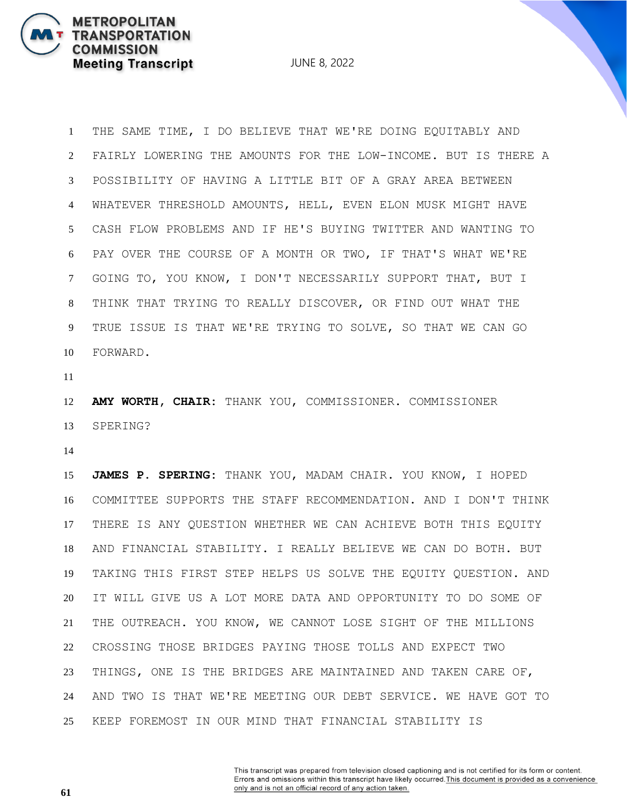JUNE 8, 2022

 THE SAME TIME, I DO BELIEVE THAT WE'RE DOING EQUITABLY AND FAIRLY LOWERING THE AMOUNTS FOR THE LOW-INCOME. BUT IS THERE A POSSIBILITY OF HAVING A LITTLE BIT OF A GRAY AREA BETWEEN WHATEVER THRESHOLD AMOUNTS, HELL, EVEN ELON MUSK MIGHT HAVE CASH FLOW PROBLEMS AND IF HE'S BUYING TWITTER AND WANTING TO PAY OVER THE COURSE OF A MONTH OR TWO, IF THAT'S WHAT WE'RE GOING TO, YOU KNOW, I DON'T NECESSARILY SUPPORT THAT, BUT I THINK THAT TRYING TO REALLY DISCOVER, OR FIND OUT WHAT THE TRUE ISSUE IS THAT WE'RE TRYING TO SOLVE, SO THAT WE CAN GO FORWARD.

 **AMY WORTH, CHAIR:** THANK YOU, COMMISSIONER. COMMISSIONER SPERING?

 **JAMES P. SPERING:** THANK YOU, MADAM CHAIR. YOU KNOW, I HOPED COMMITTEE SUPPORTS THE STAFF RECOMMENDATION. AND I DON'T THINK THERE IS ANY QUESTION WHETHER WE CAN ACHIEVE BOTH THIS EQUITY AND FINANCIAL STABILITY. I REALLY BELIEVE WE CAN DO BOTH. BUT TAKING THIS FIRST STEP HELPS US SOLVE THE EQUITY QUESTION. AND IT WILL GIVE US A LOT MORE DATA AND OPPORTUNITY TO DO SOME OF THE OUTREACH. YOU KNOW, WE CANNOT LOSE SIGHT OF THE MILLIONS CROSSING THOSE BRIDGES PAYING THOSE TOLLS AND EXPECT TWO THINGS, ONE IS THE BRIDGES ARE MAINTAINED AND TAKEN CARE OF, AND TWO IS THAT WE'RE MEETING OUR DEBT SERVICE. WE HAVE GOT TO KEEP FOREMOST IN OUR MIND THAT FINANCIAL STABILITY IS

> This transcript was prepared from television closed captioning and is not certified for its form or content. Errors and omissions within this transcript have likely occurred. This document is provided as a convenience only and is not an official record of any action taken.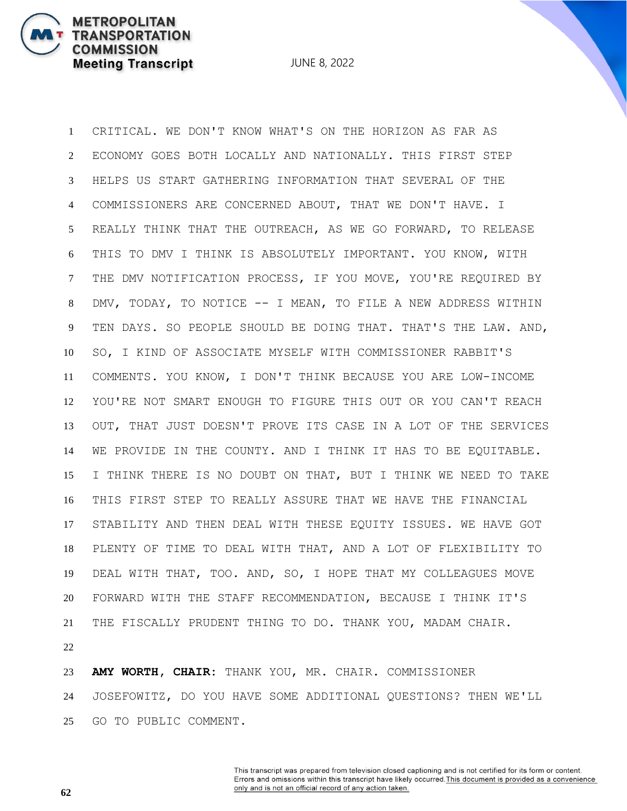**METROPOLITAN** 

**COMMISSION** 

**TRANSPORTATION** 

**Meeting Transcript** 

 CRITICAL. WE DON'T KNOW WHAT'S ON THE HORIZON AS FAR AS ECONOMY GOES BOTH LOCALLY AND NATIONALLY. THIS FIRST STEP HELPS US START GATHERING INFORMATION THAT SEVERAL OF THE COMMISSIONERS ARE CONCERNED ABOUT, THAT WE DON'T HAVE. I REALLY THINK THAT THE OUTREACH, AS WE GO FORWARD, TO RELEASE THIS TO DMV I THINK IS ABSOLUTELY IMPORTANT. YOU KNOW, WITH THE DMV NOTIFICATION PROCESS, IF YOU MOVE, YOU'RE REQUIRED BY DMV, TODAY, TO NOTICE -- I MEAN, TO FILE A NEW ADDRESS WITHIN 9 TEN DAYS. SO PEOPLE SHOULD BE DOING THAT. THAT'S THE LAW. AND, SO, I KIND OF ASSOCIATE MYSELF WITH COMMISSIONER RABBIT'S COMMENTS. YOU KNOW, I DON'T THINK BECAUSE YOU ARE LOW-INCOME YOU'RE NOT SMART ENOUGH TO FIGURE THIS OUT OR YOU CAN'T REACH OUT, THAT JUST DOESN'T PROVE ITS CASE IN A LOT OF THE SERVICES WE PROVIDE IN THE COUNTY. AND I THINK IT HAS TO BE EQUITABLE. I THINK THERE IS NO DOUBT ON THAT, BUT I THINK WE NEED TO TAKE THIS FIRST STEP TO REALLY ASSURE THAT WE HAVE THE FINANCIAL STABILITY AND THEN DEAL WITH THESE EQUITY ISSUES. WE HAVE GOT PLENTY OF TIME TO DEAL WITH THAT, AND A LOT OF FLEXIBILITY TO DEAL WITH THAT, TOO. AND, SO, I HOPE THAT MY COLLEAGUES MOVE FORWARD WITH THE STAFF RECOMMENDATION, BECAUSE I THINK IT'S THE FISCALLY PRUDENT THING TO DO. THANK YOU, MADAM CHAIR. 

 **AMY WORTH, CHAIR:** THANK YOU, MR. CHAIR. COMMISSIONER JOSEFOWITZ, DO YOU HAVE SOME ADDITIONAL QUESTIONS? THEN WE'LL GO TO PUBLIC COMMENT.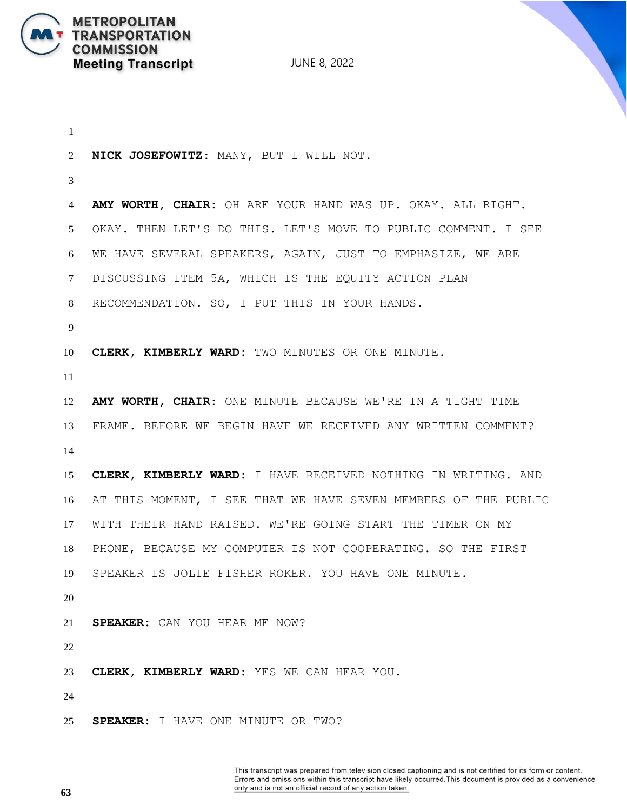

 **NICK JOSEFOWITZ:** MANY, BUT I WILL NOT. **AMY WORTH, CHAIR:** OH ARE YOUR HAND WAS UP. OKAY. ALL RIGHT. OKAY. THEN LET'S DO THIS. LET'S MOVE TO PUBLIC COMMENT. I SEE WE HAVE SEVERAL SPEAKERS, AGAIN, JUST TO EMPHASIZE, WE ARE DISCUSSING ITEM 5A, WHICH IS THE EQUITY ACTION PLAN RECOMMENDATION. SO, I PUT THIS IN YOUR HANDS. **CLERK, KIMBERLY WARD:** TWO MINUTES OR ONE MINUTE. **AMY WORTH, CHAIR:** ONE MINUTE BECAUSE WE'RE IN A TIGHT TIME FRAME. BEFORE WE BEGIN HAVE WE RECEIVED ANY WRITTEN COMMENT? **CLERK, KIMBERLY WARD:** I HAVE RECEIVED NOTHING IN WRITING. AND AT THIS MOMENT, I SEE THAT WE HAVE SEVEN MEMBERS OF THE PUBLIC WITH THEIR HAND RAISED. WE'RE GOING START THE TIMER ON MY PHONE, BECAUSE MY COMPUTER IS NOT COOPERATING. SO THE FIRST SPEAKER IS JOLIE FISHER ROKER. YOU HAVE ONE MINUTE. **SPEAKER:** CAN YOU HEAR ME NOW? **CLERK, KIMBERLY WARD:** YES WE CAN HEAR YOU. **SPEAKER:** I HAVE ONE MINUTE OR TWO?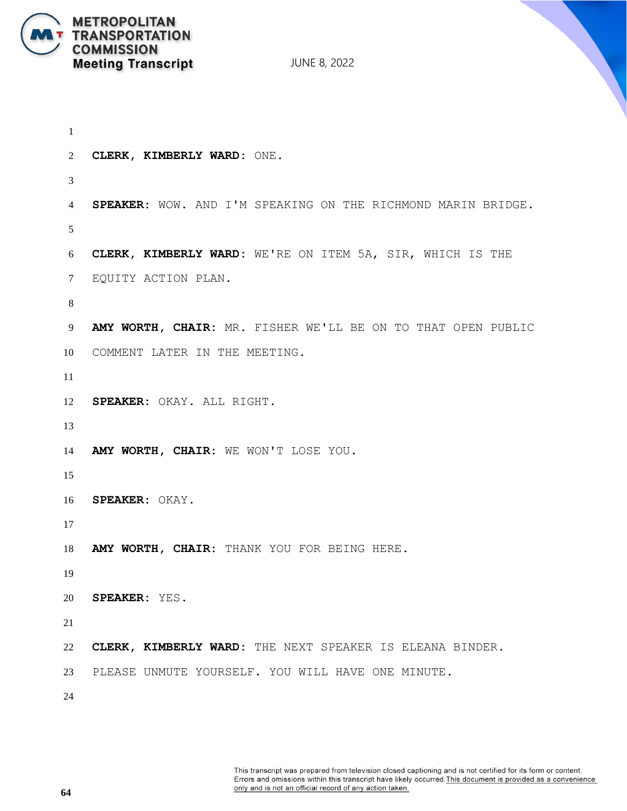

```
1
2 CLERK, KIMBERLY WARD: ONE.
3
4 SPEAKER: WOW. AND I'M SPEAKING ON THE RICHMOND MARIN BRIDGE.
5
6 CLERK, KIMBERLY WARD: WE'RE ON ITEM 5A, SIR, WHICH IS THE
7 EQUITY ACTION PLAN.
8
9 AMY WORTH, CHAIR: MR. FISHER WE'LL BE ON TO THAT OPEN PUBLIC
10 COMMENT LATER IN THE MEETING.
11
12 SPEAKER: OKAY. ALL RIGHT.
13
14 AMY WORTH, CHAIR: WE WON'T LOSE YOU.
15
16 SPEAKER: OKAY.
17
18 AMY WORTH, CHAIR: THANK YOU FOR BEING HERE.
19
20 SPEAKER: YES.
21
22 CLERK, KIMBERLY WARD: THE NEXT SPEAKER IS ELEANA BINDER.
23 PLEASE UNMUTE YOURSELF. YOU WILL HAVE ONE MINUTE.
24
```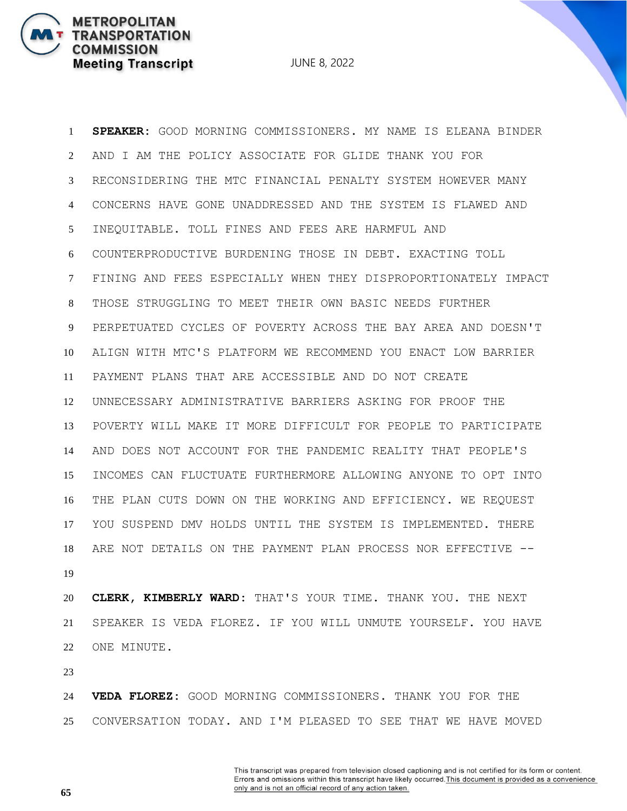JUNE 8, 2022

 **SPEAKER:** GOOD MORNING COMMISSIONERS. MY NAME IS ELEANA BINDER AND I AM THE POLICY ASSOCIATE FOR GLIDE THANK YOU FOR RECONSIDERING THE MTC FINANCIAL PENALTY SYSTEM HOWEVER MANY CONCERNS HAVE GONE UNADDRESSED AND THE SYSTEM IS FLAWED AND INEQUITABLE. TOLL FINES AND FEES ARE HARMFUL AND COUNTERPRODUCTIVE BURDENING THOSE IN DEBT. EXACTING TOLL FINING AND FEES ESPECIALLY WHEN THEY DISPROPORTIONATELY IMPACT THOSE STRUGGLING TO MEET THEIR OWN BASIC NEEDS FURTHER PERPETUATED CYCLES OF POVERTY ACROSS THE BAY AREA AND DOESN'T ALIGN WITH MTC'S PLATFORM WE RECOMMEND YOU ENACT LOW BARRIER PAYMENT PLANS THAT ARE ACCESSIBLE AND DO NOT CREATE UNNECESSARY ADMINISTRATIVE BARRIERS ASKING FOR PROOF THE POVERTY WILL MAKE IT MORE DIFFICULT FOR PEOPLE TO PARTICIPATE AND DOES NOT ACCOUNT FOR THE PANDEMIC REALITY THAT PEOPLE'S INCOMES CAN FLUCTUATE FURTHERMORE ALLOWING ANYONE TO OPT INTO THE PLAN CUTS DOWN ON THE WORKING AND EFFICIENCY. WE REQUEST YOU SUSPEND DMV HOLDS UNTIL THE SYSTEM IS IMPLEMENTED. THERE ARE NOT DETAILS ON THE PAYMENT PLAN PROCESS NOR EFFECTIVE -- 

 **CLERK, KIMBERLY WARD:** THAT'S YOUR TIME. THANK YOU. THE NEXT SPEAKER IS VEDA FLOREZ. IF YOU WILL UNMUTE YOURSELF. YOU HAVE ONE MINUTE.

 **VEDA FLOREZ:** GOOD MORNING COMMISSIONERS. THANK YOU FOR THE CONVERSATION TODAY. AND I'M PLEASED TO SEE THAT WE HAVE MOVED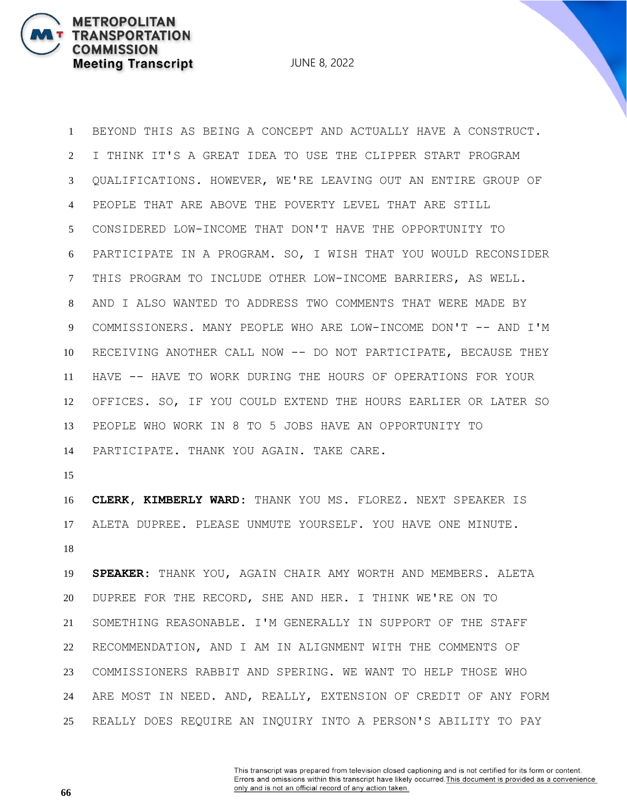JUNE 8, 2022

 BEYOND THIS AS BEING A CONCEPT AND ACTUALLY HAVE A CONSTRUCT. I THINK IT'S A GREAT IDEA TO USE THE CLIPPER START PROGRAM QUALIFICATIONS. HOWEVER, WE'RE LEAVING OUT AN ENTIRE GROUP OF PEOPLE THAT ARE ABOVE THE POVERTY LEVEL THAT ARE STILL CONSIDERED LOW-INCOME THAT DON'T HAVE THE OPPORTUNITY TO PARTICIPATE IN A PROGRAM. SO, I WISH THAT YOU WOULD RECONSIDER THIS PROGRAM TO INCLUDE OTHER LOW-INCOME BARRIERS, AS WELL. AND I ALSO WANTED TO ADDRESS TWO COMMENTS THAT WERE MADE BY COMMISSIONERS. MANY PEOPLE WHO ARE LOW-INCOME DON'T -- AND I'M RECEIVING ANOTHER CALL NOW -- DO NOT PARTICIPATE, BECAUSE THEY HAVE -- HAVE TO WORK DURING THE HOURS OF OPERATIONS FOR YOUR OFFICES. SO, IF YOU COULD EXTEND THE HOURS EARLIER OR LATER SO PEOPLE WHO WORK IN 8 TO 5 JOBS HAVE AN OPPORTUNITY TO PARTICIPATE. THANK YOU AGAIN. TAKE CARE.

 **CLERK, KIMBERLY WARD:** THANK YOU MS. FLOREZ. NEXT SPEAKER IS ALETA DUPREE. PLEASE UNMUTE YOURSELF. YOU HAVE ONE MINUTE. 

 **SPEAKER:** THANK YOU, AGAIN CHAIR AMY WORTH AND MEMBERS. ALETA DUPREE FOR THE RECORD, SHE AND HER. I THINK WE'RE ON TO SOMETHING REASONABLE. I'M GENERALLY IN SUPPORT OF THE STAFF RECOMMENDATION, AND I AM IN ALIGNMENT WITH THE COMMENTS OF COMMISSIONERS RABBIT AND SPERING. WE WANT TO HELP THOSE WHO ARE MOST IN NEED. AND, REALLY, EXTENSION OF CREDIT OF ANY FORM REALLY DOES REQUIRE AN INQUIRY INTO A PERSON'S ABILITY TO PAY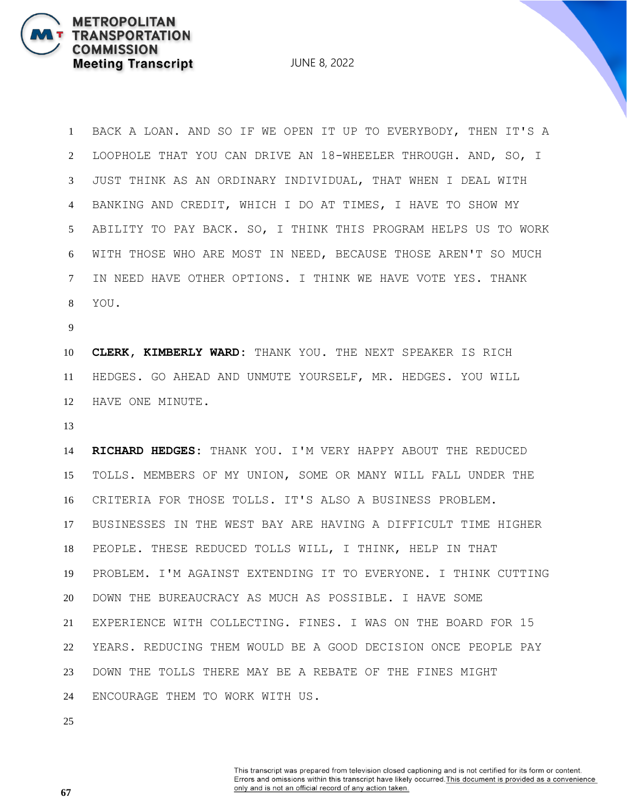BACK A LOAN. AND SO IF WE OPEN IT UP TO EVERYBODY, THEN IT'S A LOOPHOLE THAT YOU CAN DRIVE AN 18-WHEELER THROUGH. AND, SO, I JUST THINK AS AN ORDINARY INDIVIDUAL, THAT WHEN I DEAL WITH BANKING AND CREDIT, WHICH I DO AT TIMES, I HAVE TO SHOW MY ABILITY TO PAY BACK. SO, I THINK THIS PROGRAM HELPS US TO WORK WITH THOSE WHO ARE MOST IN NEED, BECAUSE THOSE AREN'T SO MUCH IN NEED HAVE OTHER OPTIONS. I THINK WE HAVE VOTE YES. THANK YOU.

**METROPOLITAN** 

**COMMISSION** 

**TRANSPORTATION** 

**Meeting Transcript** 

 **CLERK, KIMBERLY WARD:** THANK YOU. THE NEXT SPEAKER IS RICH HEDGES. GO AHEAD AND UNMUTE YOURSELF, MR. HEDGES. YOU WILL HAVE ONE MINUTE.

 **RICHARD HEDGES:** THANK YOU. I'M VERY HAPPY ABOUT THE REDUCED TOLLS. MEMBERS OF MY UNION, SOME OR MANY WILL FALL UNDER THE CRITERIA FOR THOSE TOLLS. IT'S ALSO A BUSINESS PROBLEM. BUSINESSES IN THE WEST BAY ARE HAVING A DIFFICULT TIME HIGHER PEOPLE. THESE REDUCED TOLLS WILL, I THINK, HELP IN THAT PROBLEM. I'M AGAINST EXTENDING IT TO EVERYONE. I THINK CUTTING DOWN THE BUREAUCRACY AS MUCH AS POSSIBLE. I HAVE SOME EXPERIENCE WITH COLLECTING. FINES. I WAS ON THE BOARD FOR 15 YEARS. REDUCING THEM WOULD BE A GOOD DECISION ONCE PEOPLE PAY DOWN THE TOLLS THERE MAY BE A REBATE OF THE FINES MIGHT ENCOURAGE THEM TO WORK WITH US.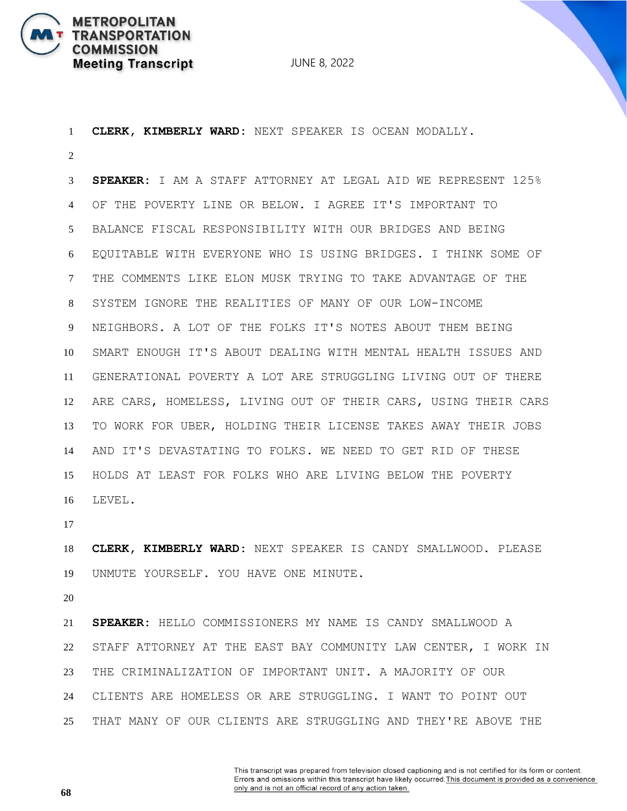

 **CLERK, KIMBERLY WARD:** NEXT SPEAKER IS OCEAN MODALLY. **SPEAKER:** I AM A STAFF ATTORNEY AT LEGAL AID WE REPRESENT 125% OF THE POVERTY LINE OR BELOW. I AGREE IT'S IMPORTANT TO BALANCE FISCAL RESPONSIBILITY WITH OUR BRIDGES AND BEING EQUITABLE WITH EVERYONE WHO IS USING BRIDGES. I THINK SOME OF THE COMMENTS LIKE ELON MUSK TRYING TO TAKE ADVANTAGE OF THE SYSTEM IGNORE THE REALITIES OF MANY OF OUR LOW-INCOME NEIGHBORS. A LOT OF THE FOLKS IT'S NOTES ABOUT THEM BEING SMART ENOUGH IT'S ABOUT DEALING WITH MENTAL HEALTH ISSUES AND GENERATIONAL POVERTY A LOT ARE STRUGGLING LIVING OUT OF THERE ARE CARS, HOMELESS, LIVING OUT OF THEIR CARS, USING THEIR CARS TO WORK FOR UBER, HOLDING THEIR LICENSE TAKES AWAY THEIR JOBS AND IT'S DEVASTATING TO FOLKS. WE NEED TO GET RID OF THESE HOLDS AT LEAST FOR FOLKS WHO ARE LIVING BELOW THE POVERTY LEVEL.

 **CLERK, KIMBERLY WARD:** NEXT SPEAKER IS CANDY SMALLWOOD. PLEASE UNMUTE YOURSELF. YOU HAVE ONE MINUTE.

 **SPEAKER:** HELLO COMMISSIONERS MY NAME IS CANDY SMALLWOOD A STAFF ATTORNEY AT THE EAST BAY COMMUNITY LAW CENTER, I WORK IN THE CRIMINALIZATION OF IMPORTANT UNIT. A MAJORITY OF OUR CLIENTS ARE HOMELESS OR ARE STRUGGLING. I WANT TO POINT OUT THAT MANY OF OUR CLIENTS ARE STRUGGLING AND THEY'RE ABOVE THE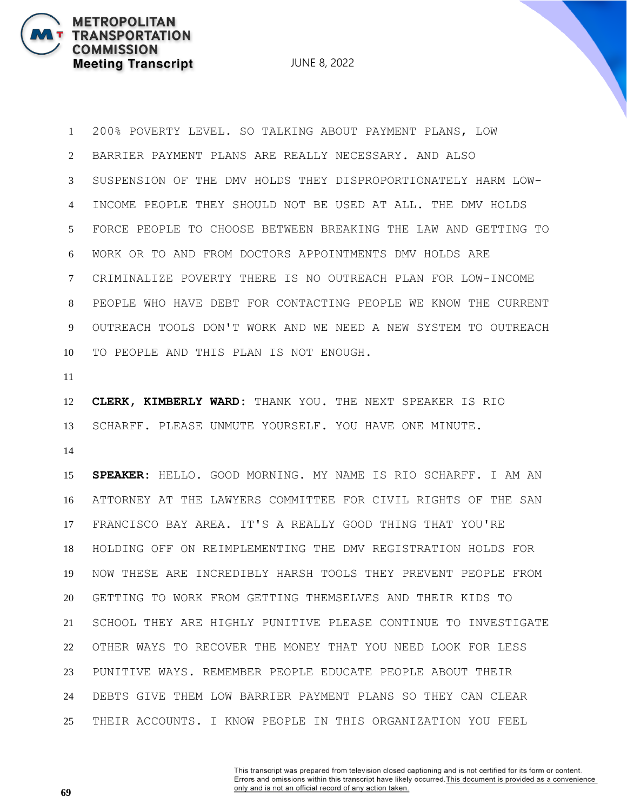JUNE 8, 2022

 200% POVERTY LEVEL. SO TALKING ABOUT PAYMENT PLANS, LOW BARRIER PAYMENT PLANS ARE REALLY NECESSARY. AND ALSO SUSPENSION OF THE DMV HOLDS THEY DISPROPORTIONATELY HARM LOW- INCOME PEOPLE THEY SHOULD NOT BE USED AT ALL. THE DMV HOLDS FORCE PEOPLE TO CHOOSE BETWEEN BREAKING THE LAW AND GETTING TO WORK OR TO AND FROM DOCTORS APPOINTMENTS DMV HOLDS ARE CRIMINALIZE POVERTY THERE IS NO OUTREACH PLAN FOR LOW-INCOME PEOPLE WHO HAVE DEBT FOR CONTACTING PEOPLE WE KNOW THE CURRENT OUTREACH TOOLS DON'T WORK AND WE NEED A NEW SYSTEM TO OUTREACH TO PEOPLE AND THIS PLAN IS NOT ENOUGH.

 **CLERK, KIMBERLY WARD:** THANK YOU. THE NEXT SPEAKER IS RIO SCHARFF. PLEASE UNMUTE YOURSELF. YOU HAVE ONE MINUTE.

 **SPEAKER:** HELLO. GOOD MORNING. MY NAME IS RIO SCHARFF. I AM AN ATTORNEY AT THE LAWYERS COMMITTEE FOR CIVIL RIGHTS OF THE SAN FRANCISCO BAY AREA. IT'S A REALLY GOOD THING THAT YOU'RE HOLDING OFF ON REIMPLEMENTING THE DMV REGISTRATION HOLDS FOR NOW THESE ARE INCREDIBLY HARSH TOOLS THEY PREVENT PEOPLE FROM GETTING TO WORK FROM GETTING THEMSELVES AND THEIR KIDS TO SCHOOL THEY ARE HIGHLY PUNITIVE PLEASE CONTINUE TO INVESTIGATE OTHER WAYS TO RECOVER THE MONEY THAT YOU NEED LOOK FOR LESS PUNITIVE WAYS. REMEMBER PEOPLE EDUCATE PEOPLE ABOUT THEIR DEBTS GIVE THEM LOW BARRIER PAYMENT PLANS SO THEY CAN CLEAR THEIR ACCOUNTS. I KNOW PEOPLE IN THIS ORGANIZATION YOU FEEL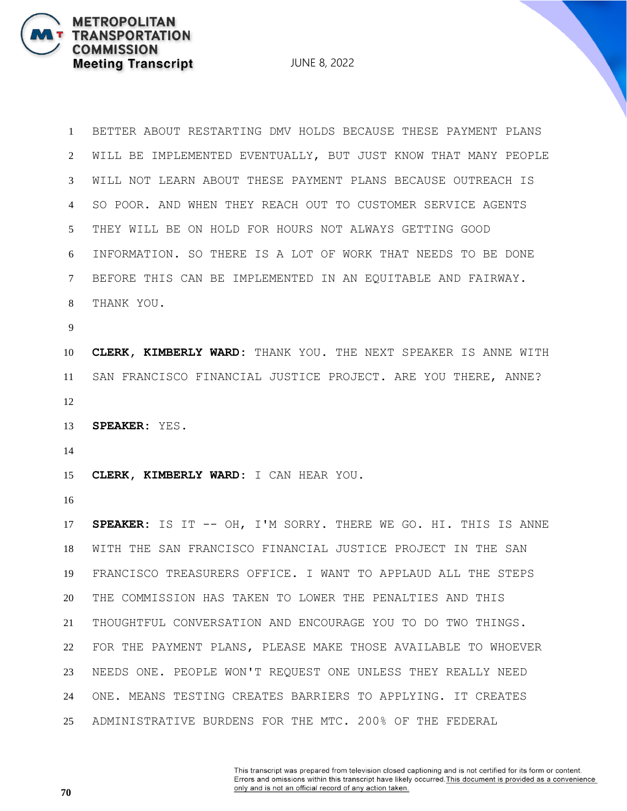JUNE 8, 2022

 BETTER ABOUT RESTARTING DMV HOLDS BECAUSE THESE PAYMENT PLANS WILL BE IMPLEMENTED EVENTUALLY, BUT JUST KNOW THAT MANY PEOPLE WILL NOT LEARN ABOUT THESE PAYMENT PLANS BECAUSE OUTREACH IS SO POOR. AND WHEN THEY REACH OUT TO CUSTOMER SERVICE AGENTS THEY WILL BE ON HOLD FOR HOURS NOT ALWAYS GETTING GOOD INFORMATION. SO THERE IS A LOT OF WORK THAT NEEDS TO BE DONE BEFORE THIS CAN BE IMPLEMENTED IN AN EQUITABLE AND FAIRWAY. THANK YOU. **CLERK, KIMBERLY WARD:** THANK YOU. THE NEXT SPEAKER IS ANNE WITH SAN FRANCISCO FINANCIAL JUSTICE PROJECT. ARE YOU THERE, ANNE? **SPEAKER:** YES. **CLERK, KIMBERLY WARD:** I CAN HEAR YOU. **SPEAKER:** IS IT -- OH, I'M SORRY. THERE WE GO. HI. THIS IS ANNE WITH THE SAN FRANCISCO FINANCIAL JUSTICE PROJECT IN THE SAN FRANCISCO TREASURERS OFFICE. I WANT TO APPLAUD ALL THE STEPS THE COMMISSION HAS TAKEN TO LOWER THE PENALTIES AND THIS THOUGHTFUL CONVERSATION AND ENCOURAGE YOU TO DO TWO THINGS. FOR THE PAYMENT PLANS, PLEASE MAKE THOSE AVAILABLE TO WHOEVER NEEDS ONE. PEOPLE WON'T REQUEST ONE UNLESS THEY REALLY NEED ONE. MEANS TESTING CREATES BARRIERS TO APPLYING. IT CREATES ADMINISTRATIVE BURDENS FOR THE MTC. 200% OF THE FEDERAL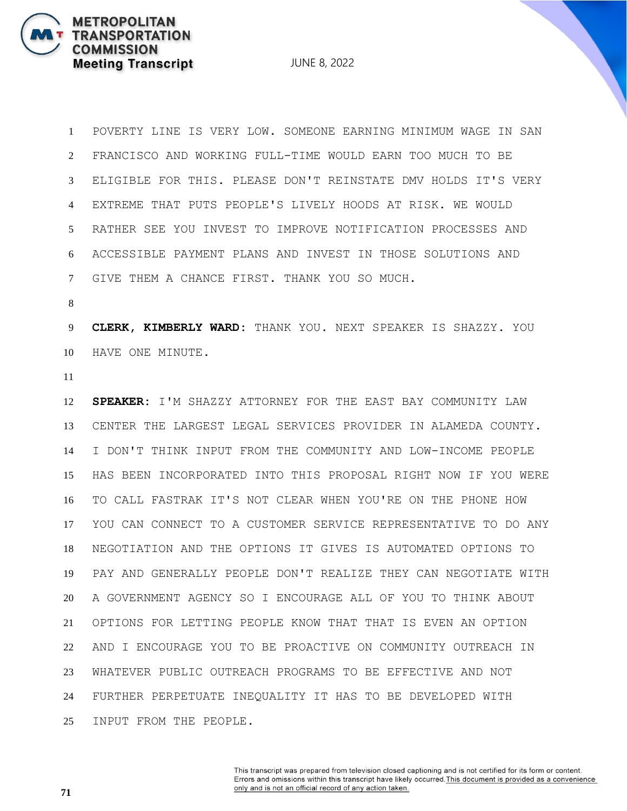JUNE 8, 2022

 POVERTY LINE IS VERY LOW. SOMEONE EARNING MINIMUM WAGE IN SAN FRANCISCO AND WORKING FULL-TIME WOULD EARN TOO MUCH TO BE ELIGIBLE FOR THIS. PLEASE DON'T REINSTATE DMV HOLDS IT'S VERY EXTREME THAT PUTS PEOPLE'S LIVELY HOODS AT RISK. WE WOULD RATHER SEE YOU INVEST TO IMPROVE NOTIFICATION PROCESSES AND ACCESSIBLE PAYMENT PLANS AND INVEST IN THOSE SOLUTIONS AND GIVE THEM A CHANCE FIRST. THANK YOU SO MUCH.

 **CLERK, KIMBERLY WARD:** THANK YOU. NEXT SPEAKER IS SHAZZY. YOU HAVE ONE MINUTE.

 **SPEAKER:** I'M SHAZZY ATTORNEY FOR THE EAST BAY COMMUNITY LAW CENTER THE LARGEST LEGAL SERVICES PROVIDER IN ALAMEDA COUNTY. I DON'T THINK INPUT FROM THE COMMUNITY AND LOW-INCOME PEOPLE HAS BEEN INCORPORATED INTO THIS PROPOSAL RIGHT NOW IF YOU WERE TO CALL FASTRAK IT'S NOT CLEAR WHEN YOU'RE ON THE PHONE HOW YOU CAN CONNECT TO A CUSTOMER SERVICE REPRESENTATIVE TO DO ANY NEGOTIATION AND THE OPTIONS IT GIVES IS AUTOMATED OPTIONS TO PAY AND GENERALLY PEOPLE DON'T REALIZE THEY CAN NEGOTIATE WITH A GOVERNMENT AGENCY SO I ENCOURAGE ALL OF YOU TO THINK ABOUT OPTIONS FOR LETTING PEOPLE KNOW THAT THAT IS EVEN AN OPTION AND I ENCOURAGE YOU TO BE PROACTIVE ON COMMUNITY OUTREACH IN WHATEVER PUBLIC OUTREACH PROGRAMS TO BE EFFECTIVE AND NOT FURTHER PERPETUATE INEQUALITY IT HAS TO BE DEVELOPED WITH INPUT FROM THE PEOPLE.

> This transcript was prepared from television closed captioning and is not certified for its form or content. Errors and omissions within this transcript have likely occurred. This document is provided as a convenience only and is not an official record of any action taken.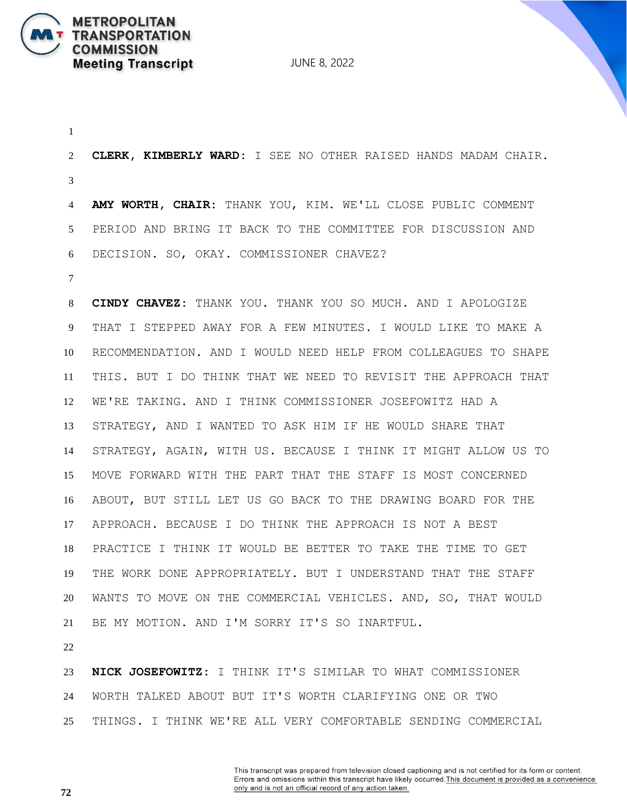

 **CLERK, KIMBERLY WARD:** I SEE NO OTHER RAISED HANDS MADAM CHAIR. **AMY WORTH, CHAIR:** THANK YOU, KIM. WE'LL CLOSE PUBLIC COMMENT PERIOD AND BRING IT BACK TO THE COMMITTEE FOR DISCUSSION AND DECISION. SO, OKAY. COMMISSIONER CHAVEZ? **CINDY CHAVEZ:** THANK YOU. THANK YOU SO MUCH. AND I APOLOGIZE THAT I STEPPED AWAY FOR A FEW MINUTES. I WOULD LIKE TO MAKE A RECOMMENDATION. AND I WOULD NEED HELP FROM COLLEAGUES TO SHAPE THIS. BUT I DO THINK THAT WE NEED TO REVISIT THE APPROACH THAT WE'RE TAKING. AND I THINK COMMISSIONER JOSEFOWITZ HAD A STRATEGY, AND I WANTED TO ASK HIM IF HE WOULD SHARE THAT STRATEGY, AGAIN, WITH US. BECAUSE I THINK IT MIGHT ALLOW US TO MOVE FORWARD WITH THE PART THAT THE STAFF IS MOST CONCERNED ABOUT, BUT STILL LET US GO BACK TO THE DRAWING BOARD FOR THE APPROACH. BECAUSE I DO THINK THE APPROACH IS NOT A BEST PRACTICE I THINK IT WOULD BE BETTER TO TAKE THE TIME TO GET THE WORK DONE APPROPRIATELY. BUT I UNDERSTAND THAT THE STAFF WANTS TO MOVE ON THE COMMERCIAL VEHICLES. AND, SO, THAT WOULD BE MY MOTION. AND I'M SORRY IT'S SO INARTFUL. **NICK JOSEFOWITZ:** I THINK IT'S SIMILAR TO WHAT COMMISSIONER

 WORTH TALKED ABOUT BUT IT'S WORTH CLARIFYING ONE OR TWO THINGS. I THINK WE'RE ALL VERY COMFORTABLE SENDING COMMERCIAL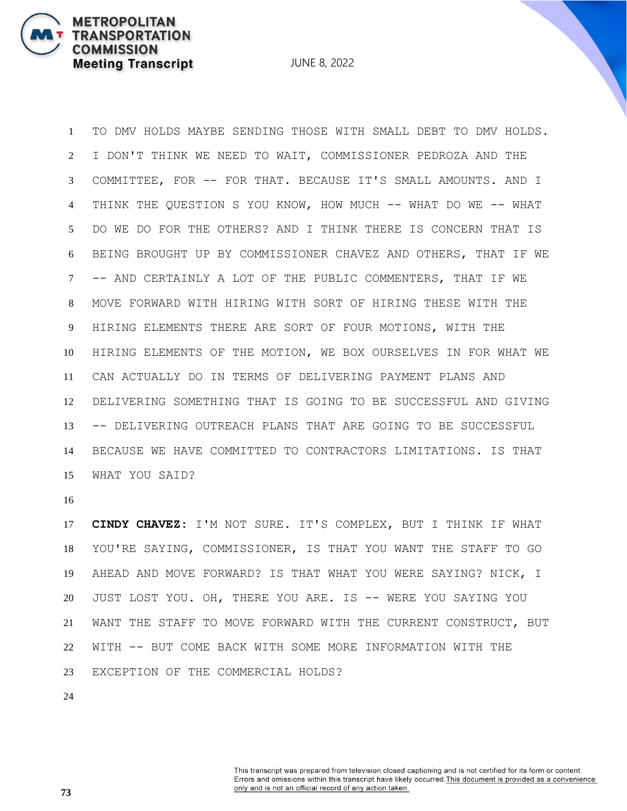JUNE 8, 2022

 TO DMV HOLDS MAYBE SENDING THOSE WITH SMALL DEBT TO DMV HOLDS. I DON'T THINK WE NEED TO WAIT, COMMISSIONER PEDROZA AND THE COMMITTEE, FOR -- FOR THAT. BECAUSE IT'S SMALL AMOUNTS. AND I THINK THE QUESTION S YOU KNOW, HOW MUCH -- WHAT DO WE -- WHAT DO WE DO FOR THE OTHERS? AND I THINK THERE IS CONCERN THAT IS BEING BROUGHT UP BY COMMISSIONER CHAVEZ AND OTHERS, THAT IF WE -- AND CERTAINLY A LOT OF THE PUBLIC COMMENTERS, THAT IF WE MOVE FORWARD WITH HIRING WITH SORT OF HIRING THESE WITH THE HIRING ELEMENTS THERE ARE SORT OF FOUR MOTIONS, WITH THE HIRING ELEMENTS OF THE MOTION, WE BOX OURSELVES IN FOR WHAT WE CAN ACTUALLY DO IN TERMS OF DELIVERING PAYMENT PLANS AND DELIVERING SOMETHING THAT IS GOING TO BE SUCCESSFUL AND GIVING -- DELIVERING OUTREACH PLANS THAT ARE GOING TO BE SUCCESSFUL BECAUSE WE HAVE COMMITTED TO CONTRACTORS LIMITATIONS. IS THAT WHAT YOU SAID?

 **CINDY CHAVEZ:** I'M NOT SURE. IT'S COMPLEX, BUT I THINK IF WHAT YOU'RE SAYING, COMMISSIONER, IS THAT YOU WANT THE STAFF TO GO AHEAD AND MOVE FORWARD? IS THAT WHAT YOU WERE SAYING? NICK, I JUST LOST YOU. OH, THERE YOU ARE. IS -- WERE YOU SAYING YOU WANT THE STAFF TO MOVE FORWARD WITH THE CURRENT CONSTRUCT, BUT WITH -- BUT COME BACK WITH SOME MORE INFORMATION WITH THE EXCEPTION OF THE COMMERCIAL HOLDS?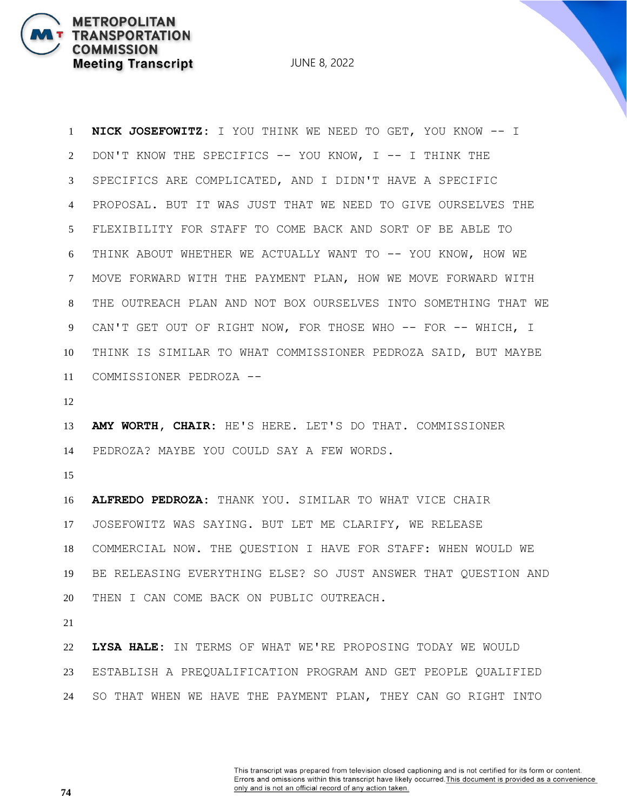JUNE 8, 2022

 **NICK JOSEFOWITZ:** I YOU THINK WE NEED TO GET, YOU KNOW -- I DON'T KNOW THE SPECIFICS -- YOU KNOW, I -- I THINK THE SPECIFICS ARE COMPLICATED, AND I DIDN'T HAVE A SPECIFIC PROPOSAL. BUT IT WAS JUST THAT WE NEED TO GIVE OURSELVES THE FLEXIBILITY FOR STAFF TO COME BACK AND SORT OF BE ABLE TO THINK ABOUT WHETHER WE ACTUALLY WANT TO -- YOU KNOW, HOW WE MOVE FORWARD WITH THE PAYMENT PLAN, HOW WE MOVE FORWARD WITH THE OUTREACH PLAN AND NOT BOX OURSELVES INTO SOMETHING THAT WE 9 CAN'T GET OUT OF RIGHT NOW, FOR THOSE WHO -- FOR -- WHICH, I THINK IS SIMILAR TO WHAT COMMISSIONER PEDROZA SAID, BUT MAYBE COMMISSIONER PEDROZA -- **AMY WORTH, CHAIR:** HE'S HERE. LET'S DO THAT. COMMISSIONER PEDROZA? MAYBE YOU COULD SAY A FEW WORDS. 

 **ALFREDO PEDROZA:** THANK YOU. SIMILAR TO WHAT VICE CHAIR JOSEFOWITZ WAS SAYING. BUT LET ME CLARIFY, WE RELEASE COMMERCIAL NOW. THE QUESTION I HAVE FOR STAFF: WHEN WOULD WE BE RELEASING EVERYTHING ELSE? SO JUST ANSWER THAT QUESTION AND THEN I CAN COME BACK ON PUBLIC OUTREACH.

 **LYSA HALE:** IN TERMS OF WHAT WE'RE PROPOSING TODAY WE WOULD ESTABLISH A PREQUALIFICATION PROGRAM AND GET PEOPLE QUALIFIED SO THAT WHEN WE HAVE THE PAYMENT PLAN, THEY CAN GO RIGHT INTO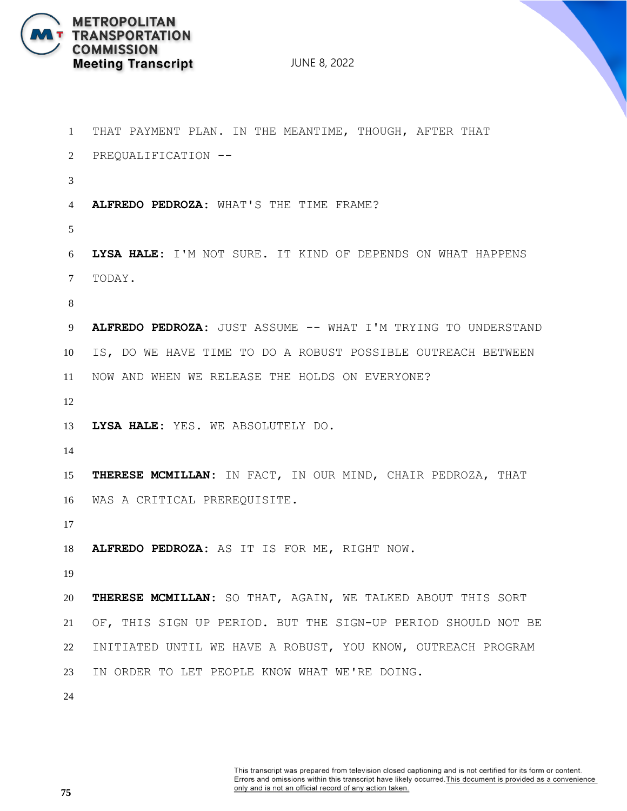

 THAT PAYMENT PLAN. IN THE MEANTIME, THOUGH, AFTER THAT PREQUALIFICATION -- **ALFREDO PEDROZA:** WHAT'S THE TIME FRAME? **LYSA HALE:** I'M NOT SURE. IT KIND OF DEPENDS ON WHAT HAPPENS TODAY. **ALFREDO PEDROZA:** JUST ASSUME -- WHAT I'M TRYING TO UNDERSTAND IS, DO WE HAVE TIME TO DO A ROBUST POSSIBLE OUTREACH BETWEEN NOW AND WHEN WE RELEASE THE HOLDS ON EVERYONE? **LYSA HALE:** YES. WE ABSOLUTELY DO. **THERESE MCMILLAN:** IN FACT, IN OUR MIND, CHAIR PEDROZA, THAT WAS A CRITICAL PREREQUISITE. **ALFREDO PEDROZA:** AS IT IS FOR ME, RIGHT NOW. **THERESE MCMILLAN:** SO THAT, AGAIN, WE TALKED ABOUT THIS SORT OF, THIS SIGN UP PERIOD. BUT THE SIGN-UP PERIOD SHOULD NOT BE INITIATED UNTIL WE HAVE A ROBUST, YOU KNOW, OUTREACH PROGRAM IN ORDER TO LET PEOPLE KNOW WHAT WE'RE DOING.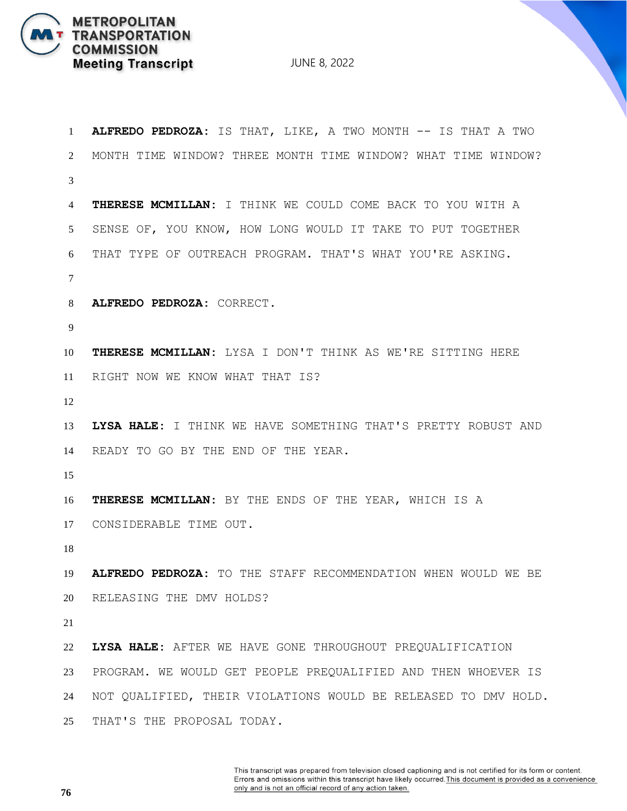

| 1  | ALFREDO PEDROZA: IS THAT, LIKE, A TWO MONTH -- IS THAT A TWO   |
|----|----------------------------------------------------------------|
| 2  | MONTH TIME WINDOW? THREE MONTH TIME WINDOW? WHAT TIME WINDOW?  |
| 3  |                                                                |
| 4  | THERESE MCMILLAN: I THINK WE COULD COME BACK TO YOU WITH A     |
| 5  | SENSE OF, YOU KNOW, HOW LONG WOULD IT TAKE TO PUT TOGETHER     |
| 6  | THAT TYPE OF OUTREACH PROGRAM. THAT'S WHAT YOU'RE ASKING.      |
| 7  |                                                                |
| 8  | ALFREDO PEDROZA: CORRECT.                                      |
| 9  |                                                                |
| 10 | THERESE MCMILLAN: LYSA I DON'T THINK AS WE'RE SITTING HERE     |
| 11 | RIGHT NOW WE KNOW WHAT THAT IS?                                |
| 12 |                                                                |
| 13 | LYSA HALE: I THINK WE HAVE SOMETHING THAT'S PRETTY ROBUST AND  |
| 14 | READY TO GO BY THE END OF THE YEAR.                            |
| 15 |                                                                |
| 16 | THERESE MCMILLAN: BY THE ENDS OF THE YEAR, WHICH IS A          |
| 17 | CONSIDERABLE TIME OUT.                                         |
| 18 |                                                                |
| 19 | ALFREDO PEDROZA: TO THE STAFF RECOMMENDATION WHEN WOULD WE BE  |
| 20 | RELEASING THE DMV HOLDS?                                       |
| 21 |                                                                |
| 22 | LYSA HALE: AFTER WE HAVE GONE THROUGHOUT PREQUALIFICATION      |
| 23 | PROGRAM. WE WOULD GET PEOPLE PREQUALIFIED AND THEN WHOEVER IS  |
| 24 | NOT QUALIFIED, THEIR VIOLATIONS WOULD BE RELEASED TO DMV HOLD. |
| 25 | THAT'S THE PROPOSAL TODAY.                                     |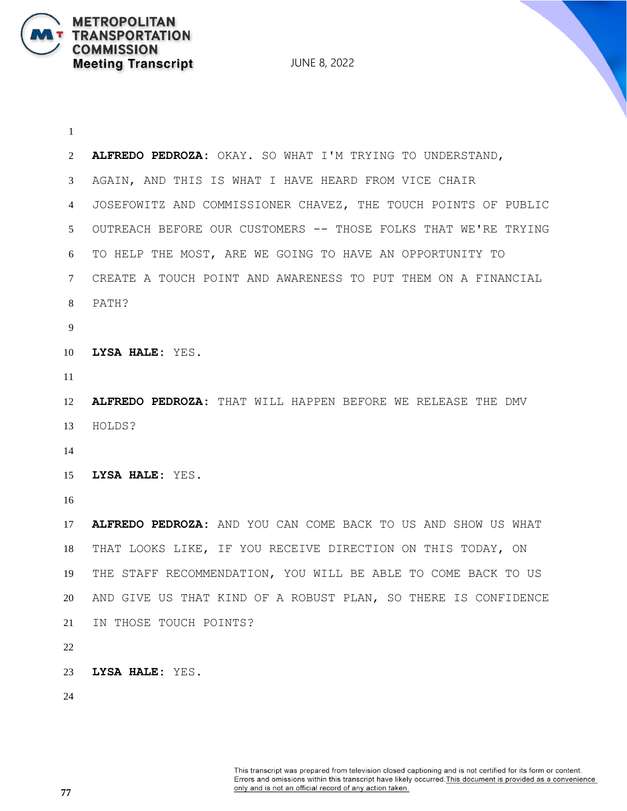**METROPOLITAN** 

**COMMISSION** 

**TRANSPORTATION** 

**Meeting Transcript** 

 **ALFREDO PEDROZA:** OKAY. SO WHAT I'M TRYING TO UNDERSTAND, AGAIN, AND THIS IS WHAT I HAVE HEARD FROM VICE CHAIR JOSEFOWITZ AND COMMISSIONER CHAVEZ, THE TOUCH POINTS OF PUBLIC OUTREACH BEFORE OUR CUSTOMERS -- THOSE FOLKS THAT WE'RE TRYING TO HELP THE MOST, ARE WE GOING TO HAVE AN OPPORTUNITY TO CREATE A TOUCH POINT AND AWARENESS TO PUT THEM ON A FINANCIAL PATH? **LYSA HALE:** YES. **ALFREDO PEDROZA:** THAT WILL HAPPEN BEFORE WE RELEASE THE DMV HOLDS? **LYSA HALE:** YES. **ALFREDO PEDROZA:** AND YOU CAN COME BACK TO US AND SHOW US WHAT THAT LOOKS LIKE, IF YOU RECEIVE DIRECTION ON THIS TODAY, ON THE STAFF RECOMMENDATION, YOU WILL BE ABLE TO COME BACK TO US AND GIVE US THAT KIND OF A ROBUST PLAN, SO THERE IS CONFIDENCE IN THOSE TOUCH POINTS? **LYSA HALE:** YES.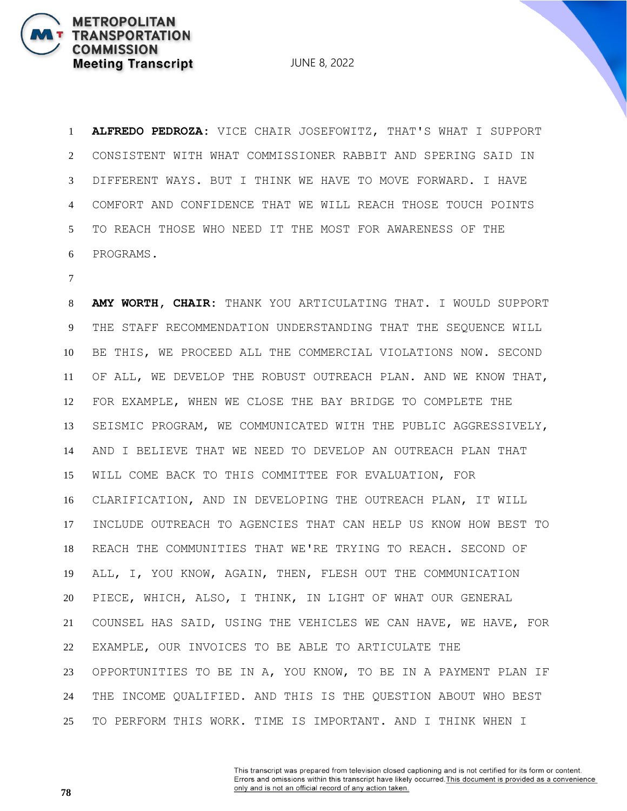JUNE 8, 2022

 **ALFREDO PEDROZA:** VICE CHAIR JOSEFOWITZ, THAT'S WHAT I SUPPORT CONSISTENT WITH WHAT COMMISSIONER RABBIT AND SPERING SAID IN DIFFERENT WAYS. BUT I THINK WE HAVE TO MOVE FORWARD. I HAVE COMFORT AND CONFIDENCE THAT WE WILL REACH THOSE TOUCH POINTS TO REACH THOSE WHO NEED IT THE MOST FOR AWARENESS OF THE PROGRAMS.

 **AMY WORTH, CHAIR:** THANK YOU ARTICULATING THAT. I WOULD SUPPORT THE STAFF RECOMMENDATION UNDERSTANDING THAT THE SEQUENCE WILL BE THIS, WE PROCEED ALL THE COMMERCIAL VIOLATIONS NOW. SECOND OF ALL, WE DEVELOP THE ROBUST OUTREACH PLAN. AND WE KNOW THAT, FOR EXAMPLE, WHEN WE CLOSE THE BAY BRIDGE TO COMPLETE THE SEISMIC PROGRAM, WE COMMUNICATED WITH THE PUBLIC AGGRESSIVELY, AND I BELIEVE THAT WE NEED TO DEVELOP AN OUTREACH PLAN THAT WILL COME BACK TO THIS COMMITTEE FOR EVALUATION, FOR CLARIFICATION, AND IN DEVELOPING THE OUTREACH PLAN, IT WILL INCLUDE OUTREACH TO AGENCIES THAT CAN HELP US KNOW HOW BEST TO REACH THE COMMUNITIES THAT WE'RE TRYING TO REACH. SECOND OF ALL, I, YOU KNOW, AGAIN, THEN, FLESH OUT THE COMMUNICATION PIECE, WHICH, ALSO, I THINK, IN LIGHT OF WHAT OUR GENERAL COUNSEL HAS SAID, USING THE VEHICLES WE CAN HAVE, WE HAVE, FOR EXAMPLE, OUR INVOICES TO BE ABLE TO ARTICULATE THE OPPORTUNITIES TO BE IN A, YOU KNOW, TO BE IN A PAYMENT PLAN IF THE INCOME QUALIFIED. AND THIS IS THE QUESTION ABOUT WHO BEST TO PERFORM THIS WORK. TIME IS IMPORTANT. AND I THINK WHEN I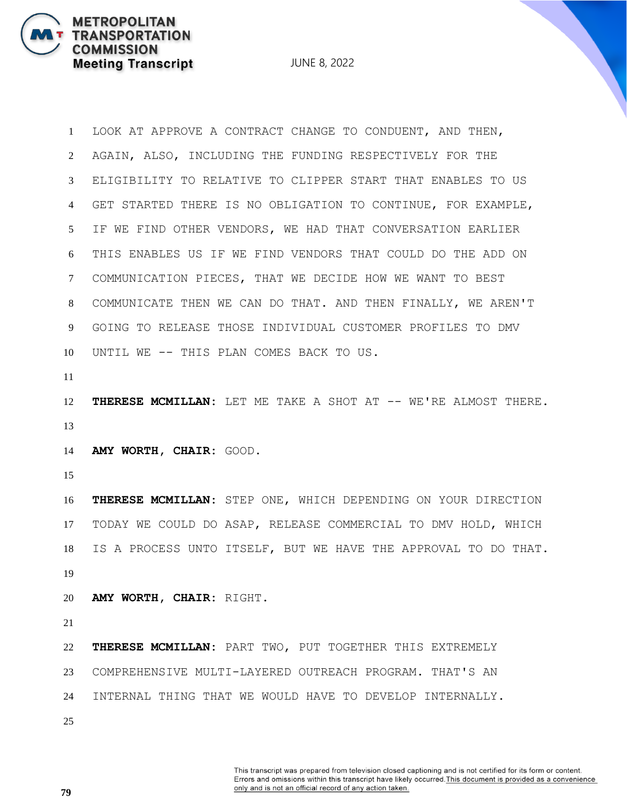JUNE 8, 2022

 LOOK AT APPROVE A CONTRACT CHANGE TO CONDUENT, AND THEN, AGAIN, ALSO, INCLUDING THE FUNDING RESPECTIVELY FOR THE ELIGIBILITY TO RELATIVE TO CLIPPER START THAT ENABLES TO US GET STARTED THERE IS NO OBLIGATION TO CONTINUE, FOR EXAMPLE, IF WE FIND OTHER VENDORS, WE HAD THAT CONVERSATION EARLIER THIS ENABLES US IF WE FIND VENDORS THAT COULD DO THE ADD ON COMMUNICATION PIECES, THAT WE DECIDE HOW WE WANT TO BEST COMMUNICATE THEN WE CAN DO THAT. AND THEN FINALLY, WE AREN'T GOING TO RELEASE THOSE INDIVIDUAL CUSTOMER PROFILES TO DMV UNTIL WE -- THIS PLAN COMES BACK TO US.

 **THERESE MCMILLAN:** LET ME TAKE A SHOT AT -- WE'RE ALMOST THERE. 

**AMY WORTH, CHAIR:** GOOD.

 **THERESE MCMILLAN:** STEP ONE, WHICH DEPENDING ON YOUR DIRECTION TODAY WE COULD DO ASAP, RELEASE COMMERCIAL TO DMV HOLD, WHICH IS A PROCESS UNTO ITSELF, BUT WE HAVE THE APPROVAL TO DO THAT. 

**AMY WORTH, CHAIR:** RIGHT.

 **THERESE MCMILLAN:** PART TWO, PUT TOGETHER THIS EXTREMELY COMPREHENSIVE MULTI-LAYERED OUTREACH PROGRAM. THAT'S AN INTERNAL THING THAT WE WOULD HAVE TO DEVELOP INTERNALLY.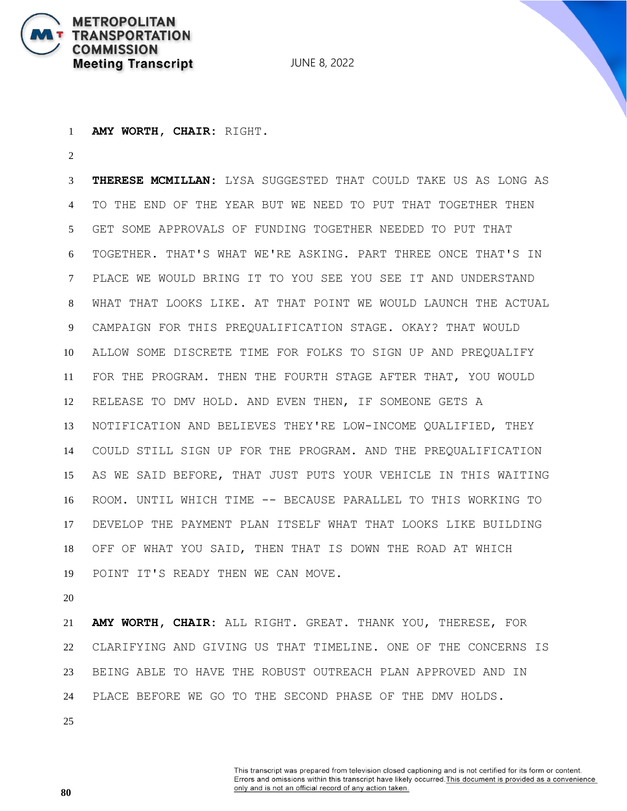

**AMY WORTH, CHAIR:** RIGHT.

 **THERESE MCMILLAN:** LYSA SUGGESTED THAT COULD TAKE US AS LONG AS TO THE END OF THE YEAR BUT WE NEED TO PUT THAT TOGETHER THEN GET SOME APPROVALS OF FUNDING TOGETHER NEEDED TO PUT THAT TOGETHER. THAT'S WHAT WE'RE ASKING. PART THREE ONCE THAT'S IN PLACE WE WOULD BRING IT TO YOU SEE YOU SEE IT AND UNDERSTAND WHAT THAT LOOKS LIKE. AT THAT POINT WE WOULD LAUNCH THE ACTUAL CAMPAIGN FOR THIS PREQUALIFICATION STAGE. OKAY? THAT WOULD ALLOW SOME DISCRETE TIME FOR FOLKS TO SIGN UP AND PREQUALIFY FOR THE PROGRAM. THEN THE FOURTH STAGE AFTER THAT, YOU WOULD RELEASE TO DMV HOLD. AND EVEN THEN, IF SOMEONE GETS A NOTIFICATION AND BELIEVES THEY'RE LOW-INCOME QUALIFIED, THEY COULD STILL SIGN UP FOR THE PROGRAM. AND THE PREQUALIFICATION AS WE SAID BEFORE, THAT JUST PUTS YOUR VEHICLE IN THIS WAITING ROOM. UNTIL WHICH TIME -- BECAUSE PARALLEL TO THIS WORKING TO DEVELOP THE PAYMENT PLAN ITSELF WHAT THAT LOOKS LIKE BUILDING OFF OF WHAT YOU SAID, THEN THAT IS DOWN THE ROAD AT WHICH POINT IT'S READY THEN WE CAN MOVE.

 **AMY WORTH, CHAIR:** ALL RIGHT. GREAT. THANK YOU, THERESE, FOR CLARIFYING AND GIVING US THAT TIMELINE. ONE OF THE CONCERNS IS BEING ABLE TO HAVE THE ROBUST OUTREACH PLAN APPROVED AND IN PLACE BEFORE WE GO TO THE SECOND PHASE OF THE DMV HOLDS.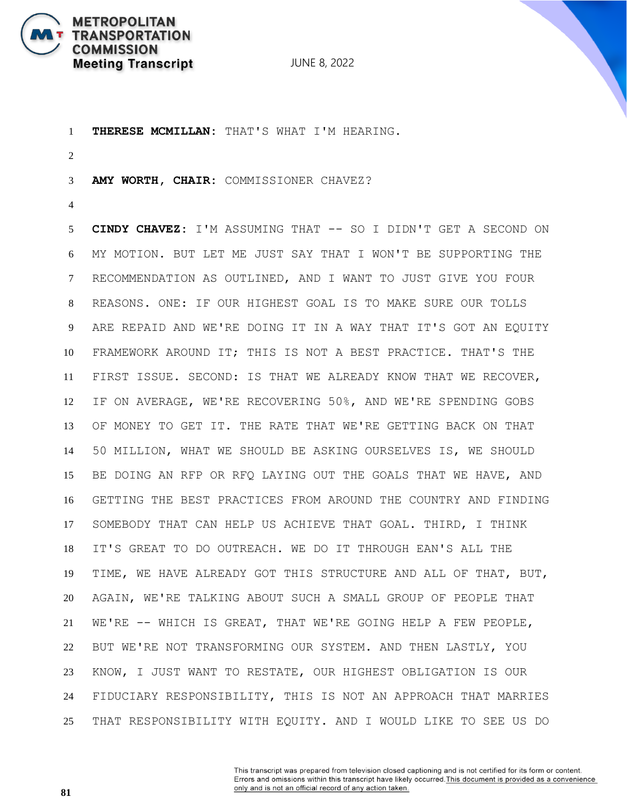

 **THERESE MCMILLAN:** THAT'S WHAT I'M HEARING. **AMY WORTH, CHAIR:** COMMISSIONER CHAVEZ? **CINDY CHAVEZ:** I'M ASSUMING THAT -- SO I DIDN'T GET A SECOND ON MY MOTION. BUT LET ME JUST SAY THAT I WON'T BE SUPPORTING THE RECOMMENDATION AS OUTLINED, AND I WANT TO JUST GIVE YOU FOUR REASONS. ONE: IF OUR HIGHEST GOAL IS TO MAKE SURE OUR TOLLS ARE REPAID AND WE'RE DOING IT IN A WAY THAT IT'S GOT AN EQUITY FRAMEWORK AROUND IT; THIS IS NOT A BEST PRACTICE. THAT'S THE FIRST ISSUE. SECOND: IS THAT WE ALREADY KNOW THAT WE RECOVER, IF ON AVERAGE, WE'RE RECOVERING 50%, AND WE'RE SPENDING GOBS OF MONEY TO GET IT. THE RATE THAT WE'RE GETTING BACK ON THAT 50 MILLION, WHAT WE SHOULD BE ASKING OURSELVES IS, WE SHOULD BE DOING AN RFP OR RFQ LAYING OUT THE GOALS THAT WE HAVE, AND GETTING THE BEST PRACTICES FROM AROUND THE COUNTRY AND FINDING SOMEBODY THAT CAN HELP US ACHIEVE THAT GOAL. THIRD, I THINK IT'S GREAT TO DO OUTREACH. WE DO IT THROUGH EAN'S ALL THE TIME, WE HAVE ALREADY GOT THIS STRUCTURE AND ALL OF THAT, BUT, AGAIN, WE'RE TALKING ABOUT SUCH A SMALL GROUP OF PEOPLE THAT WE'RE -- WHICH IS GREAT, THAT WE'RE GOING HELP A FEW PEOPLE, BUT WE'RE NOT TRANSFORMING OUR SYSTEM. AND THEN LASTLY, YOU KNOW, I JUST WANT TO RESTATE, OUR HIGHEST OBLIGATION IS OUR FIDUCIARY RESPONSIBILITY, THIS IS NOT AN APPROACH THAT MARRIES THAT RESPONSIBILITY WITH EQUITY. AND I WOULD LIKE TO SEE US DO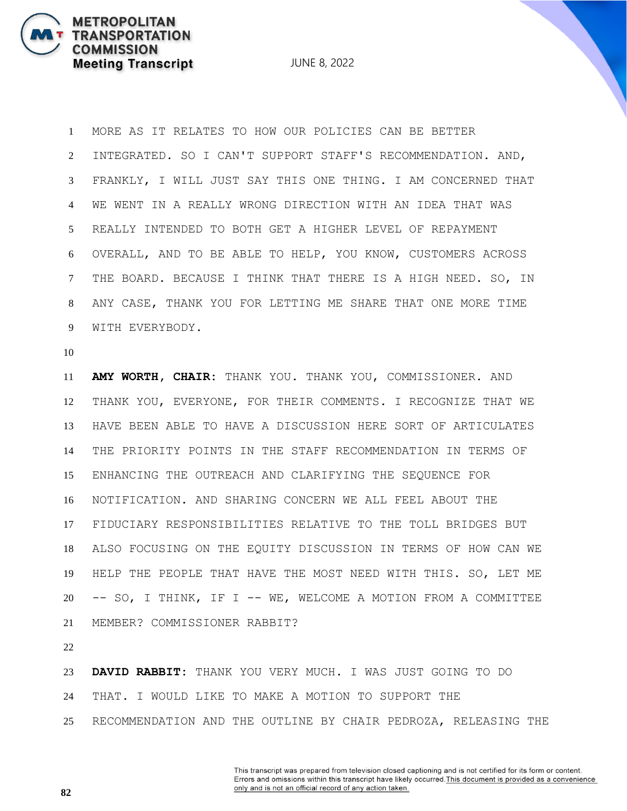JUNE 8, 2022

 MORE AS IT RELATES TO HOW OUR POLICIES CAN BE BETTER INTEGRATED. SO I CAN'T SUPPORT STAFF'S RECOMMENDATION. AND, FRANKLY, I WILL JUST SAY THIS ONE THING. I AM CONCERNED THAT WE WENT IN A REALLY WRONG DIRECTION WITH AN IDEA THAT WAS REALLY INTENDED TO BOTH GET A HIGHER LEVEL OF REPAYMENT OVERALL, AND TO BE ABLE TO HELP, YOU KNOW, CUSTOMERS ACROSS THE BOARD. BECAUSE I THINK THAT THERE IS A HIGH NEED. SO, IN ANY CASE, THANK YOU FOR LETTING ME SHARE THAT ONE MORE TIME WITH EVERYBODY.

 **AMY WORTH, CHAIR:** THANK YOU. THANK YOU, COMMISSIONER. AND THANK YOU, EVERYONE, FOR THEIR COMMENTS. I RECOGNIZE THAT WE HAVE BEEN ABLE TO HAVE A DISCUSSION HERE SORT OF ARTICULATES THE PRIORITY POINTS IN THE STAFF RECOMMENDATION IN TERMS OF ENHANCING THE OUTREACH AND CLARIFYING THE SEQUENCE FOR NOTIFICATION. AND SHARING CONCERN WE ALL FEEL ABOUT THE FIDUCIARY RESPONSIBILITIES RELATIVE TO THE TOLL BRIDGES BUT ALSO FOCUSING ON THE EQUITY DISCUSSION IN TERMS OF HOW CAN WE HELP THE PEOPLE THAT HAVE THE MOST NEED WITH THIS. SO, LET ME -- SO, I THINK, IF I -- WE, WELCOME A MOTION FROM A COMMITTEE MEMBER? COMMISSIONER RABBIT?

 **DAVID RABBIT:** THANK YOU VERY MUCH. I WAS JUST GOING TO DO THAT. I WOULD LIKE TO MAKE A MOTION TO SUPPORT THE RECOMMENDATION AND THE OUTLINE BY CHAIR PEDROZA, RELEASING THE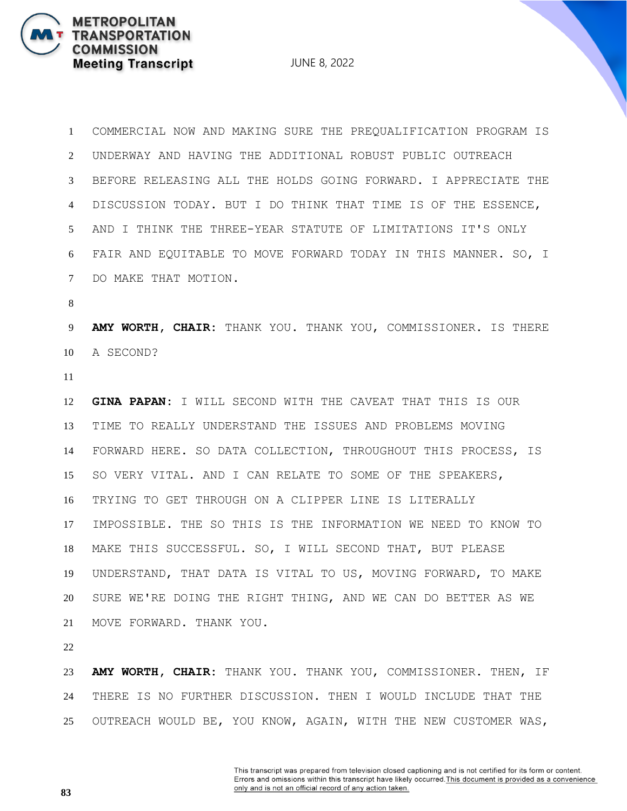JUNE 8, 2022

 COMMERCIAL NOW AND MAKING SURE THE PREQUALIFICATION PROGRAM IS UNDERWAY AND HAVING THE ADDITIONAL ROBUST PUBLIC OUTREACH BEFORE RELEASING ALL THE HOLDS GOING FORWARD. I APPRECIATE THE DISCUSSION TODAY. BUT I DO THINK THAT TIME IS OF THE ESSENCE, AND I THINK THE THREE-YEAR STATUTE OF LIMITATIONS IT'S ONLY FAIR AND EQUITABLE TO MOVE FORWARD TODAY IN THIS MANNER. SO, I DO MAKE THAT MOTION. **AMY WORTH, CHAIR:** THANK YOU. THANK YOU, COMMISSIONER. IS THERE A SECOND? **GINA PAPAN:** I WILL SECOND WITH THE CAVEAT THAT THIS IS OUR TIME TO REALLY UNDERSTAND THE ISSUES AND PROBLEMS MOVING FORWARD HERE. SO DATA COLLECTION, THROUGHOUT THIS PROCESS, IS SO VERY VITAL. AND I CAN RELATE TO SOME OF THE SPEAKERS, TRYING TO GET THROUGH ON A CLIPPER LINE IS LITERALLY IMPOSSIBLE. THE SO THIS IS THE INFORMATION WE NEED TO KNOW TO MAKE THIS SUCCESSFUL. SO, I WILL SECOND THAT, BUT PLEASE UNDERSTAND, THAT DATA IS VITAL TO US, MOVING FORWARD, TO MAKE SURE WE'RE DOING THE RIGHT THING, AND WE CAN DO BETTER AS WE MOVE FORWARD. THANK YOU.

 **AMY WORTH, CHAIR:** THANK YOU. THANK YOU, COMMISSIONER. THEN, IF THERE IS NO FURTHER DISCUSSION. THEN I WOULD INCLUDE THAT THE OUTREACH WOULD BE, YOU KNOW, AGAIN, WITH THE NEW CUSTOMER WAS,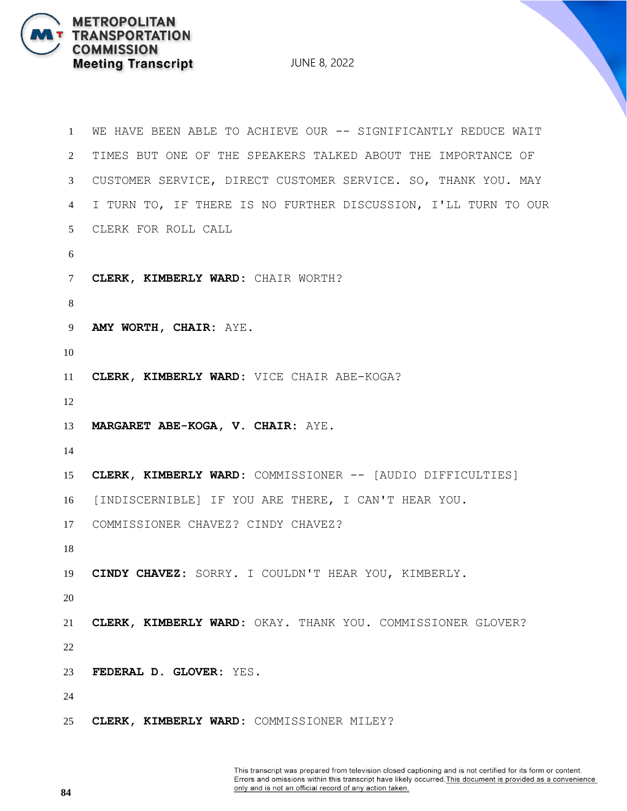JUNE 8, 2022

```
1 WE HAVE BEEN ABLE TO ACHIEVE OUR -- SIGNIFICANTLY REDUCE WAIT 
2 TIMES BUT ONE OF THE SPEAKERS TALKED ABOUT THE IMPORTANCE OF 
3 CUSTOMER SERVICE, DIRECT CUSTOMER SERVICE. SO, THANK YOU. MAY 
4 I TURN TO, IF THERE IS NO FURTHER DISCUSSION, I'LL TURN TO OUR 
5 CLERK FOR ROLL CALL
6
7 CLERK, KIMBERLY WARD: CHAIR WORTH?
8
9 AMY WORTH, CHAIR: AYE.
10
11 CLERK, KIMBERLY WARD: VICE CHAIR ABE-KOGA?
12
13 MARGARET ABE-KOGA, V. CHAIR: AYE.
14
15 CLERK, KIMBERLY WARD: COMMISSIONER -- [AUDIO DIFFICULTIES]
16 [INDISCERNIBLE] IF YOU ARE THERE, I CAN'T HEAR YOU.
17 COMMISSIONER CHAVEZ? CINDY CHAVEZ?
18
19 CINDY CHAVEZ: SORRY. I COULDN'T HEAR YOU, KIMBERLY.
20
21 CLERK, KIMBERLY WARD: OKAY. THANK YOU. COMMISSIONER GLOVER?
22
23 FEDERAL D. GLOVER: YES.
24
25 CLERK, KIMBERLY WARD: COMMISSIONER MILEY?
```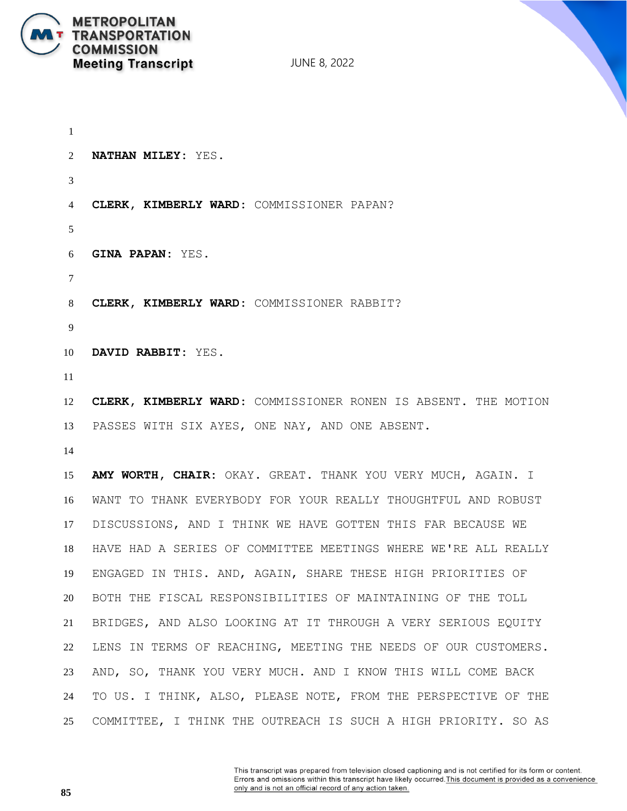

 **NATHAN MILEY:** YES. **CLERK, KIMBERLY WARD:** COMMISSIONER PAPAN? **GINA PAPAN:** YES. **CLERK, KIMBERLY WARD:** COMMISSIONER RABBIT? **DAVID RABBIT:** YES. **CLERK, KIMBERLY WARD:** COMMISSIONER RONEN IS ABSENT. THE MOTION PASSES WITH SIX AYES, ONE NAY, AND ONE ABSENT. **AMY WORTH, CHAIR:** OKAY. GREAT. THANK YOU VERY MUCH, AGAIN. I WANT TO THANK EVERYBODY FOR YOUR REALLY THOUGHTFUL AND ROBUST DISCUSSIONS, AND I THINK WE HAVE GOTTEN THIS FAR BECAUSE WE HAVE HAD A SERIES OF COMMITTEE MEETINGS WHERE WE'RE ALL REALLY ENGAGED IN THIS. AND, AGAIN, SHARE THESE HIGH PRIORITIES OF BOTH THE FISCAL RESPONSIBILITIES OF MAINTAINING OF THE TOLL BRIDGES, AND ALSO LOOKING AT IT THROUGH A VERY SERIOUS EQUITY LENS IN TERMS OF REACHING, MEETING THE NEEDS OF OUR CUSTOMERS. AND, SO, THANK YOU VERY MUCH. AND I KNOW THIS WILL COME BACK TO US. I THINK, ALSO, PLEASE NOTE, FROM THE PERSPECTIVE OF THE COMMITTEE, I THINK THE OUTREACH IS SUCH A HIGH PRIORITY. SO AS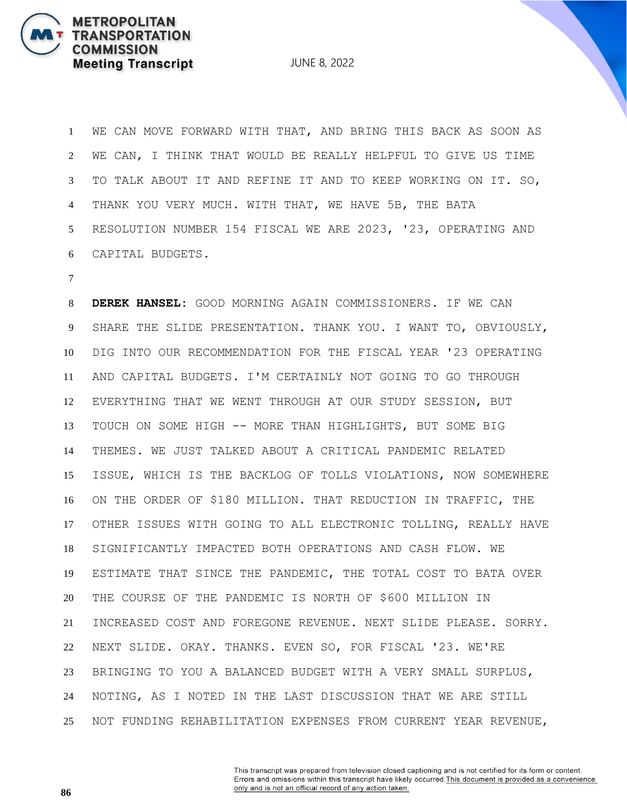JUNE 8, 2022

 WE CAN MOVE FORWARD WITH THAT, AND BRING THIS BACK AS SOON AS WE CAN, I THINK THAT WOULD BE REALLY HELPFUL TO GIVE US TIME TO TALK ABOUT IT AND REFINE IT AND TO KEEP WORKING ON IT. SO, THANK YOU VERY MUCH. WITH THAT, WE HAVE 5B, THE BATA RESOLUTION NUMBER 154 FISCAL WE ARE 2023, '23, OPERATING AND CAPITAL BUDGETS.

 **DEREK HANSEL:** GOOD MORNING AGAIN COMMISSIONERS. IF WE CAN SHARE THE SLIDE PRESENTATION. THANK YOU. I WANT TO, OBVIOUSLY, DIG INTO OUR RECOMMENDATION FOR THE FISCAL YEAR '23 OPERATING AND CAPITAL BUDGETS. I'M CERTAINLY NOT GOING TO GO THROUGH EVERYTHING THAT WE WENT THROUGH AT OUR STUDY SESSION, BUT TOUCH ON SOME HIGH -- MORE THAN HIGHLIGHTS, BUT SOME BIG THEMES. WE JUST TALKED ABOUT A CRITICAL PANDEMIC RELATED ISSUE, WHICH IS THE BACKLOG OF TOLLS VIOLATIONS, NOW SOMEWHERE ON THE ORDER OF \$180 MILLION. THAT REDUCTION IN TRAFFIC, THE OTHER ISSUES WITH GOING TO ALL ELECTRONIC TOLLING, REALLY HAVE SIGNIFICANTLY IMPACTED BOTH OPERATIONS AND CASH FLOW. WE ESTIMATE THAT SINCE THE PANDEMIC, THE TOTAL COST TO BATA OVER THE COURSE OF THE PANDEMIC IS NORTH OF \$600 MILLION IN INCREASED COST AND FOREGONE REVENUE. NEXT SLIDE PLEASE. SORRY. NEXT SLIDE. OKAY. THANKS. EVEN SO, FOR FISCAL '23. WE'RE BRINGING TO YOU A BALANCED BUDGET WITH A VERY SMALL SURPLUS, NOTING, AS I NOTED IN THE LAST DISCUSSION THAT WE ARE STILL NOT FUNDING REHABILITATION EXPENSES FROM CURRENT YEAR REVENUE,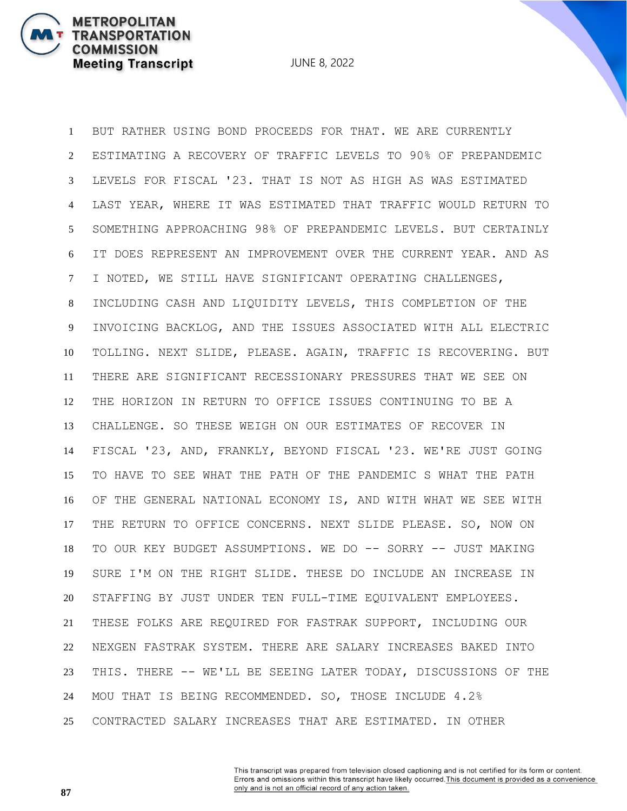JUNE 8, 2022

 BUT RATHER USING BOND PROCEEDS FOR THAT. WE ARE CURRENTLY ESTIMATING A RECOVERY OF TRAFFIC LEVELS TO 90% OF PREPANDEMIC LEVELS FOR FISCAL '23. THAT IS NOT AS HIGH AS WAS ESTIMATED LAST YEAR, WHERE IT WAS ESTIMATED THAT TRAFFIC WOULD RETURN TO SOMETHING APPROACHING 98% OF PREPANDEMIC LEVELS. BUT CERTAINLY IT DOES REPRESENT AN IMPROVEMENT OVER THE CURRENT YEAR. AND AS I NOTED, WE STILL HAVE SIGNIFICANT OPERATING CHALLENGES, INCLUDING CASH AND LIQUIDITY LEVELS, THIS COMPLETION OF THE INVOICING BACKLOG, AND THE ISSUES ASSOCIATED WITH ALL ELECTRIC TOLLING. NEXT SLIDE, PLEASE. AGAIN, TRAFFIC IS RECOVERING. BUT THERE ARE SIGNIFICANT RECESSIONARY PRESSURES THAT WE SEE ON THE HORIZON IN RETURN TO OFFICE ISSUES CONTINUING TO BE A CHALLENGE. SO THESE WEIGH ON OUR ESTIMATES OF RECOVER IN FISCAL '23, AND, FRANKLY, BEYOND FISCAL '23. WE'RE JUST GOING TO HAVE TO SEE WHAT THE PATH OF THE PANDEMIC S WHAT THE PATH OF THE GENERAL NATIONAL ECONOMY IS, AND WITH WHAT WE SEE WITH THE RETURN TO OFFICE CONCERNS. NEXT SLIDE PLEASE. SO, NOW ON TO OUR KEY BUDGET ASSUMPTIONS. WE DO -- SORRY -- JUST MAKING SURE I'M ON THE RIGHT SLIDE. THESE DO INCLUDE AN INCREASE IN STAFFING BY JUST UNDER TEN FULL-TIME EQUIVALENT EMPLOYEES. THESE FOLKS ARE REQUIRED FOR FASTRAK SUPPORT, INCLUDING OUR NEXGEN FASTRAK SYSTEM. THERE ARE SALARY INCREASES BAKED INTO THIS. THERE -- WE'LL BE SEEING LATER TODAY, DISCUSSIONS OF THE MOU THAT IS BEING RECOMMENDED. SO, THOSE INCLUDE 4.2% CONTRACTED SALARY INCREASES THAT ARE ESTIMATED. IN OTHER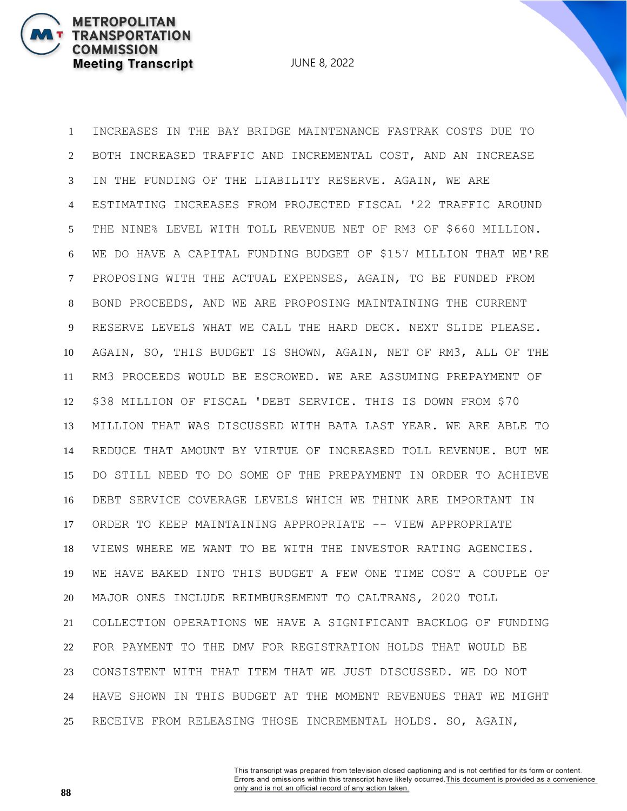**METROPOLITAN** 

**COMMISSION** 

**TRANSPORTATION** 

**Meeting Transcript** 

 INCREASES IN THE BAY BRIDGE MAINTENANCE FASTRAK COSTS DUE TO BOTH INCREASED TRAFFIC AND INCREMENTAL COST, AND AN INCREASE IN THE FUNDING OF THE LIABILITY RESERVE. AGAIN, WE ARE ESTIMATING INCREASES FROM PROJECTED FISCAL '22 TRAFFIC AROUND THE NINE% LEVEL WITH TOLL REVENUE NET OF RM3 OF \$660 MILLION. WE DO HAVE A CAPITAL FUNDING BUDGET OF \$157 MILLION THAT WE'RE PROPOSING WITH THE ACTUAL EXPENSES, AGAIN, TO BE FUNDED FROM BOND PROCEEDS, AND WE ARE PROPOSING MAINTAINING THE CURRENT RESERVE LEVELS WHAT WE CALL THE HARD DECK. NEXT SLIDE PLEASE. AGAIN, SO, THIS BUDGET IS SHOWN, AGAIN, NET OF RM3, ALL OF THE RM3 PROCEEDS WOULD BE ESCROWED. WE ARE ASSUMING PREPAYMENT OF \$38 MILLION OF FISCAL 'DEBT SERVICE. THIS IS DOWN FROM \$70 MILLION THAT WAS DISCUSSED WITH BATA LAST YEAR. WE ARE ABLE TO REDUCE THAT AMOUNT BY VIRTUE OF INCREASED TOLL REVENUE. BUT WE DO STILL NEED TO DO SOME OF THE PREPAYMENT IN ORDER TO ACHIEVE DEBT SERVICE COVERAGE LEVELS WHICH WE THINK ARE IMPORTANT IN ORDER TO KEEP MAINTAINING APPROPRIATE -- VIEW APPROPRIATE VIEWS WHERE WE WANT TO BE WITH THE INVESTOR RATING AGENCIES. WE HAVE BAKED INTO THIS BUDGET A FEW ONE TIME COST A COUPLE OF MAJOR ONES INCLUDE REIMBURSEMENT TO CALTRANS, 2020 TOLL COLLECTION OPERATIONS WE HAVE A SIGNIFICANT BACKLOG OF FUNDING FOR PAYMENT TO THE DMV FOR REGISTRATION HOLDS THAT WOULD BE CONSISTENT WITH THAT ITEM THAT WE JUST DISCUSSED. WE DO NOT HAVE SHOWN IN THIS BUDGET AT THE MOMENT REVENUES THAT WE MIGHT RECEIVE FROM RELEASING THOSE INCREMENTAL HOLDS. SO, AGAIN,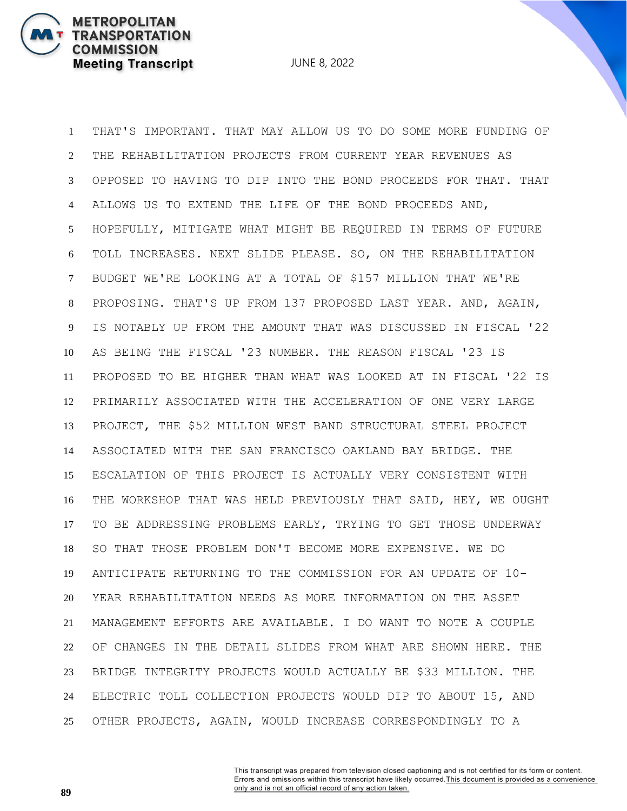JUNE 8, 2022

 THAT'S IMPORTANT. THAT MAY ALLOW US TO DO SOME MORE FUNDING OF THE REHABILITATION PROJECTS FROM CURRENT YEAR REVENUES AS OPPOSED TO HAVING TO DIP INTO THE BOND PROCEEDS FOR THAT. THAT ALLOWS US TO EXTEND THE LIFE OF THE BOND PROCEEDS AND, HOPEFULLY, MITIGATE WHAT MIGHT BE REQUIRED IN TERMS OF FUTURE TOLL INCREASES. NEXT SLIDE PLEASE. SO, ON THE REHABILITATION BUDGET WE'RE LOOKING AT A TOTAL OF \$157 MILLION THAT WE'RE PROPOSING. THAT'S UP FROM 137 PROPOSED LAST YEAR. AND, AGAIN, IS NOTABLY UP FROM THE AMOUNT THAT WAS DISCUSSED IN FISCAL '22 AS BEING THE FISCAL '23 NUMBER. THE REASON FISCAL '23 IS PROPOSED TO BE HIGHER THAN WHAT WAS LOOKED AT IN FISCAL '22 IS PRIMARILY ASSOCIATED WITH THE ACCELERATION OF ONE VERY LARGE PROJECT, THE \$52 MILLION WEST BAND STRUCTURAL STEEL PROJECT ASSOCIATED WITH THE SAN FRANCISCO OAKLAND BAY BRIDGE. THE ESCALATION OF THIS PROJECT IS ACTUALLY VERY CONSISTENT WITH THE WORKSHOP THAT WAS HELD PREVIOUSLY THAT SAID, HEY, WE OUGHT TO BE ADDRESSING PROBLEMS EARLY, TRYING TO GET THOSE UNDERWAY SO THAT THOSE PROBLEM DON'T BECOME MORE EXPENSIVE. WE DO ANTICIPATE RETURNING TO THE COMMISSION FOR AN UPDATE OF 10- YEAR REHABILITATION NEEDS AS MORE INFORMATION ON THE ASSET MANAGEMENT EFFORTS ARE AVAILABLE. I DO WANT TO NOTE A COUPLE OF CHANGES IN THE DETAIL SLIDES FROM WHAT ARE SHOWN HERE. THE BRIDGE INTEGRITY PROJECTS WOULD ACTUALLY BE \$33 MILLION. THE ELECTRIC TOLL COLLECTION PROJECTS WOULD DIP TO ABOUT 15, AND OTHER PROJECTS, AGAIN, WOULD INCREASE CORRESPONDINGLY TO A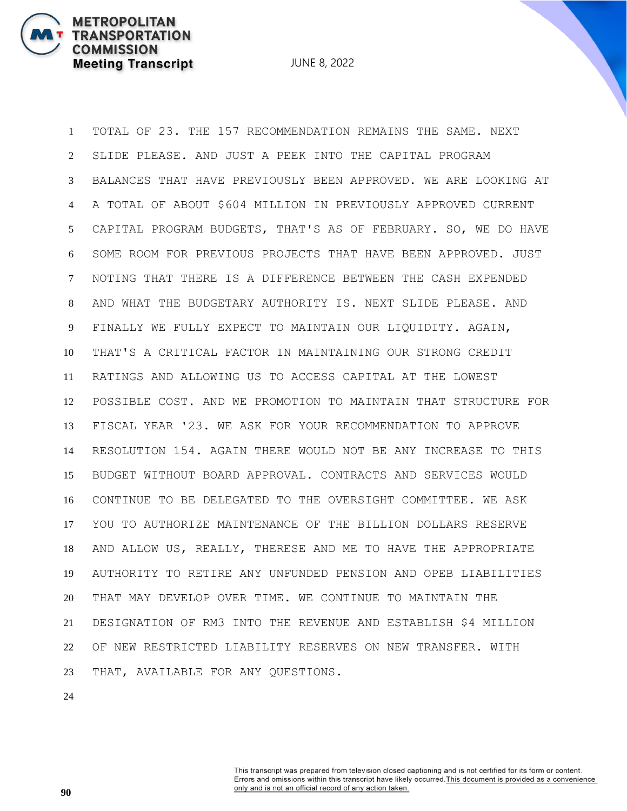TOTAL OF 23. THE 157 RECOMMENDATION REMAINS THE SAME. NEXT SLIDE PLEASE. AND JUST A PEEK INTO THE CAPITAL PROGRAM BALANCES THAT HAVE PREVIOUSLY BEEN APPROVED. WE ARE LOOKING AT A TOTAL OF ABOUT \$604 MILLION IN PREVIOUSLY APPROVED CURRENT CAPITAL PROGRAM BUDGETS, THAT'S AS OF FEBRUARY. SO, WE DO HAVE SOME ROOM FOR PREVIOUS PROJECTS THAT HAVE BEEN APPROVED. JUST NOTING THAT THERE IS A DIFFERENCE BETWEEN THE CASH EXPENDED AND WHAT THE BUDGETARY AUTHORITY IS. NEXT SLIDE PLEASE. AND FINALLY WE FULLY EXPECT TO MAINTAIN OUR LIQUIDITY. AGAIN, THAT'S A CRITICAL FACTOR IN MAINTAINING OUR STRONG CREDIT RATINGS AND ALLOWING US TO ACCESS CAPITAL AT THE LOWEST POSSIBLE COST. AND WE PROMOTION TO MAINTAIN THAT STRUCTURE FOR FISCAL YEAR '23. WE ASK FOR YOUR RECOMMENDATION TO APPROVE RESOLUTION 154. AGAIN THERE WOULD NOT BE ANY INCREASE TO THIS BUDGET WITHOUT BOARD APPROVAL. CONTRACTS AND SERVICES WOULD CONTINUE TO BE DELEGATED TO THE OVERSIGHT COMMITTEE. WE ASK YOU TO AUTHORIZE MAINTENANCE OF THE BILLION DOLLARS RESERVE AND ALLOW US, REALLY, THERESE AND ME TO HAVE THE APPROPRIATE AUTHORITY TO RETIRE ANY UNFUNDED PENSION AND OPEB LIABILITIES THAT MAY DEVELOP OVER TIME. WE CONTINUE TO MAINTAIN THE DESIGNATION OF RM3 INTO THE REVENUE AND ESTABLISH \$4 MILLION OF NEW RESTRICTED LIABILITY RESERVES ON NEW TRANSFER. WITH THAT, AVAILABLE FOR ANY QUESTIONS.

**METROPOLITAN** 

**COMMISSION** 

**TRANSPORTATION** 

**Meeting Transcript**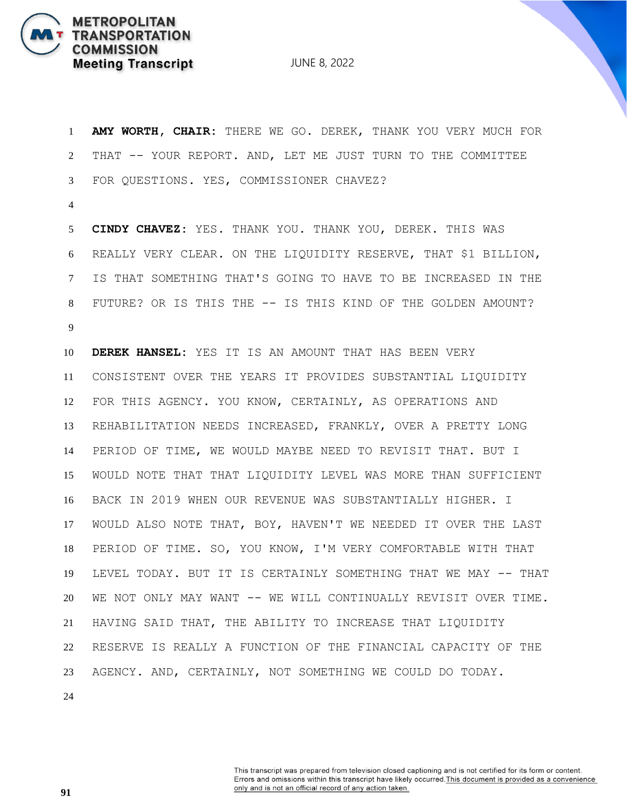JUNE 8, 2022

 **AMY WORTH, CHAIR:** THERE WE GO. DEREK, THANK YOU VERY MUCH FOR THAT -- YOUR REPORT. AND, LET ME JUST TURN TO THE COMMITTEE FOR QUESTIONS. YES, COMMISSIONER CHAVEZ?

 **CINDY CHAVEZ:** YES. THANK YOU. THANK YOU, DEREK. THIS WAS REALLY VERY CLEAR. ON THE LIQUIDITY RESERVE, THAT \$1 BILLION, IS THAT SOMETHING THAT'S GOING TO HAVE TO BE INCREASED IN THE FUTURE? OR IS THIS THE -- IS THIS KIND OF THE GOLDEN AMOUNT? 

 **DEREK HANSEL:** YES IT IS AN AMOUNT THAT HAS BEEN VERY CONSISTENT OVER THE YEARS IT PROVIDES SUBSTANTIAL LIQUIDITY FOR THIS AGENCY. YOU KNOW, CERTAINLY, AS OPERATIONS AND REHABILITATION NEEDS INCREASED, FRANKLY, OVER A PRETTY LONG PERIOD OF TIME, WE WOULD MAYBE NEED TO REVISIT THAT. BUT I WOULD NOTE THAT THAT LIQUIDITY LEVEL WAS MORE THAN SUFFICIENT BACK IN 2019 WHEN OUR REVENUE WAS SUBSTANTIALLY HIGHER. I WOULD ALSO NOTE THAT, BOY, HAVEN'T WE NEEDED IT OVER THE LAST PERIOD OF TIME. SO, YOU KNOW, I'M VERY COMFORTABLE WITH THAT LEVEL TODAY. BUT IT IS CERTAINLY SOMETHING THAT WE MAY -- THAT WE NOT ONLY MAY WANT -- WE WILL CONTINUALLY REVISIT OVER TIME. HAVING SAID THAT, THE ABILITY TO INCREASE THAT LIQUIDITY RESERVE IS REALLY A FUNCTION OF THE FINANCIAL CAPACITY OF THE AGENCY. AND, CERTAINLY, NOT SOMETHING WE COULD DO TODAY.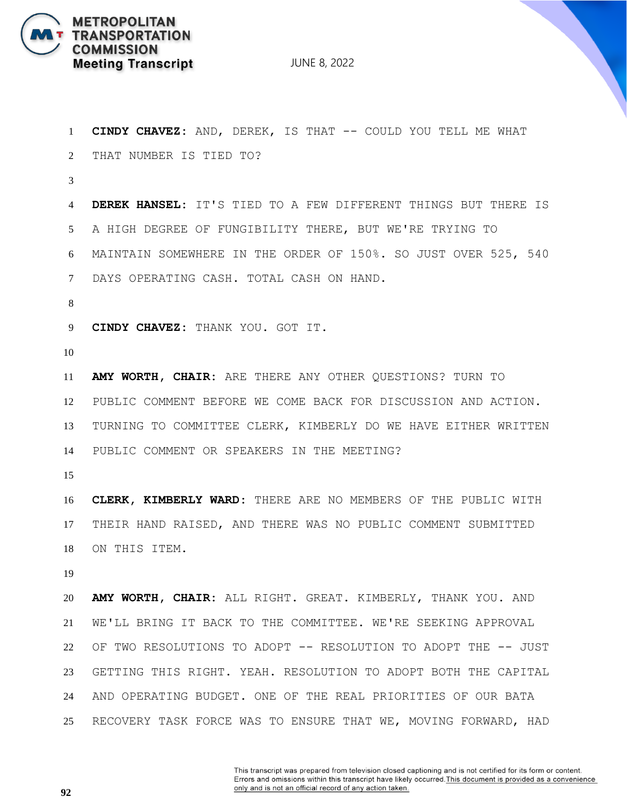

| $\mathbf{1}$   | CINDY CHAVEZ: AND, DEREK, IS THAT -- COULD YOU TELL ME WHAT    |
|----------------|----------------------------------------------------------------|
| 2              | THAT NUMBER IS TIED TO?                                        |
| 3              |                                                                |
| 4              | DEREK HANSEL: IT'S TIED TO A FEW DIFFERENT THINGS BUT THERE IS |
| 5 <sup>5</sup> | A HIGH DEGREE OF FUNGIBILITY THERE, BUT WE'RE TRYING TO        |
| 6              | MAINTAIN SOMEWHERE IN THE ORDER OF 150%. SO JUST OVER 525, 540 |
| $\tau$         | DAYS OPERATING CASH. TOTAL CASH ON HAND.                       |
| 8              |                                                                |
| 9              | CINDY CHAVEZ: THANK YOU. GOT IT.                               |
| 10             |                                                                |
| 11             | AMY WORTH, CHAIR: ARE THERE ANY OTHER QUESTIONS? TURN TO       |
| 12             | PUBLIC COMMENT BEFORE WE COME BACK FOR DISCUSSION AND ACTION.  |
| 13             | TURNING TO COMMITTEE CLERK, KIMBERLY DO WE HAVE EITHER WRITTEN |
| 14             | PUBLIC COMMENT OR SPEAKERS IN THE MEETING?                     |
| 15             |                                                                |
| 16             | CLERK, KIMBERLY WARD: THERE ARE NO MEMBERS OF THE PUBLIC WITH  |
| 17             | THEIR HAND RAISED, AND THERE WAS NO PUBLIC COMMENT SUBMITTED   |
| 18             | ON THIS ITEM.                                                  |
| 19             |                                                                |
| 20             | AMY WORTH, CHAIR: ALL RIGHT. GREAT. KIMBERLY, THANK YOU. AND   |
| 21             | WE'LL BRING IT BACK TO THE COMMITTEE. WE'RE SEEKING APPROVAL   |
| 22             | OF TWO RESOLUTIONS TO ADOPT -- RESOLUTION TO ADOPT THE -- JUST |
| 23             | GETTING THIS RIGHT. YEAH. RESOLUTION TO ADOPT BOTH THE CAPITAL |
| 24             | AND OPERATING BUDGET. ONE OF THE REAL PRIORITIES OF OUR BATA   |
| 25             | RECOVERY TASK FORCE WAS TO ENSURE THAT WE, MOVING FORWARD, HAD |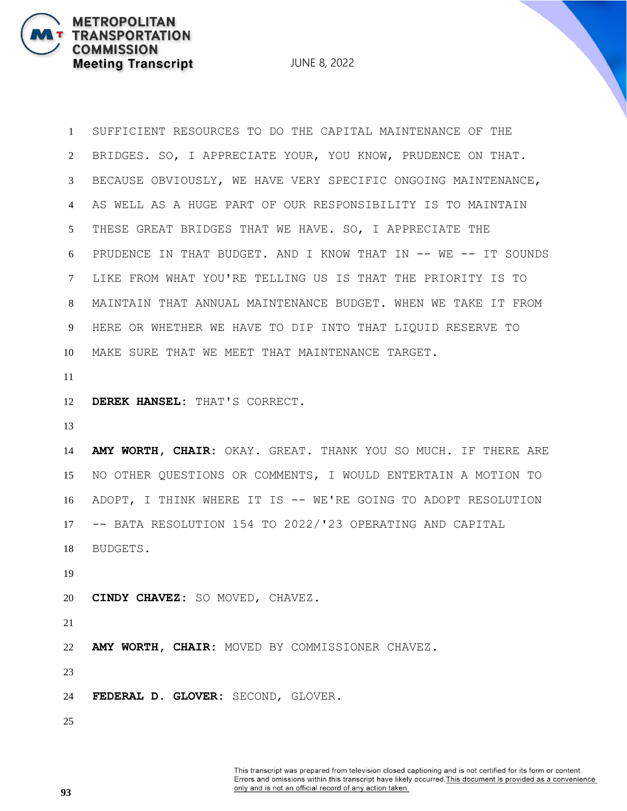JUNE 8, 2022

 SUFFICIENT RESOURCES TO DO THE CAPITAL MAINTENANCE OF THE BRIDGES. SO, I APPRECIATE YOUR, YOU KNOW, PRUDENCE ON THAT. BECAUSE OBVIOUSLY, WE HAVE VERY SPECIFIC ONGOING MAINTENANCE, AS WELL AS A HUGE PART OF OUR RESPONSIBILITY IS TO MAINTAIN THESE GREAT BRIDGES THAT WE HAVE. SO, I APPRECIATE THE PRUDENCE IN THAT BUDGET. AND I KNOW THAT IN -- WE -- IT SOUNDS LIKE FROM WHAT YOU'RE TELLING US IS THAT THE PRIORITY IS TO MAINTAIN THAT ANNUAL MAINTENANCE BUDGET. WHEN WE TAKE IT FROM HERE OR WHETHER WE HAVE TO DIP INTO THAT LIQUID RESERVE TO MAKE SURE THAT WE MEET THAT MAINTENANCE TARGET.

**DEREK HANSEL:** THAT'S CORRECT.

 **AMY WORTH, CHAIR:** OKAY. GREAT. THANK YOU SO MUCH. IF THERE ARE NO OTHER QUESTIONS OR COMMENTS, I WOULD ENTERTAIN A MOTION TO ADOPT, I THINK WHERE IT IS -- WE'RE GOING TO ADOPT RESOLUTION -- BATA RESOLUTION 154 TO 2022/'23 OPERATING AND CAPITAL BUDGETS.

**CINDY CHAVEZ:** SO MOVED, CHAVEZ.

**AMY WORTH, CHAIR:** MOVED BY COMMISSIONER CHAVEZ.

**FEDERAL D. GLOVER:** SECOND, GLOVER.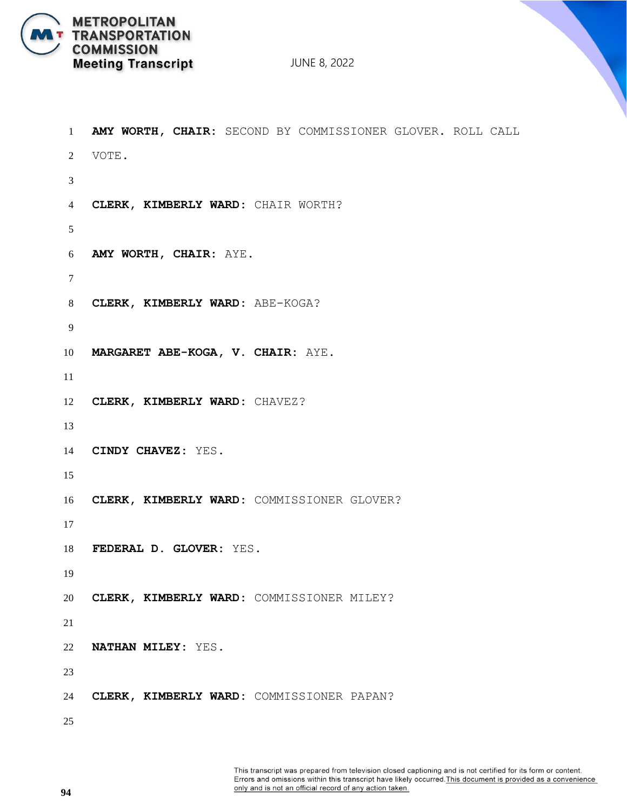

```
1 AMY WORTH, CHAIR: SECOND BY COMMISSIONER GLOVER. ROLL CALL
2 VOTE.
3
4 CLERK, KIMBERLY WARD: CHAIR WORTH?
5
6 AMY WORTH, CHAIR: AYE.
7
8 CLERK, KIMBERLY WARD: ABE-KOGA?
9
10 MARGARET ABE-KOGA, V. CHAIR: AYE.
11
12 CLERK, KIMBERLY WARD: CHAVEZ?
13
14 CINDY CHAVEZ: YES.
15
16 CLERK, KIMBERLY WARD: COMMISSIONER GLOVER?
17
18 FEDERAL D. GLOVER: YES.
19
20 CLERK, KIMBERLY WARD: COMMISSIONER MILEY?
21
22 NATHAN MILEY: YES.
23
24 CLERK, KIMBERLY WARD: COMMISSIONER PAPAN?
25
```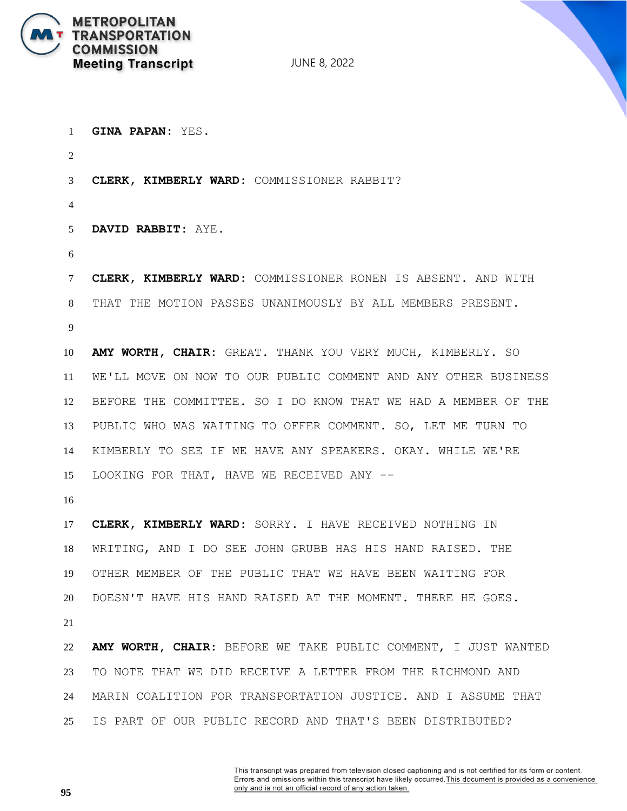

**GINA PAPAN:** YES.

**CLERK, KIMBERLY WARD:** COMMISSIONER RABBIT?

**DAVID RABBIT:** AYE.

 **CLERK, KIMBERLY WARD:** COMMISSIONER RONEN IS ABSENT. AND WITH THAT THE MOTION PASSES UNANIMOUSLY BY ALL MEMBERS PRESENT. 

 **AMY WORTH, CHAIR:** GREAT. THANK YOU VERY MUCH, KIMBERLY. SO WE'LL MOVE ON NOW TO OUR PUBLIC COMMENT AND ANY OTHER BUSINESS BEFORE THE COMMITTEE. SO I DO KNOW THAT WE HAD A MEMBER OF THE PUBLIC WHO WAS WAITING TO OFFER COMMENT. SO, LET ME TURN TO KIMBERLY TO SEE IF WE HAVE ANY SPEAKERS. OKAY. WHILE WE'RE LOOKING FOR THAT, HAVE WE RECEIVED ANY --

 **CLERK, KIMBERLY WARD:** SORRY. I HAVE RECEIVED NOTHING IN WRITING, AND I DO SEE JOHN GRUBB HAS HIS HAND RAISED. THE OTHER MEMBER OF THE PUBLIC THAT WE HAVE BEEN WAITING FOR DOESN'T HAVE HIS HAND RAISED AT THE MOMENT. THERE HE GOES. 

 **AMY WORTH, CHAIR:** BEFORE WE TAKE PUBLIC COMMENT, I JUST WANTED TO NOTE THAT WE DID RECEIVE A LETTER FROM THE RICHMOND AND MARIN COALITION FOR TRANSPORTATION JUSTICE. AND I ASSUME THAT IS PART OF OUR PUBLIC RECORD AND THAT'S BEEN DISTRIBUTED?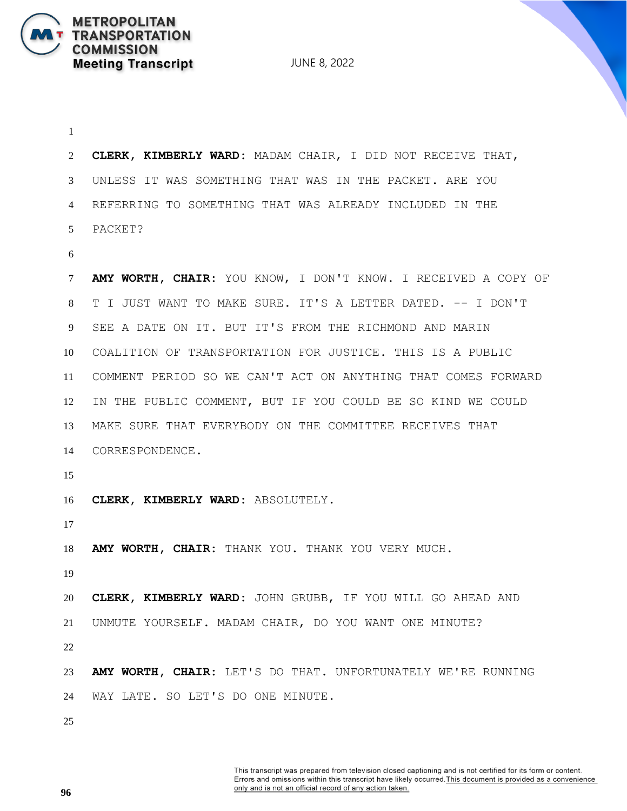JUNE 8, 2022

 **CLERK, KIMBERLY WARD:** MADAM CHAIR, I DID NOT RECEIVE THAT, UNLESS IT WAS SOMETHING THAT WAS IN THE PACKET. ARE YOU REFERRING TO SOMETHING THAT WAS ALREADY INCLUDED IN THE PACKET? **AMY WORTH, CHAIR:** YOU KNOW, I DON'T KNOW. I RECEIVED A COPY OF T I JUST WANT TO MAKE SURE. IT'S A LETTER DATED. -- I DON'T SEE A DATE ON IT. BUT IT'S FROM THE RICHMOND AND MARIN COALITION OF TRANSPORTATION FOR JUSTICE. THIS IS A PUBLIC COMMENT PERIOD SO WE CAN'T ACT ON ANYTHING THAT COMES FORWARD IN THE PUBLIC COMMENT, BUT IF YOU COULD BE SO KIND WE COULD MAKE SURE THAT EVERYBODY ON THE COMMITTEE RECEIVES THAT CORRESPONDENCE. **CLERK, KIMBERLY WARD:** ABSOLUTELY. **AMY WORTH, CHAIR:** THANK YOU. THANK YOU VERY MUCH. **CLERK, KIMBERLY WARD:** JOHN GRUBB, IF YOU WILL GO AHEAD AND UNMUTE YOURSELF. MADAM CHAIR, DO YOU WANT ONE MINUTE? **AMY WORTH, CHAIR:** LET'S DO THAT. UNFORTUNATELY WE'RE RUNNING WAY LATE. SO LET'S DO ONE MINUTE.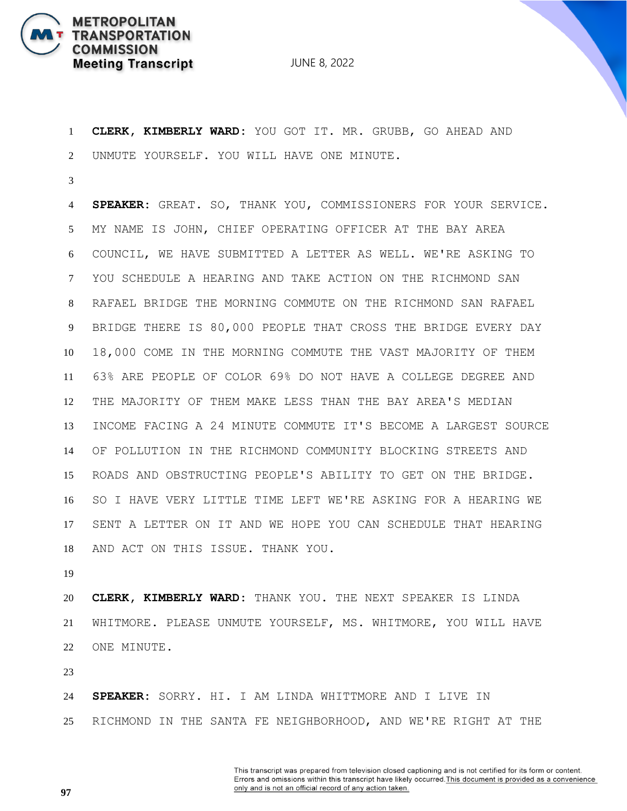

 **CLERK, KIMBERLY WARD:** YOU GOT IT. MR. GRUBB, GO AHEAD AND UNMUTE YOURSELF. YOU WILL HAVE ONE MINUTE.

 **SPEAKER:** GREAT. SO, THANK YOU, COMMISSIONERS FOR YOUR SERVICE. MY NAME IS JOHN, CHIEF OPERATING OFFICER AT THE BAY AREA COUNCIL, WE HAVE SUBMITTED A LETTER AS WELL. WE'RE ASKING TO YOU SCHEDULE A HEARING AND TAKE ACTION ON THE RICHMOND SAN RAFAEL BRIDGE THE MORNING COMMUTE ON THE RICHMOND SAN RAFAEL BRIDGE THERE IS 80,000 PEOPLE THAT CROSS THE BRIDGE EVERY DAY 18,000 COME IN THE MORNING COMMUTE THE VAST MAJORITY OF THEM 63% ARE PEOPLE OF COLOR 69% DO NOT HAVE A COLLEGE DEGREE AND THE MAJORITY OF THEM MAKE LESS THAN THE BAY AREA'S MEDIAN INCOME FACING A 24 MINUTE COMMUTE IT'S BECOME A LARGEST SOURCE OF POLLUTION IN THE RICHMOND COMMUNITY BLOCKING STREETS AND ROADS AND OBSTRUCTING PEOPLE'S ABILITY TO GET ON THE BRIDGE. SO I HAVE VERY LITTLE TIME LEFT WE'RE ASKING FOR A HEARING WE SENT A LETTER ON IT AND WE HOPE YOU CAN SCHEDULE THAT HEARING AND ACT ON THIS ISSUE. THANK YOU.

 **CLERK, KIMBERLY WARD:** THANK YOU. THE NEXT SPEAKER IS LINDA WHITMORE. PLEASE UNMUTE YOURSELF, MS. WHITMORE, YOU WILL HAVE ONE MINUTE.

 **SPEAKER:** SORRY. HI. I AM LINDA WHITTMORE AND I LIVE IN RICHMOND IN THE SANTA FE NEIGHBORHOOD, AND WE'RE RIGHT AT THE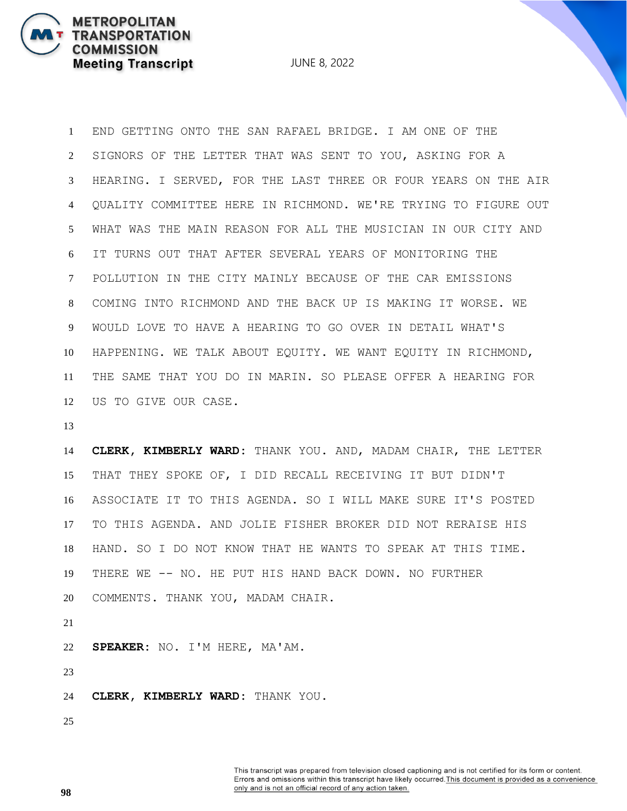JUNE 8, 2022

 END GETTING ONTO THE SAN RAFAEL BRIDGE. I AM ONE OF THE SIGNORS OF THE LETTER THAT WAS SENT TO YOU, ASKING FOR A HEARING. I SERVED, FOR THE LAST THREE OR FOUR YEARS ON THE AIR QUALITY COMMITTEE HERE IN RICHMOND. WE'RE TRYING TO FIGURE OUT WHAT WAS THE MAIN REASON FOR ALL THE MUSICIAN IN OUR CITY AND IT TURNS OUT THAT AFTER SEVERAL YEARS OF MONITORING THE POLLUTION IN THE CITY MAINLY BECAUSE OF THE CAR EMISSIONS COMING INTO RICHMOND AND THE BACK UP IS MAKING IT WORSE. WE WOULD LOVE TO HAVE A HEARING TO GO OVER IN DETAIL WHAT'S HAPPENING. WE TALK ABOUT EQUITY. WE WANT EQUITY IN RICHMOND, THE SAME THAT YOU DO IN MARIN. SO PLEASE OFFER A HEARING FOR US TO GIVE OUR CASE.

 **CLERK, KIMBERLY WARD:** THANK YOU. AND, MADAM CHAIR, THE LETTER THAT THEY SPOKE OF, I DID RECALL RECEIVING IT BUT DIDN'T ASSOCIATE IT TO THIS AGENDA. SO I WILL MAKE SURE IT'S POSTED TO THIS AGENDA. AND JOLIE FISHER BROKER DID NOT RERAISE HIS HAND. SO I DO NOT KNOW THAT HE WANTS TO SPEAK AT THIS TIME. THERE WE -- NO. HE PUT HIS HAND BACK DOWN. NO FURTHER COMMENTS. THANK YOU, MADAM CHAIR. 

**SPEAKER:** NO. I'M HERE, MA'AM.

**CLERK, KIMBERLY WARD:** THANK YOU.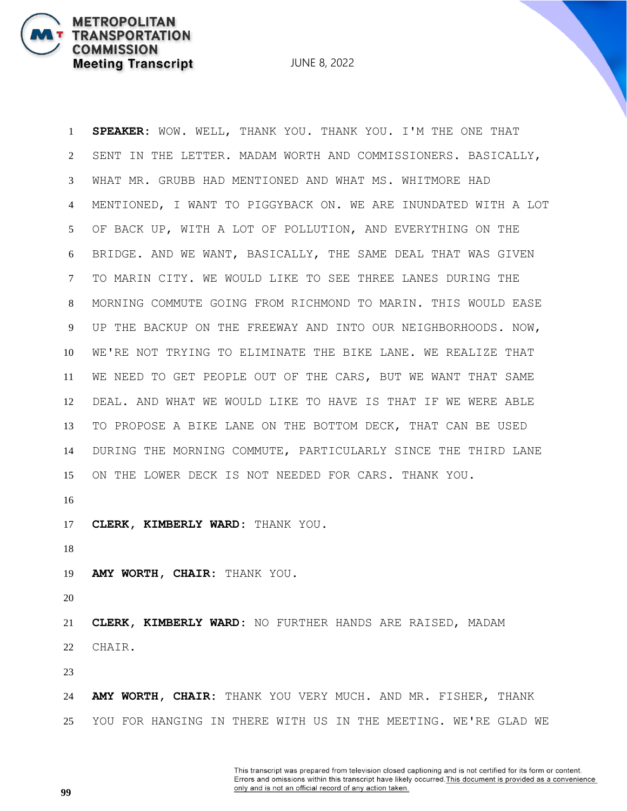JUNE 8, 2022

 **SPEAKER:** WOW. WELL, THANK YOU. THANK YOU. I'M THE ONE THAT SENT IN THE LETTER. MADAM WORTH AND COMMISSIONERS. BASICALLY, WHAT MR. GRUBB HAD MENTIONED AND WHAT MS. WHITMORE HAD MENTIONED, I WANT TO PIGGYBACK ON. WE ARE INUNDATED WITH A LOT OF BACK UP, WITH A LOT OF POLLUTION, AND EVERYTHING ON THE BRIDGE. AND WE WANT, BASICALLY, THE SAME DEAL THAT WAS GIVEN TO MARIN CITY. WE WOULD LIKE TO SEE THREE LANES DURING THE MORNING COMMUTE GOING FROM RICHMOND TO MARIN. THIS WOULD EASE UP THE BACKUP ON THE FREEWAY AND INTO OUR NEIGHBORHOODS. NOW, WE'RE NOT TRYING TO ELIMINATE THE BIKE LANE. WE REALIZE THAT WE NEED TO GET PEOPLE OUT OF THE CARS, BUT WE WANT THAT SAME DEAL. AND WHAT WE WOULD LIKE TO HAVE IS THAT IF WE WERE ABLE TO PROPOSE A BIKE LANE ON THE BOTTOM DECK, THAT CAN BE USED DURING THE MORNING COMMUTE, PARTICULARLY SINCE THE THIRD LANE ON THE LOWER DECK IS NOT NEEDED FOR CARS. THANK YOU. **CLERK, KIMBERLY WARD:** THANK YOU. **AMY WORTH, CHAIR:** THANK YOU. **CLERK, KIMBERLY WARD:** NO FURTHER HANDS ARE RAISED, MADAM CHAIR. 

 **AMY WORTH, CHAIR:** THANK YOU VERY MUCH. AND MR. FISHER, THANK YOU FOR HANGING IN THERE WITH US IN THE MEETING. WE'RE GLAD WE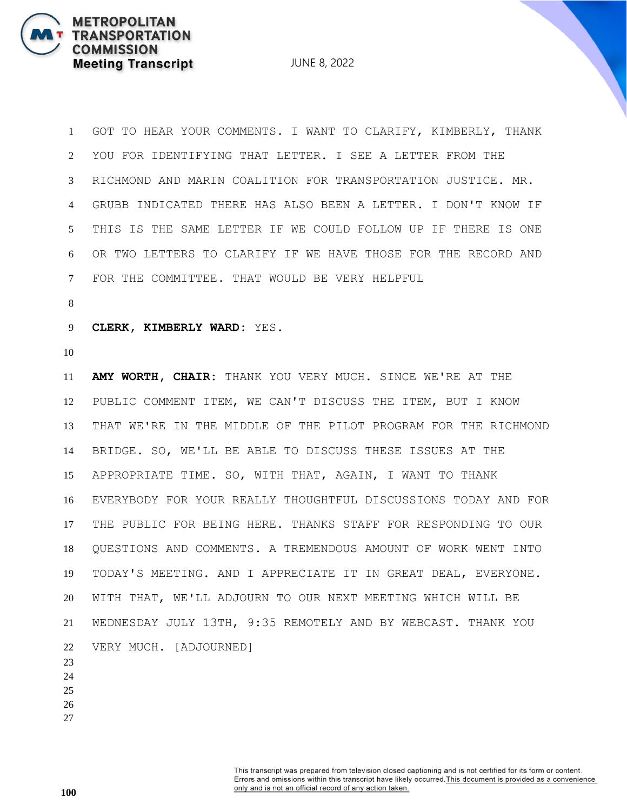JUNE 8, 2022

 GOT TO HEAR YOUR COMMENTS. I WANT TO CLARIFY, KIMBERLY, THANK YOU FOR IDENTIFYING THAT LETTER. I SEE A LETTER FROM THE RICHMOND AND MARIN COALITION FOR TRANSPORTATION JUSTICE. MR. GRUBB INDICATED THERE HAS ALSO BEEN A LETTER. I DON'T KNOW IF THIS IS THE SAME LETTER IF WE COULD FOLLOW UP IF THERE IS ONE OR TWO LETTERS TO CLARIFY IF WE HAVE THOSE FOR THE RECORD AND FOR THE COMMITTEE. THAT WOULD BE VERY HELPFUL

**CLERK, KIMBERLY WARD:** YES.

 **AMY WORTH, CHAIR:** THANK YOU VERY MUCH. SINCE WE'RE AT THE PUBLIC COMMENT ITEM, WE CAN'T DISCUSS THE ITEM, BUT I KNOW THAT WE'RE IN THE MIDDLE OF THE PILOT PROGRAM FOR THE RICHMOND BRIDGE. SO, WE'LL BE ABLE TO DISCUSS THESE ISSUES AT THE APPROPRIATE TIME. SO, WITH THAT, AGAIN, I WANT TO THANK EVERYBODY FOR YOUR REALLY THOUGHTFUL DISCUSSIONS TODAY AND FOR THE PUBLIC FOR BEING HERE. THANKS STAFF FOR RESPONDING TO OUR QUESTIONS AND COMMENTS. A TREMENDOUS AMOUNT OF WORK WENT INTO TODAY'S MEETING. AND I APPRECIATE IT IN GREAT DEAL, EVERYONE. WITH THAT, WE'LL ADJOURN TO OUR NEXT MEETING WHICH WILL BE WEDNESDAY JULY 13TH, 9:35 REMOTELY AND BY WEBCAST. THANK YOU VERY MUCH. [ADJOURNED]